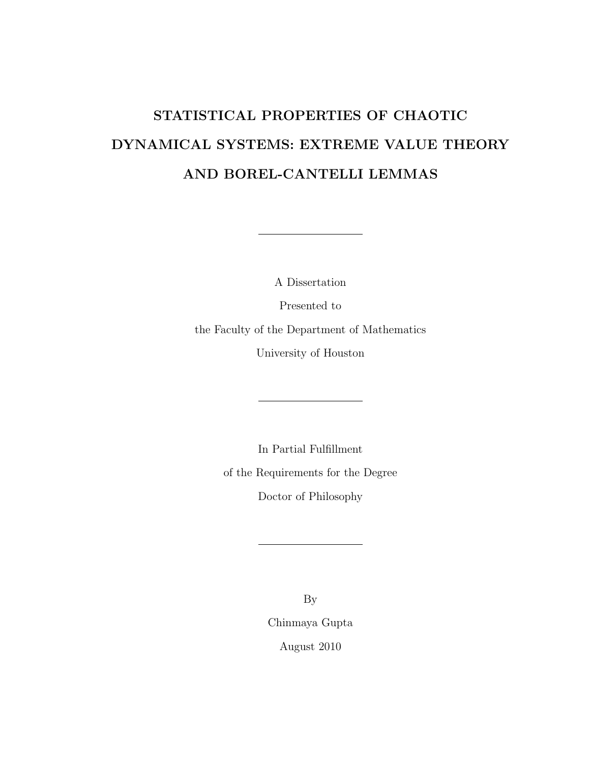# <span id="page-0-0"></span>STATISTICAL PROPERTIES OF CHAOTIC DYNAMICAL SYSTEMS: EXTREME VALUE THEORY AND BOREL-CANTELLI LEMMAS

A Dissertation Presented to the Faculty of the Department of Mathematics University of Houston

> In Partial Fulfillment of the Requirements for the Degree Doctor of Philosophy

> > By Chinmaya Gupta August 2010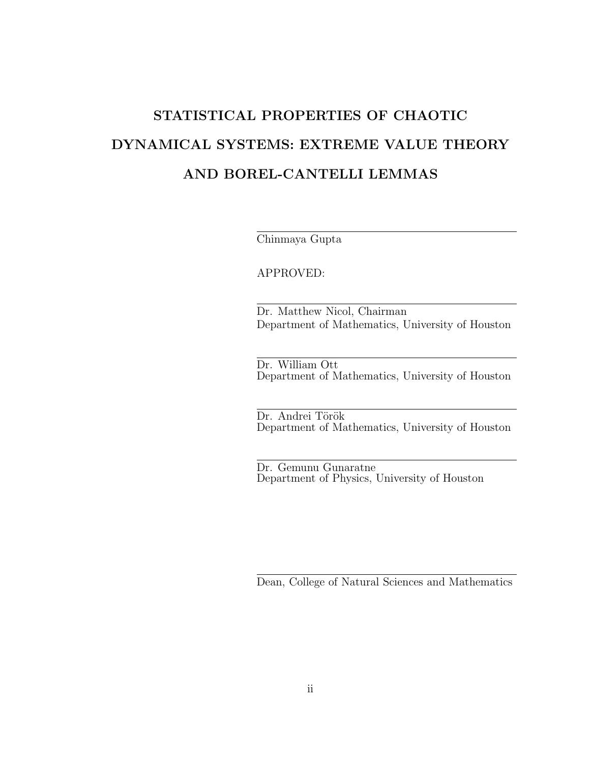# STATISTICAL PROPERTIES OF CHAOTIC DYNAMICAL SYSTEMS: EXTREME VALUE THEORY AND BOREL-CANTELLI LEMMAS

Chinmaya Gupta

APPROVED:

Dr. Matthew Nicol, Chairman Department of Mathematics, University of Houston

Dr. William Ott Department of Mathematics, University of Houston

Dr. Andrei Török Department of Mathematics, University of Houston

Dr. Gemunu Gunaratne Department of Physics, University of Houston

Dean, College of Natural Sciences and Mathematics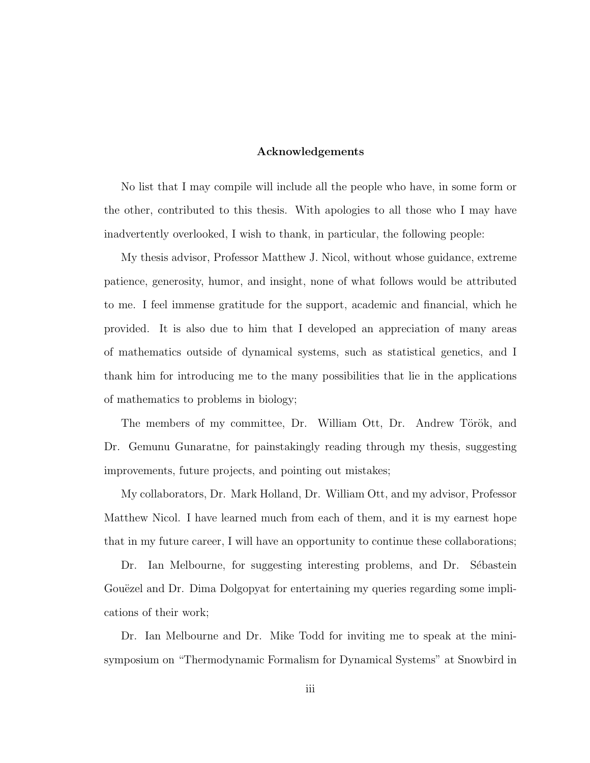#### Acknowledgements

No list that I may compile will include all the people who have, in some form or the other, contributed to this thesis. With apologies to all those who I may have inadvertently overlooked, I wish to thank, in particular, the following people:

My thesis advisor, Professor Matthew J. Nicol, without whose guidance, extreme patience, generosity, humor, and insight, none of what follows would be attributed to me. I feel immense gratitude for the support, academic and financial, which he provided. It is also due to him that I developed an appreciation of many areas of mathematics outside of dynamical systems, such as statistical genetics, and I thank him for introducing me to the many possibilities that lie in the applications of mathematics to problems in biology;

The members of my committee, Dr. William Ott, Dr. Andrew Török, and Dr. Gemunu Gunaratne, for painstakingly reading through my thesis, suggesting improvements, future projects, and pointing out mistakes;

My collaborators, Dr. Mark Holland, Dr. William Ott, and my advisor, Professor Matthew Nicol. I have learned much from each of them, and it is my earnest hope that in my future career, I will have an opportunity to continue these collaborations;

Dr. Ian Melbourne, for suggesting interesting problems, and Dr. Sébastein Gouëzel and Dr. Dima Dolgopyat for entertaining my queries regarding some implications of their work;

Dr. Ian Melbourne and Dr. Mike Todd for inviting me to speak at the minisymposium on "Thermodynamic Formalism for Dynamical Systems" at Snowbird in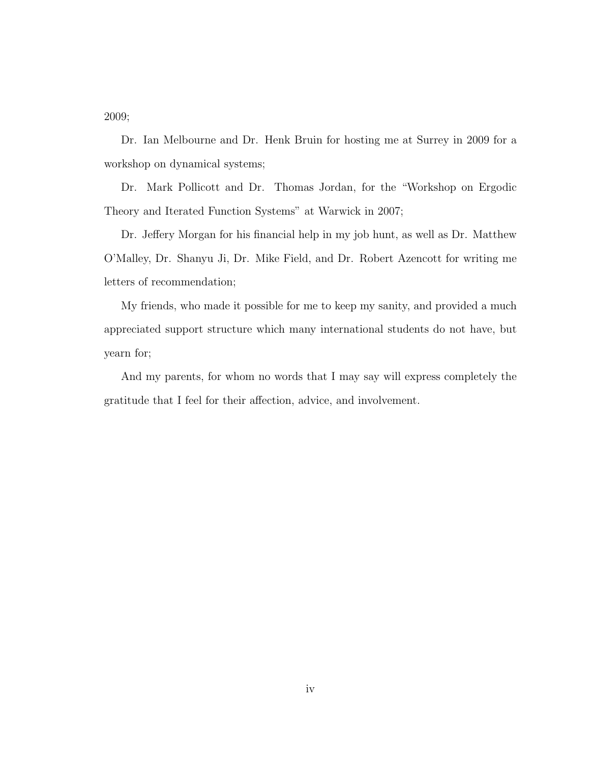2009;

Dr. Ian Melbourne and Dr. Henk Bruin for hosting me at Surrey in 2009 for a workshop on dynamical systems;

Dr. Mark Pollicott and Dr. Thomas Jordan, for the "Workshop on Ergodic Theory and Iterated Function Systems" at Warwick in 2007;

Dr. Jeffery Morgan for his financial help in my job hunt, as well as Dr. Matthew O'Malley, Dr. Shanyu Ji, Dr. Mike Field, and Dr. Robert Azencott for writing me letters of recommendation;

My friends, who made it possible for me to keep my sanity, and provided a much appreciated support structure which many international students do not have, but yearn for;

And my parents, for whom no words that I may say will express completely the gratitude that I feel for their affection, advice, and involvement.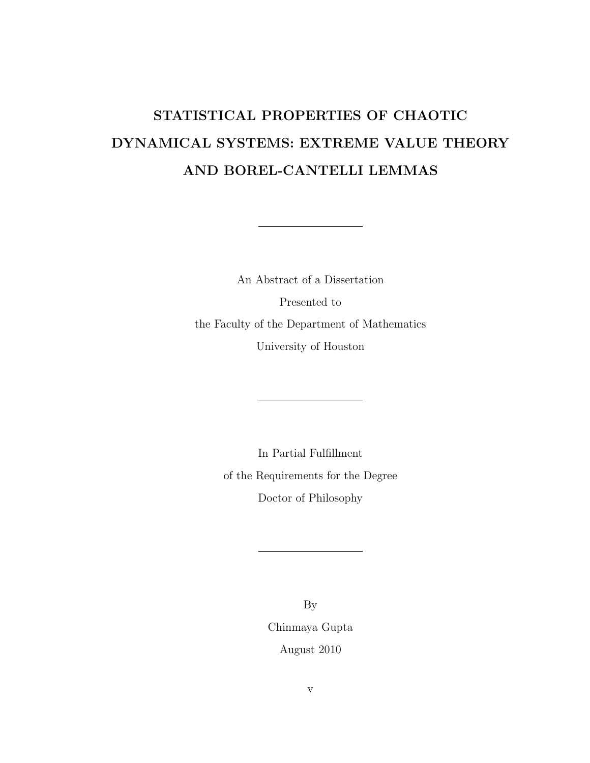# STATISTICAL PROPERTIES OF CHAOTIC DYNAMICAL SYSTEMS: EXTREME VALUE THEORY AND BOREL-CANTELLI LEMMAS

An Abstract of a Dissertation Presented to the Faculty of the Department of Mathematics University of Houston

> In Partial Fulfillment of the Requirements for the Degree Doctor of Philosophy

> > By Chinmaya Gupta August 2010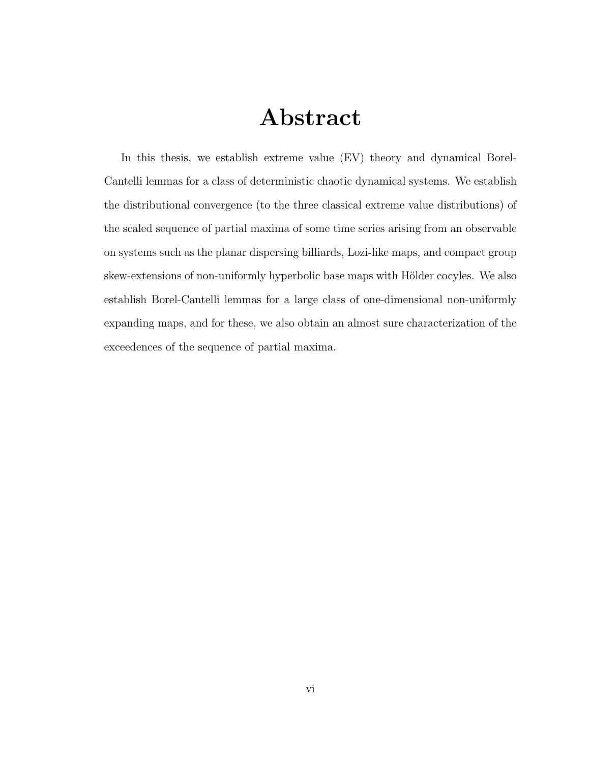# Abstract

In this thesis, we establish extreme value (EV) theory and dynamical Borel-Cantelli lemmas for a class of deterministic chaotic dynamical systems. We establish the distributional convergence (to the three classical extreme value distributions) of the scaled sequence of partial maxima of some time series arising from an observable on systems such as the planar dispersing billiards, Lozi-like maps, and compact group skew-extensions of non-uniformly hyperbolic base maps with Hölder cocyles. We also establish Borel-Cantelli lemmas for a large class of one-dimensional non-uniformly expanding maps, and for these, we also obtain an almost sure characterization of the exceedences of the sequence of partial maxima.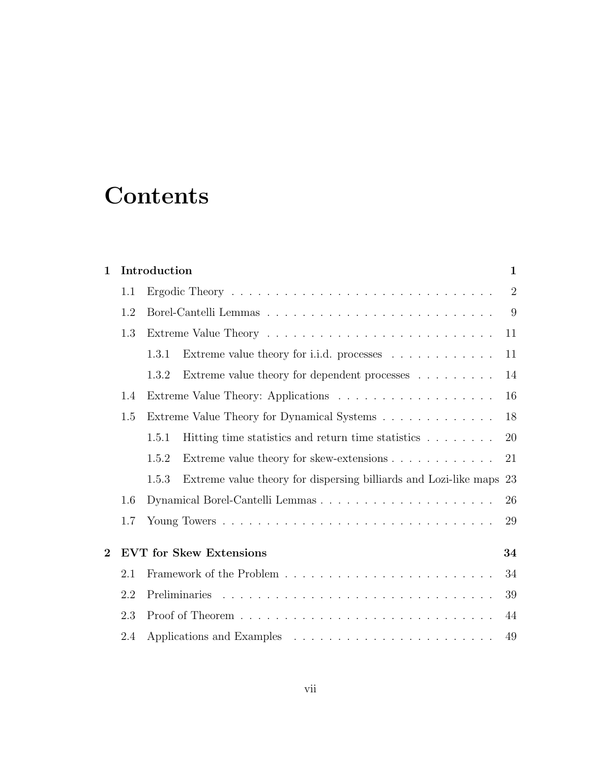# **Contents**

| Introduction<br>$\mathbf{1}$         |                                                                                                       |    |  |  |  |
|--------------------------------------|-------------------------------------------------------------------------------------------------------|----|--|--|--|
| 1.1                                  |                                                                                                       |    |  |  |  |
| 1.2                                  |                                                                                                       |    |  |  |  |
| 1.3                                  |                                                                                                       |    |  |  |  |
|                                      | Extreme value theory for i.i.d. processes<br>1.3.1                                                    | 11 |  |  |  |
|                                      | Extreme value theory for dependent processes $\hfill\ldots$ $\hfill\ldots$ $\ldots$ $\ldots$<br>1.3.2 | 14 |  |  |  |
| 1.4                                  |                                                                                                       |    |  |  |  |
| 1.5                                  | Extreme Value Theory for Dynamical Systems                                                            |    |  |  |  |
|                                      | Hitting time statistics and return time statistics<br>1.5.1                                           | 20 |  |  |  |
|                                      | Extreme value theory for skew-extensions<br>1.5.2                                                     | 21 |  |  |  |
|                                      | Extreme value theory for dispersing billiards and Lozi-like maps 23<br>1.5.3                          |    |  |  |  |
| 1.6                                  |                                                                                                       |    |  |  |  |
| 1.7                                  |                                                                                                       | 29 |  |  |  |
| <b>EVT</b> for Skew Extensions<br>34 |                                                                                                       |    |  |  |  |
| 2.1                                  |                                                                                                       |    |  |  |  |
| 2.2                                  |                                                                                                       |    |  |  |  |
| 2.3                                  |                                                                                                       | 44 |  |  |  |
| 2.4                                  |                                                                                                       | 49 |  |  |  |
|                                      |                                                                                                       |    |  |  |  |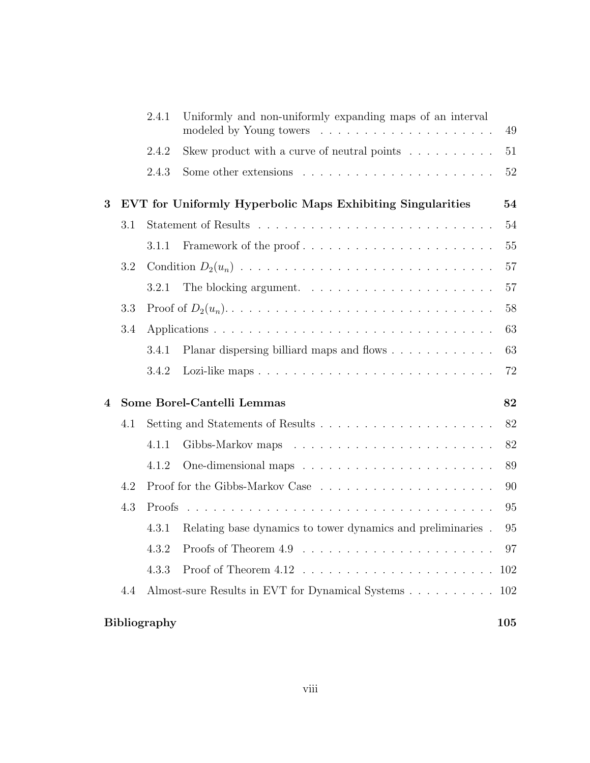|   |     | 2.4.1               | Uniformly and non-uniformly expanding maps of an interval          | 49      |
|---|-----|---------------------|--------------------------------------------------------------------|---------|
|   |     | 2.4.2               | Skew product with a curve of neutral points $\ldots \ldots \ldots$ | 51      |
|   |     | 2.4.3               |                                                                    | 52      |
| 3 |     |                     | EVT for Uniformly Hyperbolic Maps Exhibiting Singularities         | 54      |
|   | 3.1 |                     |                                                                    | 54      |
|   |     | 3.1.1               | Framework of the proof                                             | 55      |
|   | 3.2 |                     |                                                                    | 57      |
|   |     | 3.2.1               |                                                                    | 57      |
|   | 3.3 |                     |                                                                    | 58      |
|   | 3.4 |                     |                                                                    | 63      |
|   |     | 3.4.1               | Planar dispersing billiard maps and flows                          | 63      |
|   |     | 3.4.2               |                                                                    | 72      |
| 4 |     |                     | Some Borel-Cantelli Lemmas                                         | 82      |
|   | 4.1 |                     |                                                                    | 82      |
|   |     | 4.1.1               |                                                                    | 82      |
|   |     | 4.1.2               |                                                                    | 89      |
|   | 4.2 |                     |                                                                    | 90      |
|   | 4.3 | Proofs              |                                                                    | 95      |
|   |     | 4.3.1               | Relating base dynamics to tower dynamics and preliminaries.        | 95      |
|   |     | 4.3.2               |                                                                    | - 97    |
|   |     | 4.3.3               |                                                                    | 102     |
|   | 4.4 |                     | Almost-sure Results in EVT for Dynamical Systems 102               |         |
|   |     | <b>Bibliography</b> |                                                                    | $105\,$ |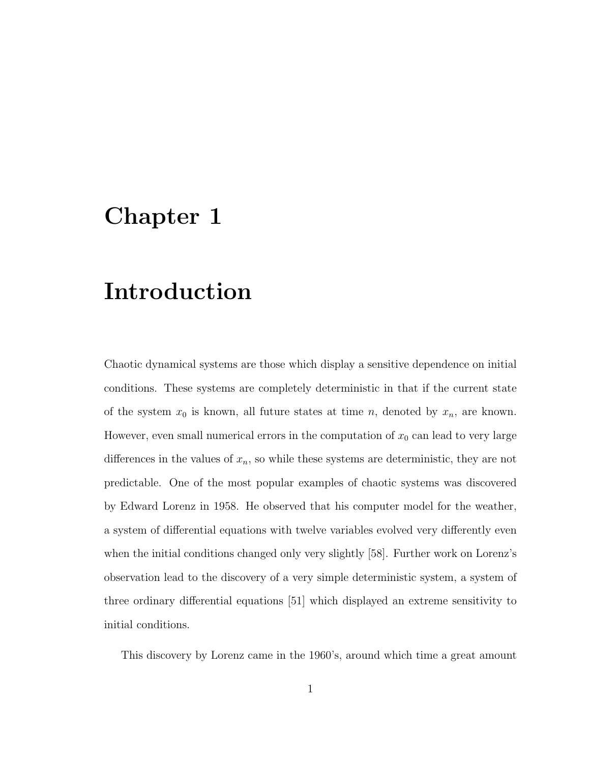## <span id="page-8-0"></span>Chapter 1

## Introduction

Chaotic dynamical systems are those which display a sensitive dependence on initial conditions. These systems are completely deterministic in that if the current state of the system  $x_0$  is known, all future states at time n, denoted by  $x_n$ , are known. However, even small numerical errors in the computation of  $x_0$  can lead to very large differences in the values of  $x_n$ , so while these systems are deterministic, they are not predictable. One of the most popular examples of chaotic systems was discovered by Edward Lorenz in 1958. He observed that his computer model for the weather, a system of differential equations with twelve variables evolved very differently even when the initial conditions changed only very slightly [\[58\]](#page-116-0). Further work on Lorenz's observation lead to the discovery of a very simple deterministic system, a system of three ordinary differential equations [\[51\]](#page-116-1) which displayed an extreme sensitivity to initial conditions.

This discovery by Lorenz came in the 1960's, around which time a great amount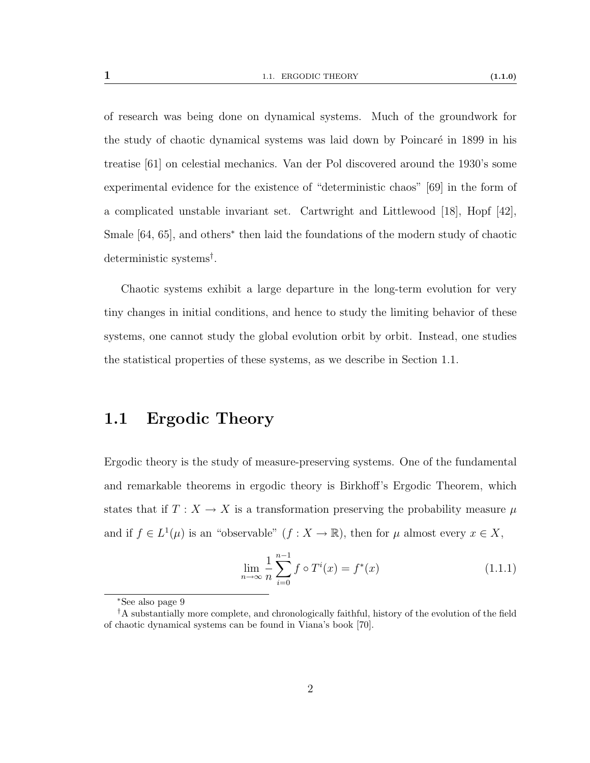of research was being done on dynamical systems. Much of the groundwork for the study of chaotic dynamical systems was laid down by Poincaré in 1899 in his treatise [\[61\]](#page-116-2) on celestial mechanics. Van der Pol discovered around the 1930's some experimental evidence for the existence of "deterministic chaos" [\[69\]](#page-117-0) in the form of a complicated unstable invariant set. Cartwright and Littlewood [\[18\]](#page-113-0), Hopf [\[42\]](#page-115-0), Smale [\[64,](#page-116-3) [65\]](#page-117-1), and others<sup>[∗](#page-9-1)</sup> then laid the foundations of the modern study of chaotic deterministic systems[†](#page-9-2) .

Chaotic systems exhibit a large departure in the long-term evolution for very tiny changes in initial conditions, and hence to study the limiting behavior of these systems, one cannot study the global evolution orbit by orbit. Instead, one studies the statistical properties of these systems, as we describe in Section [1.1.](#page-9-0)

### <span id="page-9-0"></span>1.1 Ergodic Theory

Ergodic theory is the study of measure-preserving systems. One of the fundamental and remarkable theorems in ergodic theory is Birkhoff's Ergodic Theorem, which states that if  $T : X \to X$  is a transformation preserving the probability measure  $\mu$ and if  $f \in L^1(\mu)$  is an "observable"  $(f : X \to \mathbb{R})$ , then for  $\mu$  almost every  $x \in X$ ,

$$
\lim_{n \to \infty} \frac{1}{n} \sum_{i=0}^{n-1} f \circ T^i(x) = f^*(x) \tag{1.1.1}
$$

<span id="page-9-2"></span><span id="page-9-1"></span><sup>∗</sup>See also page [9](#page-15-0)

<sup>&</sup>lt;sup>†</sup>A substantially more complete, and chronologically faithful, history of the evolution of the field of chaotic dynamical systems can be found in Viana's book [\[70\]](#page-117-2).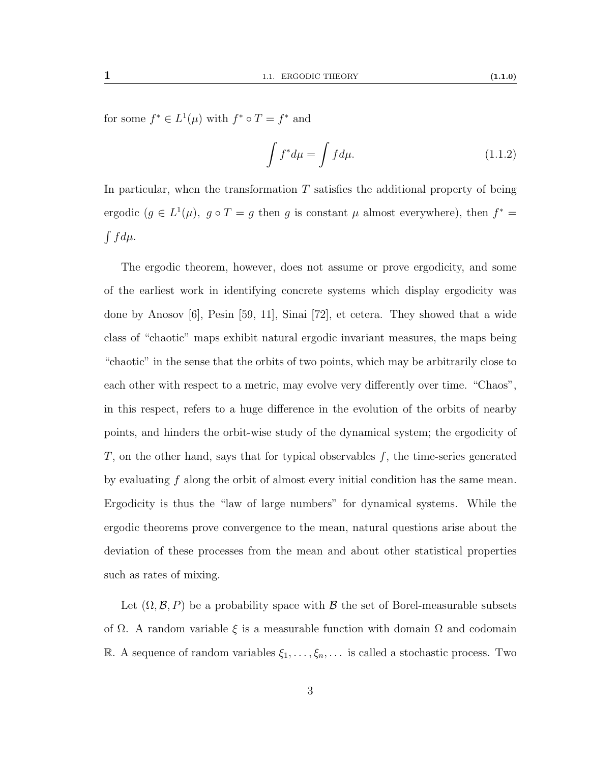for some  $f^* \in L^1(\mu)$  with  $f^* \circ T = f^*$  and

$$
\int f^* d\mu = \int f d\mu. \tag{1.1.2}
$$

In particular, when the transformation  $T$  satisfies the additional property of being ergodic  $(g \in L^1(\mu))$ ,  $g \circ T = g$  then g is constant  $\mu$  almost everywhere), then  $f^* =$  $\int f d\mu$ .

The ergodic theorem, however, does not assume or prove ergodicity, and some of the earliest work in identifying concrete systems which display ergodicity was done by Anosov [\[6\]](#page-112-0), Pesin [\[59,](#page-116-4) [11\]](#page-113-1), Sinai [\[72\]](#page-117-3), et cetera. They showed that a wide class of "chaotic" maps exhibit natural ergodic invariant measures, the maps being "chaotic" in the sense that the orbits of two points, which may be arbitrarily close to each other with respect to a metric, may evolve very differently over time. "Chaos", in this respect, refers to a huge difference in the evolution of the orbits of nearby points, and hinders the orbit-wise study of the dynamical system; the ergodicity of  $T$ , on the other hand, says that for typical observables  $f$ , the time-series generated by evaluating  $f$  along the orbit of almost every initial condition has the same mean. Ergodicity is thus the "law of large numbers" for dynamical systems. While the ergodic theorems prove convergence to the mean, natural questions arise about the deviation of these processes from the mean and about other statistical properties such as rates of mixing.

Let  $(\Omega, \mathcal{B}, P)$  be a probability space with  $\mathcal{B}$  the set of Borel-measurable subsets of  $\Omega$ . A random variable  $\xi$  is a measurable function with domain  $\Omega$  and codomain R. A sequence of random variables  $\xi_1, \ldots, \xi_n, \ldots$  is called a stochastic process. Two

3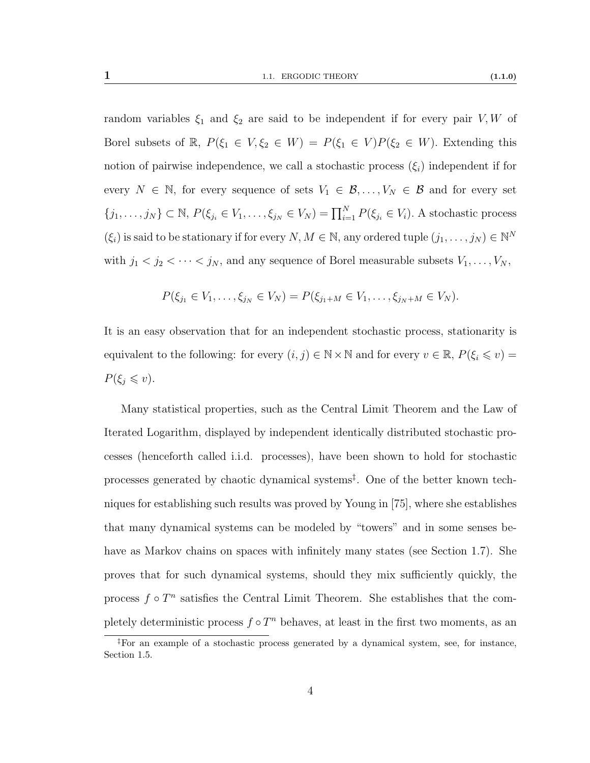random variables  $\xi_1$  and  $\xi_2$  are said to be independent if for every pair V, W of Borel subsets of  $\mathbb{R}$ ,  $P(\xi_1 \in V, \xi_2 \in W) = P(\xi_1 \in V)P(\xi_2 \in W)$ . Extending this notion of pairwise independence, we call a stochastic process  $(\xi_i)$  independent if for every  $N \in \mathbb{N}$ , for every sequence of sets  $V_1 \in \mathcal{B}, \ldots, V_N \in \mathcal{B}$  and for every set  $\{j_1,\ldots,j_N\}\subset\mathbb{N}, P(\xi_{j_i}\in V_1,\ldots,\xi_{j_N}\in V_N)=\prod_{i=1}^N P(\xi_{j_i}\in V_i)$ . A stochastic process  $(\xi_i)$  is said to be stationary if for every  $N, M \in \mathbb{N}$ , any ordered tuple  $(j_1, \ldots, j_N) \in \mathbb{N}^N$ with  $j_1 < j_2 < \cdots < j_N$ , and any sequence of Borel measurable subsets  $V_1, \ldots, V_N$ ,

$$
P(\xi_{j_1} \in V_1, \ldots, \xi_{j_N} \in V_N) = P(\xi_{j_1 + M} \in V_1, \ldots, \xi_{j_N + M} \in V_N).
$$

It is an easy observation that for an independent stochastic process, stationarity is equivalent to the following: for every  $(i, j) \in \mathbb{N} \times \mathbb{N}$  and for every  $v \in \mathbb{R}$ ,  $P(\xi_i \leq v) =$  $P(\xi_j \leq v).$ 

Many statistical properties, such as the Central Limit Theorem and the Law of Iterated Logarithm, displayed by independent identically distributed stochastic processes (henceforth called i.i.d. processes), have been shown to hold for stochastic processes generated by chaotic dynamical systems[‡](#page-11-0) . One of the better known techniques for establishing such results was proved by Young in [\[75\]](#page-117-4), where she establishes that many dynamical systems can be modeled by "towers" and in some senses behave as Markov chains on spaces with infinitely many states (see Section [1.7\)](#page-36-0). She proves that for such dynamical systems, should they mix sufficiently quickly, the process  $f \circ T^n$  satisfies the Central Limit Theorem. She establishes that the completely deterministic process  $f \circ T^n$  behaves, at least in the first two moments, as an

4

<span id="page-11-0"></span><sup>‡</sup>For an example of a stochastic process generated by a dynamical system, see, for instance, Section [1.5.](#page-25-0)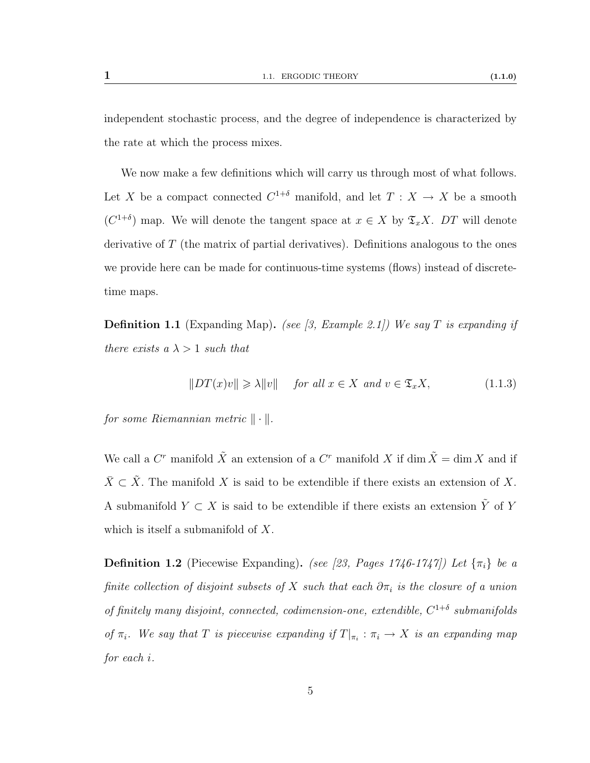independent stochastic process, and the degree of independence is characterized by the rate at which the process mixes.

We now make a few definitions which will carry us through most of what follows. Let X be a compact connected  $C^{1+\delta}$  manifold, and let  $T : X \to X$  be a smooth  $(C^{1+\delta})$  map. We will denote the tangent space at  $x \in X$  by  $\mathfrak{T}_x X$ . DT will denote derivative of  $T$  (the matrix of partial derivatives). Definitions analogous to the ones we provide here can be made for continuous-time systems (flows) instead of discretetime maps.

<span id="page-12-0"></span>**Definition 1.1** (Expanding Map). (see [\[3,](#page-112-1) Example 2.1]) We say T is expanding if there exists a  $\lambda > 1$  such that

$$
||DT(x)v|| \ge \lambda ||v|| \quad \text{for all } x \in X \text{ and } v \in \mathfrak{T}_x X,
$$
 (1.1.3)

for some Riemannian metric  $\|\cdot\|.$ 

We call a  $C<sup>r</sup>$  manifold  $\tilde{X}$  an extension of a  $C<sup>r</sup>$  manifold X if dim  $\tilde{X} = \dim X$  and if  $\bar{X} \subset \tilde{X}$ . The manifold X is said to be extendible if there exists an extension of X. A submanifold  $Y \subset X$  is said to be extendible if there exists an extension  $\tilde{Y}$  of Y which is itself a submanifold of  $X$ .

<span id="page-12-1"></span>**Definition 1.2** (Piecewise Expanding). (see [\[23,](#page-113-2) Pages 1746-1747]) Let  $\{\pi_i\}$  be a finite collection of disjoint subsets of X such that each  $\partial \pi_i$  is the closure of a union of finitely many disjoint, connected, codimension-one, extendible,  $C^{1+\delta}$  submanifolds of  $\pi_i$ . We say that T is piecewise expanding if  $T|_{\pi_i} : \pi_i \to X$  is an expanding map for each i.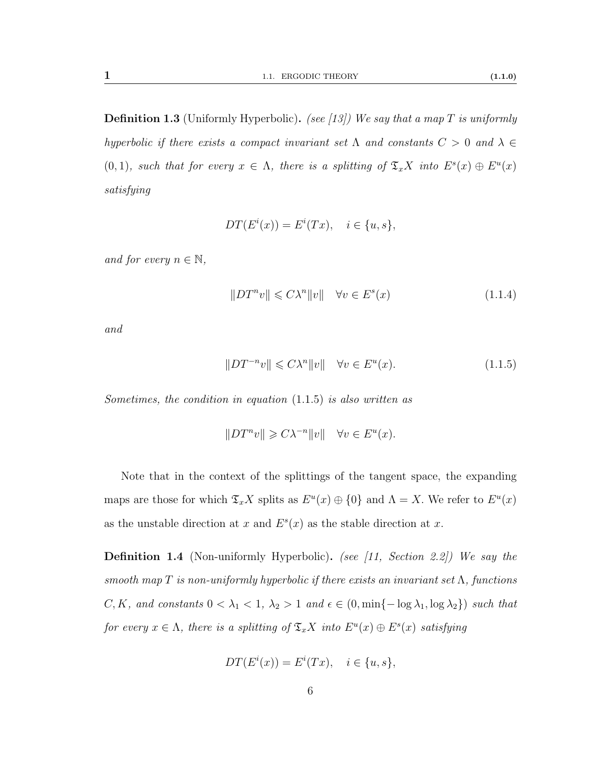<span id="page-13-2"></span>**Definition 1.3** (Uniformly Hyperbolic). (see [\[13\]](#page-113-3)) We say that a map T is uniformly hyperbolic if there exists a compact invariant set  $\Lambda$  and constants  $C > 0$  and  $\lambda \in$ (0, 1), such that for every  $x \in \Lambda$ , there is a splitting of  $\mathfrak{T}_x X$  into  $E^s(x) \oplus E^u(x)$ satisfying

$$
DT(Ei(x)) = Ei(Tx), \quad i \in \{u, s\},
$$

and for every  $n \in \mathbb{N}$ ,

<span id="page-13-0"></span>
$$
||DT^nv|| \leq C\lambda^n ||v|| \quad \forall v \in E^s(x) \tag{1.1.4}
$$

and

$$
||DT^{-n}v|| \leq C\lambda^n ||v|| \quad \forall v \in E^u(x). \tag{1.1.5}
$$

Sometimes, the condition in equation [\(1.1.5\)](#page-13-0) is also written as

$$
||DT^nv|| \geq C\lambda^{-n}||v|| \quad \forall v \in E^u(x).
$$

Note that in the context of the splittings of the tangent space, the expanding maps are those for which  $\mathfrak{T}_x X$  splits as  $E^u(x) \oplus \{0\}$  and  $\Lambda = X$ . We refer to  $E^u(x)$ as the unstable direction at x and  $E<sup>s</sup>(x)$  as the stable direction at x.

<span id="page-13-1"></span>**Definition 1.4** (Non-uniformly Hyperbolic). (see [\[11,](#page-113-1) Section 2.2]) We say the smooth map T is non-uniformly hyperbolic if there exists an invariant set  $\Lambda$ , functions C, K, and constants  $0 < \lambda_1 < 1$ ,  $\lambda_2 > 1$  and  $\epsilon \in (0, \min\{-\log \lambda_1, \log \lambda_2\})$  such that for every  $x \in \Lambda$ , there is a splitting of  $\mathfrak{T}_x X$  into  $E^u(x) \oplus E^s(x)$  satisfying

$$
DT(Ei(x)) = Ei(Tx), \quad i \in \{u, s\},
$$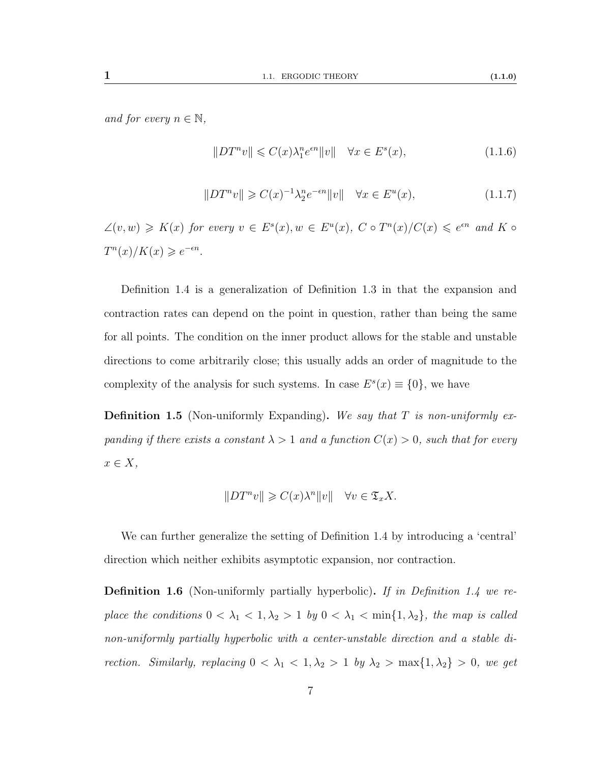$$
||DT^{n}v|| \leqslant C(x)\lambda_{1}^{n}e^{\epsilon n}||v|| \quad \forall x \in E^{s}(x), \tag{1.1.6}
$$

$$
||DT^{n}v|| \geqslant C(x)^{-1}\lambda_2^{n}e^{-\epsilon n}||v|| \quad \forall x \in E^{u}(x), \tag{1.1.7}
$$

 $\angle(v, w) \geqslant K(x)$  for every  $v \in E^s(x), w \in E^u(x), C \circ T^n(x)/C(x) \leqslant e^{\epsilon n}$  and  $K \circ$  $T^n(x)/K(x) \geqslant e^{-\epsilon n}.$ 

Definition [1.4](#page-13-1) is a generalization of Definition [1.3](#page-13-2) in that the expansion and contraction rates can depend on the point in question, rather than being the same for all points. The condition on the inner product allows for the stable and unstable directions to come arbitrarily close; this usually adds an order of magnitude to the complexity of the analysis for such systems. In case  $E^{s}(x) \equiv \{0\}$ , we have

**Definition 1.5** (Non-uniformly Expanding). We say that  $T$  is non-uniformly expanding if there exists a constant  $\lambda > 1$  and a function  $C(x) > 0$ , such that for every  $x \in X$ ,

$$
||DT^nv|| \geqslant C(x)\lambda^n ||v|| \quad \forall v \in \mathfrak{T}_x X.
$$

We can further generalize the setting of Definition [1.4](#page-13-1) by introducing a 'central' direction which neither exhibits asymptotic expansion, nor contraction.

<span id="page-14-0"></span>**Definition 1.6** (Non-uniformly partially hyperbolic). If in Definition [1.4](#page-13-1) we replace the conditions  $0 < \lambda_1 < 1, \lambda_2 > 1$  by  $0 < \lambda_1 < \min\{1, \lambda_2\}$ , the map is called non-uniformly partially hyperbolic with a center-unstable direction and a stable direction. Similarly, replacing  $0 < \lambda_1 < 1, \lambda_2 > 1$  by  $\lambda_2 > \max\{1, \lambda_2\} > 0$ , we get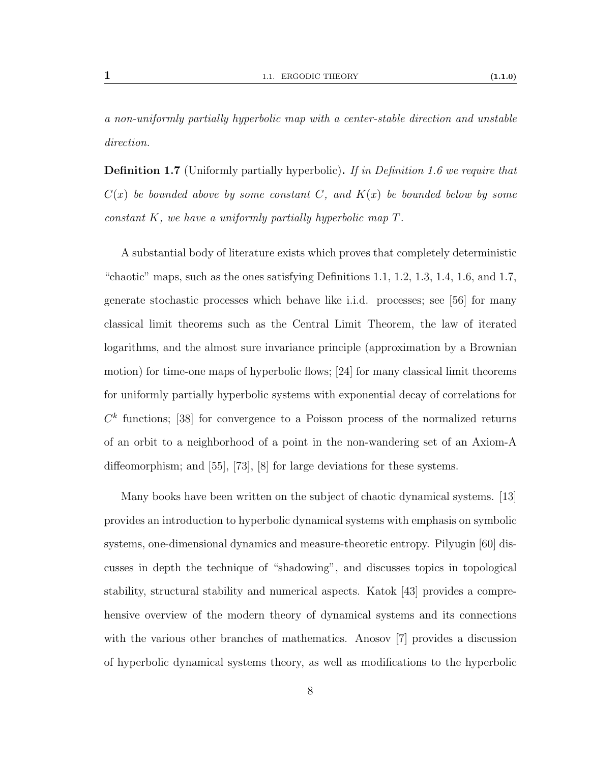a non-uniformly partially hyperbolic map with a center-stable direction and unstable direction.

<span id="page-15-0"></span>**Definition 1.7** (Uniformly partially hyperbolic). If in Definition [1.6](#page-14-0) we require that  $C(x)$  be bounded above by some constant C, and  $K(x)$  be bounded below by some constant K, we have a uniformly partially hyperbolic map T.

A substantial body of literature exists which proves that completely deterministic "chaotic" maps, such as the ones satisfying Definitions [1.1,](#page-12-0) [1.2,](#page-12-1) [1.3,](#page-13-2) [1.4,](#page-13-1) [1.6,](#page-14-0) and [1.7,](#page-15-0) generate stochastic processes which behave like i.i.d. processes; see [\[56\]](#page-116-5) for many classical limit theorems such as the Central Limit Theorem, the law of iterated logarithms, and the almost sure invariance principle (approximation by a Brownian motion) for time-one maps of hyperbolic flows; [\[24\]](#page-114-0) for many classical limit theorems for uniformly partially hyperbolic systems with exponential decay of correlations for  $C<sup>k</sup>$  functions; [\[38\]](#page-115-1) for convergence to a Poisson process of the normalized returns of an orbit to a neighborhood of a point in the non-wandering set of an Axiom-A diffeomorphism; and [\[55\]](#page-116-6), [\[73\]](#page-117-5), [\[8\]](#page-112-2) for large deviations for these systems.

Many books have been written on the subject of chaotic dynamical systems. [\[13\]](#page-113-3) provides an introduction to hyperbolic dynamical systems with emphasis on symbolic systems, one-dimensional dynamics and measure-theoretic entropy. Pilyugin [\[60\]](#page-116-7) discusses in depth the technique of "shadowing", and discusses topics in topological stability, structural stability and numerical aspects. Katok [\[43\]](#page-115-2) provides a comprehensive overview of the modern theory of dynamical systems and its connections with the various other branches of mathematics. Anosov [\[7\]](#page-112-3) provides a discussion of hyperbolic dynamical systems theory, as well as modifications to the hyperbolic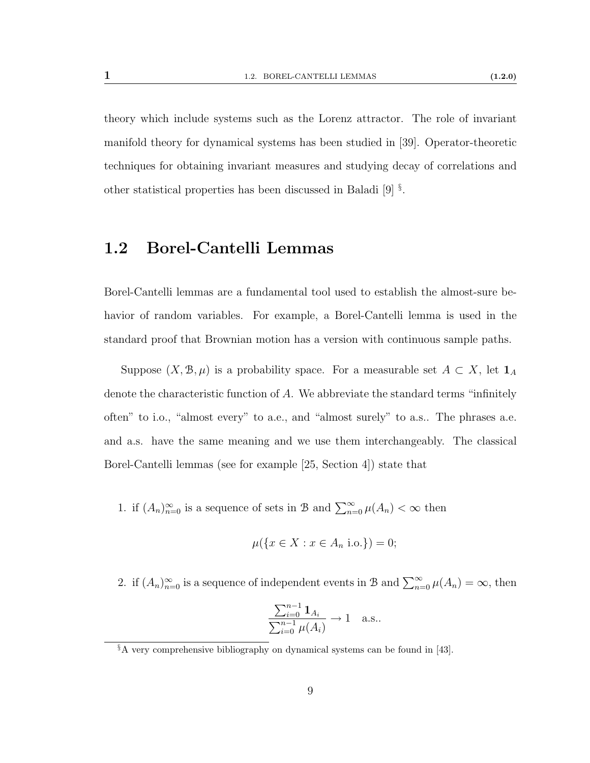theory which include systems such as the Lorenz attractor. The role of invariant manifold theory for dynamical systems has been studied in [\[39\]](#page-115-3). Operator-theoretic techniques for obtaining invariant measures and studying decay of correlations and other statistical properties has been discussed in Baladi [\[9\]](#page-112-4) [§](#page-16-1) .

## <span id="page-16-0"></span>1.2 Borel-Cantelli Lemmas

Borel-Cantelli lemmas are a fundamental tool used to establish the almost-sure behavior of random variables. For example, a Borel-Cantelli lemma is used in the standard proof that Brownian motion has a version with continuous sample paths.

Suppose  $(X, \mathcal{B}, \mu)$  is a probability space. For a measurable set  $A \subset X$ , let  $\mathbf{1}_A$ denote the characteristic function of A. We abbreviate the standard terms "infinitely often" to i.o., "almost every" to a.e., and "almost surely" to a.s.. The phrases a.e. and a.s. have the same meaning and we use them interchangeably. The classical Borel-Cantelli lemmas (see for example [\[25,](#page-114-1) Section 4]) state that

<span id="page-16-2"></span>1. if  $(A_n)_{n=0}^{\infty}$  is a sequence of sets in B and  $\sum_{n=0}^{\infty} \mu(A_n) < \infty$  then

$$
\mu({x \in X : x \in A_n \text{ i.o.}}) = 0;
$$

<span id="page-16-3"></span>2. if  $(A_n)_{n=0}^{\infty}$  is a sequence of independent events in B and  $\sum_{n=0}^{\infty} \mu(A_n) = \infty$ , then

$$
\frac{\sum_{i=0}^{n-1} 1_{A_i}}{\sum_{i=0}^{n-1} \mu(A_i)} \to 1 \quad \text{a.s.}.
$$

<span id="page-16-1"></span> $§$ A very comprehensive bibliography on dynamical systems can be found in [\[43\]](#page-115-2).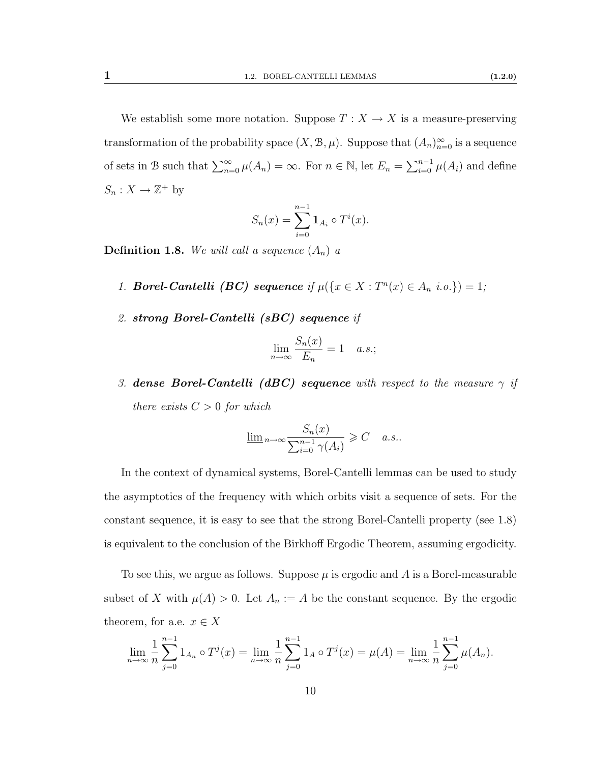We establish some more notation. Suppose  $T : X \to X$  is a measure-preserving transformation of the probability space  $(X, \mathcal{B}, \mu)$ . Suppose that  $(A_n)_{n=0}^{\infty}$  is a sequence of sets in B such that  $\sum_{n=0}^{\infty} \mu(A_n) = \infty$ . For  $n \in \mathbb{N}$ , let  $E_n = \sum_{i=0}^{n-1} \mu(A_i)$  and define  $S_n: X \to \mathbb{Z}^+$  by

$$
S_n(x) = \sum_{i=0}^{n-1} \mathbf{1}_{A_i} \circ T^i(x).
$$

<span id="page-17-0"></span>**Definition 1.8.** We will call a sequence  $(A_n)$  a

- 1. Borel-Cantelli (BC) sequence if  $\mu({x \in X : T^n(x) \in A_n \text{ i.o.}}) = 1;$
- 2. strong Borel-Cantelli (sBC) sequence if

$$
\lim_{n \to \infty} \frac{S_n(x)}{E_n} = 1 \quad a.s.;
$$

3. dense Borel-Cantelli (dBC) sequence with respect to the measure  $\gamma$  if there exists  $C > 0$  for which

$$
\underline{\lim}_{n \to \infty} \frac{S_n(x)}{\sum_{i=0}^{n-1} \gamma(A_i)} \geqslant C \quad a.s..
$$

In the context of dynamical systems, Borel-Cantelli lemmas can be used to study the asymptotics of the frequency with which orbits visit a sequence of sets. For the constant sequence, it is easy to see that the strong Borel-Cantelli property (see [1.8\)](#page-17-0) is equivalent to the conclusion of the Birkhoff Ergodic Theorem, assuming ergodicity.

To see this, we argue as follows. Suppose  $\mu$  is ergodic and A is a Borel-measurable subset of X with  $\mu(A) > 0$ . Let  $A_n := A$  be the constant sequence. By the ergodic theorem, for a.e.  $x \in X$ 

$$
\lim_{n \to \infty} \frac{1}{n} \sum_{j=0}^{n-1} 1_{A_n} \circ T^j(x) = \lim_{n \to \infty} \frac{1}{n} \sum_{j=0}^{n-1} 1_A \circ T^j(x) = \mu(A) = \lim_{n \to \infty} \frac{1}{n} \sum_{j=0}^{n-1} \mu(A_n).
$$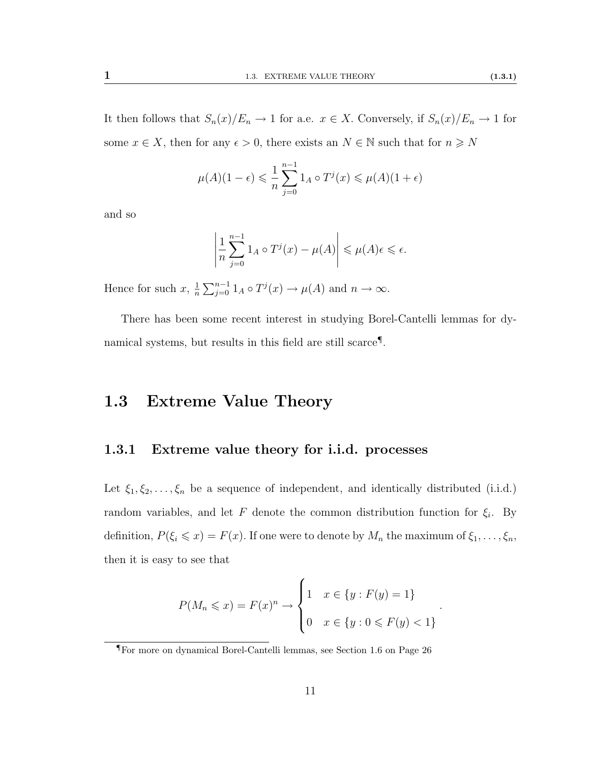It then follows that  $S_n(x)/E_n \to 1$  for a.e.  $x \in X$ . Conversely, if  $S_n(x)/E_n \to 1$  for some  $x \in X$ , then for any  $\epsilon > 0$ , there exists an  $N \in \mathbb{N}$  such that for  $n \geq N$ 

$$
\mu(A)(1-\epsilon) \leqslant \frac{1}{n} \sum_{j=0}^{n-1} 1_A \circ T^j(x) \leqslant \mu(A)(1+\epsilon)
$$

and so

$$
\left|\frac{1}{n}\sum_{j=0}^{n-1}1_A\circ T^j(x)-\mu(A)\right|\leqslant\mu(A)\epsilon\leqslant\epsilon.
$$

Hence for such  $x, \frac{1}{n}$  $\frac{1}{n} \sum_{j=0}^{n-1} 1_A \circ T^j(x) \to \mu(A)$  and  $n \to \infty$ .

There has been some recent interest in studying Borel-Cantelli lemmas for dynamical systems, but results in this field are still scarce[¶](#page-18-2) .

## <span id="page-18-0"></span>1.3 Extreme Value Theory

#### <span id="page-18-1"></span>1.3.1 Extreme value theory for i.i.d. processes

Let  $\xi_1, \xi_2, \ldots, \xi_n$  be a sequence of independent, and identically distributed (i.i.d.) random variables, and let F denote the common distribution function for  $\xi_i$ . By definition,  $P(\xi_i \leq x) = F(x)$ . If one were to denote by  $M_n$  the maximum of  $\xi_1, \ldots, \xi_n$ , then it is easy to see that

$$
P(M_n \leq x) = F(x)^n \to \begin{cases} 1 & x \in \{y : F(y) = 1\} \\ 0 & x \in \{y : 0 \leq F(y) < 1\} \end{cases}
$$

.

<span id="page-18-2"></span><sup>¶</sup>For more on dynamical Borel-Cantelli lemmas, see Section [1.6](#page-33-0) on Page [26](#page-33-0)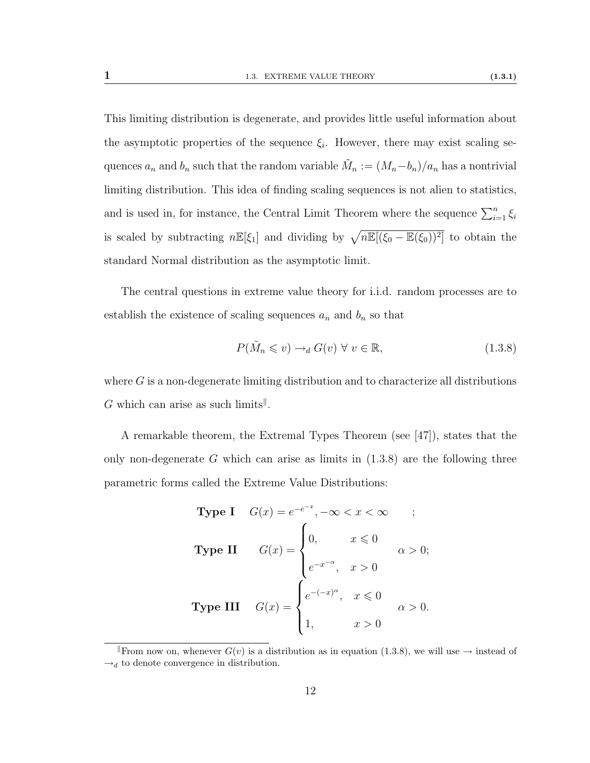This limiting distribution is degenerate, and provides little useful information about the asymptotic properties of the sequence  $\xi_i$ . However, there may exist scaling sequences  $a_n$  and  $b_n$  such that the random variable  $\tilde{M}_n := (M_n - b_n)/a_n$  has a nontrivial limiting distribution. This idea of finding scaling sequences is not alien to statistics, and is used in, for instance, the Central Limit Theorem where the sequence  $\sum_{i=1}^{n} \xi_i$ is scaled by subtracting  $n \mathbb{E}[\xi_1]$  and dividing by  $\sqrt{n \mathbb{E}[(\xi_0 - \mathbb{E}(\xi_0))^2]}$  to obtain the standard Normal distribution as the asymptotic limit.

The central questions in extreme value theory for i.i.d. random processes are to establish the existence of scaling sequences  $a_n$  and  $b_n$  so that

<span id="page-19-1"></span>
$$
P(\tilde{M}_n \leq v) \to_d G(v) \ \forall \ v \in \mathbb{R},\tag{1.3.8}
$$

where  $G$  is a non-degenerate limiting distribution and to characterize all distributions G which can arise as such limits<sup> $\parallel$ </sup>.

A remarkable theorem, the Extremal Types Theorem (see [\[47\]](#page-115-4)), states that the only non-degenerate G which can arise as limits in  $(1.3.8)$  are the following three parametric forms called the Extreme Value Distributions:

Type I 
$$
G(x) = e^{-e^{-x}}, -\infty < x < \infty
$$
 ;  
\nType II  $G(x) = \begin{cases} 0, & x \le 0 \\ e^{-x^{-\alpha}}, & x > 0 \end{cases}$   $\alpha > 0$ ;  
\nType III  $G(x) = \begin{cases} e^{-(-x)^{\alpha}}, & x \le 0 \\ 1, & x > 0 \end{cases}$   $\alpha > 0$ .

<span id="page-19-0"></span>From now on, whenever  $G(v)$  is a distribution as in equation [\(1.3.8\)](#page-19-1), we will use  $\rightarrow$  instead of  $\rightarrow_d$  to denote convergence in distribution.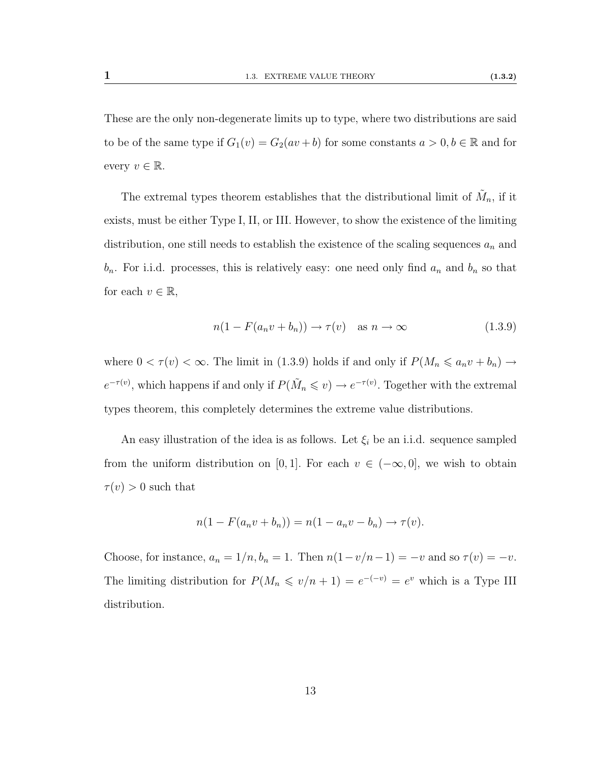These are the only non-degenerate limits up to type, where two distributions are said to be of the same type if  $G_1(v) = G_2(av + b)$  for some constants  $a > 0, b \in \mathbb{R}$  and for every  $v \in \mathbb{R}$ .

The extremal types theorem establishes that the distributional limit of  $\tilde{M}_n$ , if it exists, must be either Type I, II, or III. However, to show the existence of the limiting distribution, one still needs to establish the existence of the scaling sequences  $a_n$  and  $b_n$ . For i.i.d. processes, this is relatively easy: one need only find  $a_n$  and  $b_n$  so that for each  $v \in \mathbb{R}$ ,

<span id="page-20-0"></span>
$$
n(1 - F(a_n v + b_n)) \to \tau(v) \quad \text{as } n \to \infty \tag{1.3.9}
$$

where  $0 < \tau(v) < \infty$ . The limit in [\(1.3.9\)](#page-20-0) holds if and only if  $P(M_n \leq a_n v + b_n) \to$  $e^{-\tau(v)}$ , which happens if and only if  $P(\tilde{M}_n \leq v) \to e^{-\tau(v)}$ . Together with the extremal types theorem, this completely determines the extreme value distributions.

An easy illustration of the idea is as follows. Let  $\xi_i$  be an i.i.d. sequence sampled from the uniform distribution on [0, 1]. For each  $v \in (-\infty, 0]$ , we wish to obtain  $\tau(v) > 0$  such that

$$
n(1 - F(a_n v + b_n)) = n(1 - a_n v - b_n) \rightarrow \tau(v).
$$

Choose, for instance,  $a_n = 1/n$ ,  $b_n = 1$ . Then  $n(1-v/n-1) = -v$  and so  $\tau(v) = -v$ . The limiting distribution for  $P(M_n \leq v/n + 1) = e^{-(-v)} = e^v$  which is a Type III distribution.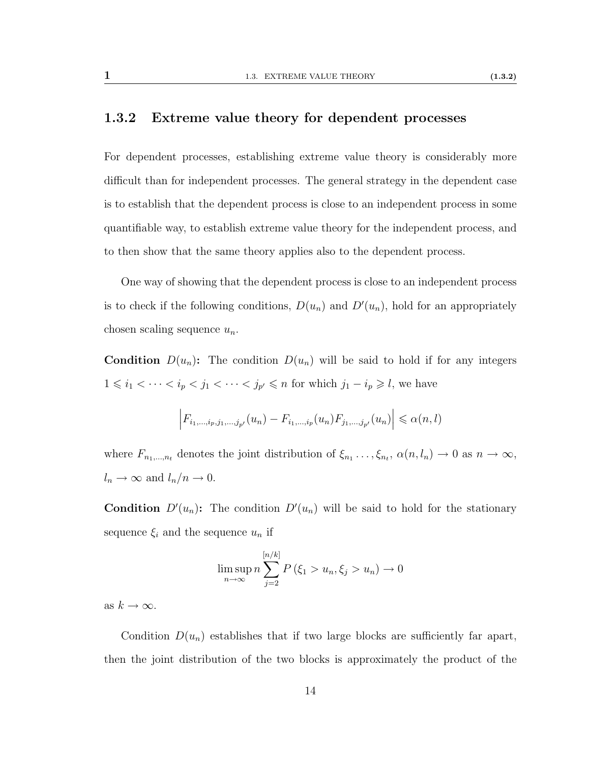#### <span id="page-21-0"></span>1.3.2 Extreme value theory for dependent processes

For dependent processes, establishing extreme value theory is considerably more difficult than for independent processes. The general strategy in the dependent case is to establish that the dependent process is close to an independent process in some quantifiable way, to establish extreme value theory for the independent process, and to then show that the same theory applies also to the dependent process.

One way of showing that the dependent process is close to an independent process is to check if the following conditions,  $D(u_n)$  and  $D'(u_n)$ , hold for an appropriately chosen scaling sequence  $u_n$ .

**Condition**  $D(u_n)$ : The condition  $D(u_n)$  will be said to hold if for any integers  $1 \leq i_1 < \cdots < i_p < j_1 < \cdots < j_{p'} \leq n$  for which  $j_1 - i_p \geq l$ , we have

$$
\left| F_{i_1,...,i_p,j_1,...,j_{p'}}(u_n) - F_{i_1,...,i_p}(u_n) F_{j_1,...,j_{p'}}(u_n) \right| \leq \alpha(n,l)
$$

where  $F_{n_1,...,n_t}$  denotes the joint distribution of  $\xi_{n_1} \dots, \xi_{n_t}$ ,  $\alpha(n, l_n) \to 0$  as  $n \to \infty$ ,  $l_n \to \infty$  and  $l_n/n \to 0$ .

**Condition**  $D'(u_n)$ : The condition  $D'(u_n)$  will be said to hold for the stationary sequence  $\xi_i$  and the sequence  $u_n$  if

$$
\limsup_{n \to \infty} n \sum_{j=2}^{\lfloor n/k \rfloor} P(\xi_1 > u_n, \xi_j > u_n) \to 0
$$

as  $k \to \infty$ .

Condition  $D(u_n)$  establishes that if two large blocks are sufficiently far apart, then the joint distribution of the two blocks is approximately the product of the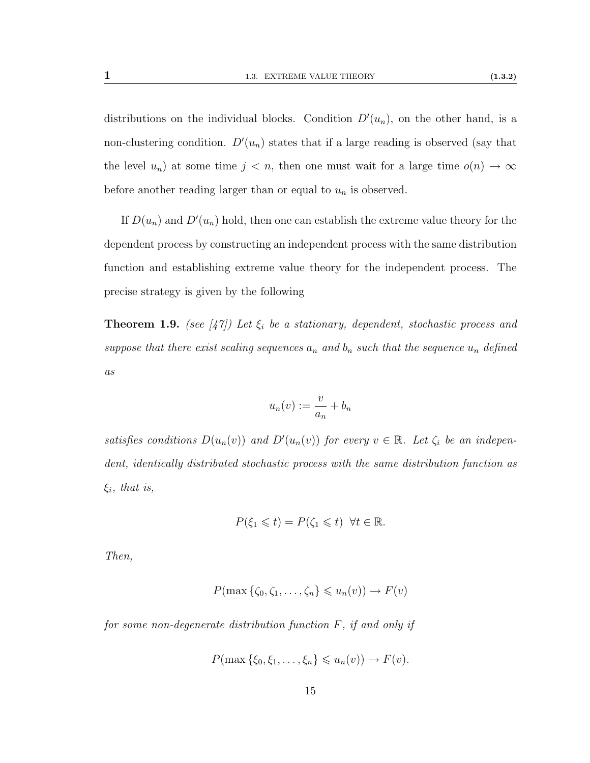distributions on the individual blocks. Condition  $D'(u_n)$ , on the other hand, is a non-clustering condition.  $D'(u_n)$  states that if a large reading is observed (say that the level  $u_n$ ) at some time  $j < n$ , then one must wait for a large time  $o(n) \to \infty$ before another reading larger than or equal to  $u_n$  is observed.

If  $D(u_n)$  and  $D'(u_n)$  hold, then one can establish the extreme value theory for the dependent process by constructing an independent process with the same distribution function and establishing extreme value theory for the independent process. The precise strategy is given by the following

<span id="page-22-0"></span>**Theorem 1.9.** (see [\[47\]](#page-115-4)) Let  $\xi_i$  be a stationary, dependent, stochastic process and suppose that there exist scaling sequences  $a_n$  and  $b_n$  such that the sequence  $u_n$  defined as

$$
u_n(v) := \frac{v}{a_n} + b_n
$$

satisfies conditions  $D(u_n(v))$  and  $D'(u_n(v))$  for every  $v \in \mathbb{R}$ . Let  $\zeta_i$  be an independent, identically distributed stochastic process with the same distribution function as  $\xi_i$ , that is,

$$
P(\xi_1 \leq t) = P(\zeta_1 \leq t) \ \forall t \in \mathbb{R}.
$$

Then,

$$
P(\max\left\{\zeta_0,\zeta_1,\ldots,\zeta_n\right\}\leqslant u_n(v))\to F(v)
$$

for some non-degenerate distribution function  $F$ , if and only if

$$
P(\max\{\xi_0,\xi_1,\ldots,\xi_n\}\leq u_n(v))\to F(v).
$$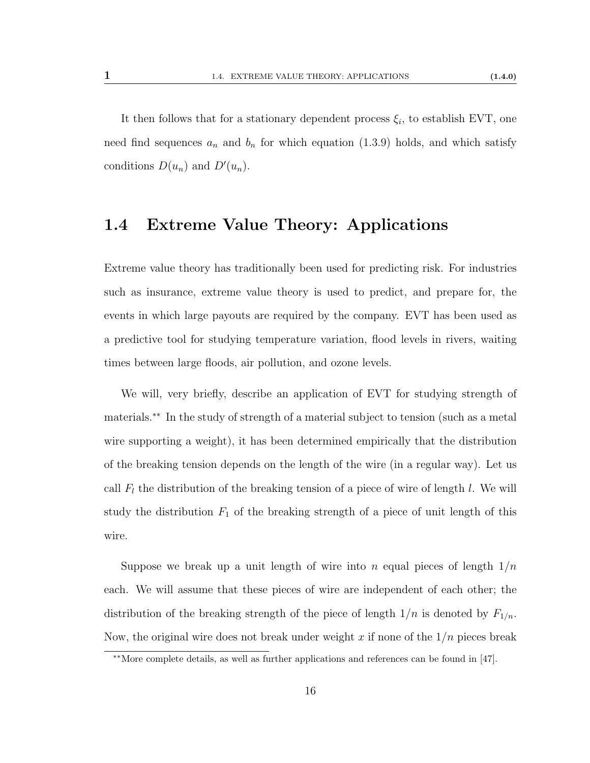It then follows that for a stationary dependent process  $\xi_i$ , to establish EVT, one need find sequences  $a_n$  and  $b_n$  for which equation [\(1.3.9\)](#page-20-0) holds, and which satisfy conditions  $D(u_n)$  and  $D'(u_n)$ .

### <span id="page-23-0"></span>1.4 Extreme Value Theory: Applications

Extreme value theory has traditionally been used for predicting risk. For industries such as insurance, extreme value theory is used to predict, and prepare for, the events in which large payouts are required by the company. EVT has been used as a predictive tool for studying temperature variation, flood levels in rivers, waiting times between large floods, air pollution, and ozone levels.

We will, very briefly, describe an application of EVT for studying strength of materials.[∗∗](#page-23-1) In the study of strength of a material subject to tension (such as a metal wire supporting a weight), it has been determined empirically that the distribution of the breaking tension depends on the length of the wire (in a regular way). Let us call  $F_l$  the distribution of the breaking tension of a piece of wire of length  $l$ . We will study the distribution  $F_1$  of the breaking strength of a piece of unit length of this wire.

Suppose we break up a unit length of wire into n equal pieces of length  $1/n$ each. We will assume that these pieces of wire are independent of each other; the distribution of the breaking strength of the piece of length  $1/n$  is denoted by  $F_{1/n}$ . Now, the original wire does not break under weight  $x$  if none of the  $1/n$  pieces break

<span id="page-23-1"></span><sup>∗∗</sup>More complete details, as well as further applications and references can be found in [\[47\]](#page-115-4).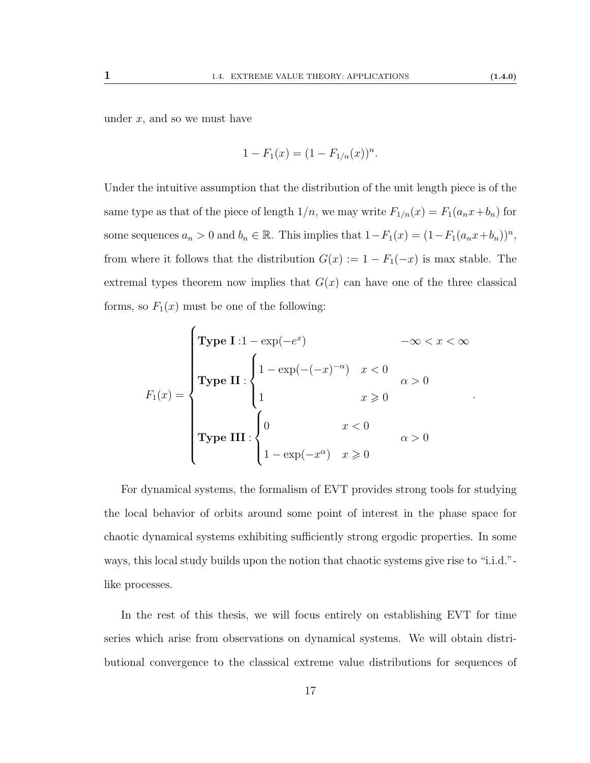under  $x$ , and so we must have

í

$$
1 - F_1(x) = (1 - F_{1/n}(x))^n.
$$

Under the intuitive assumption that the distribution of the unit length piece is of the same type as that of the piece of length  $1/n$ , we may write  $F_{1/n}(x) = F_1(a_n x + b_n)$  for some sequences  $a_n > 0$  and  $b_n \in \mathbb{R}$ . This implies that  $1 - F_1(x) = (1 - F_1(a_n x + b_n))^n$ , from where it follows that the distribution  $G(x) := 1 - F_1(-x)$  is max stable. The extremal types theorem now implies that  $G(x)$  can have one of the three classical forms, so  $F_1(x)$  must be one of the following:

$$
F_1(x) = \begin{cases} \text{Type I : } 1 - \exp(-e^x) & -\infty < x < \infty \\ \text{Type II :} \\ \text{Type II :} \\ 1 & x \geqslant 0 \\ \text{Type III :} \\ \begin{cases} 0 & x < 0 \\ 1 - \exp(-x^{\alpha}) & x \geqslant 0 \end{cases} & \alpha > 0 \end{cases}
$$

For dynamical systems, the formalism of EVT provides strong tools for studying the local behavior of orbits around some point of interest in the phase space for chaotic dynamical systems exhibiting sufficiently strong ergodic properties. In some ways, this local study builds upon the notion that chaotic systems give rise to "i.i.d." like processes.

In the rest of this thesis, we will focus entirely on establishing EVT for time series which arise from observations on dynamical systems. We will obtain distributional convergence to the classical extreme value distributions for sequences of

.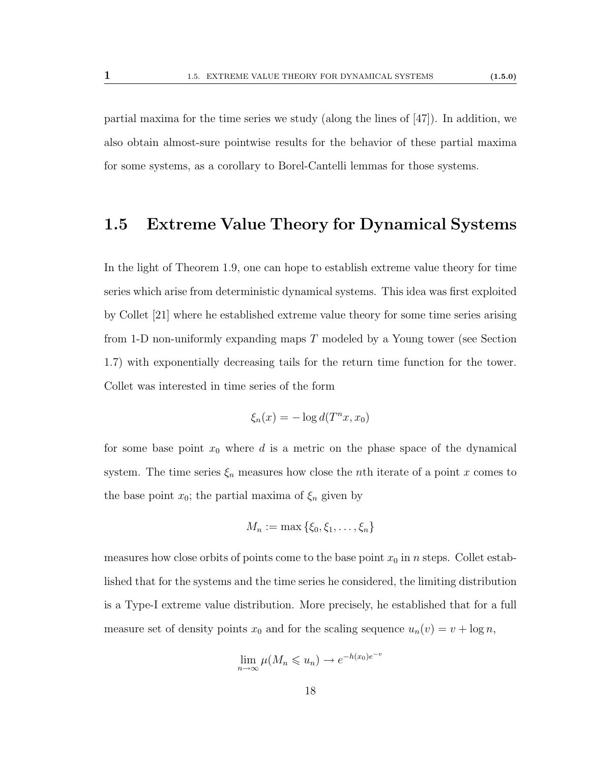partial maxima for the time series we study (along the lines of [\[47\]](#page-115-4)). In addition, we also obtain almost-sure pointwise results for the behavior of these partial maxima for some systems, as a corollary to Borel-Cantelli lemmas for those systems.

#### <span id="page-25-0"></span>1.5 Extreme Value Theory for Dynamical Systems

In the light of Theorem [1.9,](#page-22-0) one can hope to establish extreme value theory for time series which arise from deterministic dynamical systems. This idea was first exploited by Collet [\[21\]](#page-113-4) where he established extreme value theory for some time series arising from 1-D non-uniformly expanding maps T modeled by a Young tower (see Section [1.7\)](#page-36-0) with exponentially decreasing tails for the return time function for the tower. Collet was interested in time series of the form

$$
\xi_n(x) = -\log d(T^n x, x_0)
$$

for some base point  $x_0$  where d is a metric on the phase space of the dynamical system. The time series  $\xi_n$  measures how close the *n*th iterate of a point x comes to the base point  $x_0$ ; the partial maxima of  $\xi_n$  given by

$$
M_n := \max\left\{\xi_0, \xi_1, \ldots, \xi_n\right\}
$$

measures how close orbits of points come to the base point  $x_0$  in n steps. Collet established that for the systems and the time series he considered, the limiting distribution is a Type-I extreme value distribution. More precisely, he established that for a full measure set of density points  $x_0$  and for the scaling sequence  $u_n(v) = v + \log n$ ,

$$
\lim_{n \to \infty} \mu(M_n \leqslant u_n) \to e^{-h(x_0)e^{-v}}
$$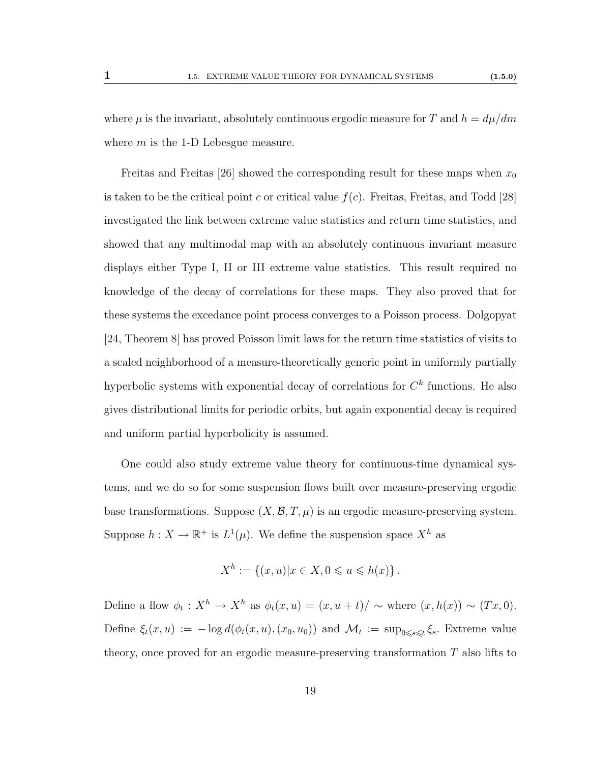Freitas and Freitas [\[26\]](#page-114-2) showed the corresponding result for these maps when  $x_0$ is taken to be the critical point c or critical value  $f(c)$ . Freitas, Freitas, and Todd [\[28\]](#page-114-3) investigated the link between extreme value statistics and return time statistics, and showed that any multimodal map with an absolutely continuous invariant measure displays either Type I, II or III extreme value statistics. This result required no knowledge of the decay of correlations for these maps. They also proved that for these systems the excedance point process converges to a Poisson process. Dolgopyat [\[24,](#page-114-0) Theorem 8] has proved Poisson limit laws for the return time statistics of visits to a scaled neighborhood of a measure-theoretically generic point in uniformly partially hyperbolic systems with exponential decay of correlations for  $C<sup>k</sup>$  functions. He also gives distributional limits for periodic orbits, but again exponential decay is required and uniform partial hyperbolicity is assumed.

One could also study extreme value theory for continuous-time dynamical systems, and we do so for some suspension flows built over measure-preserving ergodic base transformations. Suppose  $(X, \mathcal{B}, T, \mu)$  is an ergodic measure-preserving system. Suppose  $h: X \to \mathbb{R}^+$  is  $L^1(\mu)$ . We define the suspension space  $X^h$  as

$$
X^{h} := \{(x, u) | x \in X, 0 \leq u \leq h(x) \}.
$$

Define a flow  $\phi_t: X^h \to X^h$  as  $\phi_t(x, u) = (x, u + t) / \sim$  where  $(x, h(x)) \sim (Tx, 0)$ . Define  $\xi_t(x, u) := -\log d(\phi_t(x, u), (x_0, u_0))$  and  $\mathcal{M}_t := \sup_{0 \le s \le t} \xi_s$ . Extreme value theory, once proved for an ergodic measure-preserving transformation T also lifts to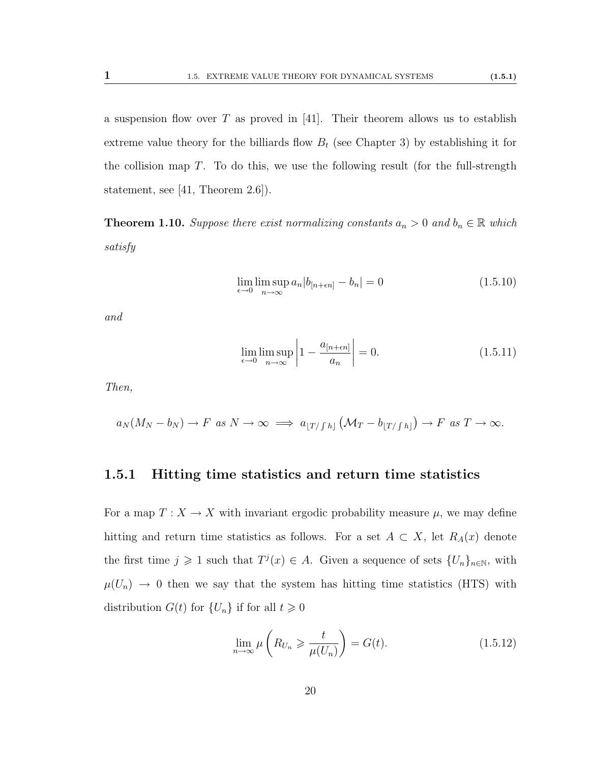a suspension flow over T as proved in [\[41\]](#page-115-5). Their theorem allows us to establish extreme value theory for the billiards flow  $B_t$  (see Chapter [3\)](#page-61-0) by establishing it for the collision map  $T$ . To do this, we use the following result (for the full-strength statement, see [\[41,](#page-115-5) Theorem 2.6]).

**Theorem 1.10.** Suppose there exist normalizing constants  $a_n > 0$  and  $b_n \in \mathbb{R}$  which satisfy

$$
\lim_{\epsilon \to 0} \limsup_{n \to \infty} a_n |b_{[n+\epsilon n]} - b_n| = 0 \tag{1.5.10}
$$

and

$$
\lim_{\epsilon \to 0} \limsup_{n \to \infty} \left| 1 - \frac{a_{[n+\epsilon n]}}{a_n} \right| = 0. \tag{1.5.11}
$$

Then,

$$
a_N(M_N - b_N) \to F \text{ as } N \to \infty \implies a_{[T/fh]}(M_T - b_{[T/fh]}) \to F \text{ as } T \to \infty.
$$

#### 1.5.1 Hitting time statistics and return time statistics

For a map  $T : X \to X$  with invariant ergodic probability measure  $\mu$ , we may define hitting and return time statistics as follows. For a set  $A \subset X$ , let  $R_A(x)$  denote the first time  $j \geq 1$  such that  $T^j(x) \in A$ . Given a sequence of sets  $\{U_n\}_{n\in\mathbb{N}}$ , with  $\mu(U_n) \to 0$  then we say that the system has hitting time statistics (HTS) with distribution  $G(t)$  for  $\{U_n\}$  if for all  $t \geq 0$ 

<span id="page-27-0"></span>
$$
\lim_{n \to \infty} \mu\left(R_{U_n} \geq \frac{t}{\mu(U_n)}\right) = G(t). \tag{1.5.12}
$$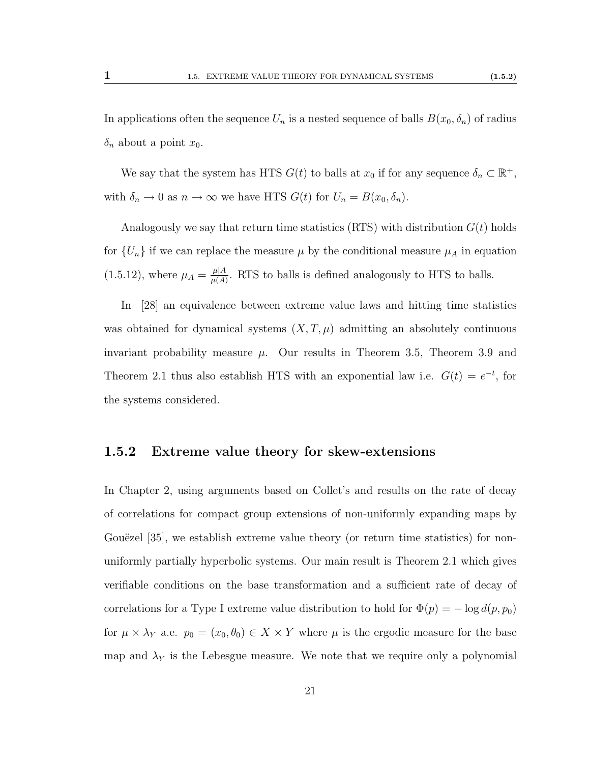In applications often the sequence  $U_n$  is a nested sequence of balls  $B(x_0, \delta_n)$  of radius  $\delta_n$  about a point  $x_0$ .

We say that the system has HTS  $G(t)$  to balls at  $x_0$  if for any sequence  $\delta_n \subset \mathbb{R}^+$ , with  $\delta_n \to 0$  as  $n \to \infty$  we have HTS  $G(t)$  for  $U_n = B(x_0, \delta_n)$ .

Analogously we say that return time statistics (RTS) with distribution  $G(t)$  holds for  $\{U_n\}$  if we can replace the measure  $\mu$  by the conditional measure  $\mu_A$  in equation  $(1.5.12)$ , where  $\mu_A = \frac{\mu |A}{\mu(A)}$  $\frac{\mu|A}{\mu(A)}$ . RTS to balls is defined analogously to HTS to balls.

In [\[28\]](#page-114-3) an equivalence between extreme value laws and hitting time statistics was obtained for dynamical systems  $(X, T, \mu)$  admitting an absolutely continuous invariant probability measure  $\mu$ . Our results in Theorem [3.5,](#page-75-0) Theorem [3.9](#page-82-0) and Theorem [2.1](#page-43-0) thus also establish HTS with an exponential law i.e.  $G(t) = e^{-t}$ , for the systems considered.

#### 1.5.2 Extreme value theory for skew-extensions

In Chapter [2,](#page-41-0) using arguments based on Collet's and results on the rate of decay of correlations for compact group extensions of non-uniformly expanding maps by Gouëzel [\[35\]](#page-114-4), we establish extreme value theory (or return time statistics) for nonuniformly partially hyperbolic systems. Our main result is Theorem [2.1](#page-43-0) which gives verifiable conditions on the base transformation and a sufficient rate of decay of correlations for a Type I extreme value distribution to hold for  $\Phi(p) = -\log d(p, p_0)$ for  $\mu \times \lambda_Y$  a.e.  $p_0 = (x_0, \theta_0) \in X \times Y$  where  $\mu$  is the ergodic measure for the base map and  $\lambda_Y$  is the Lebesgue measure. We note that we require only a polynomial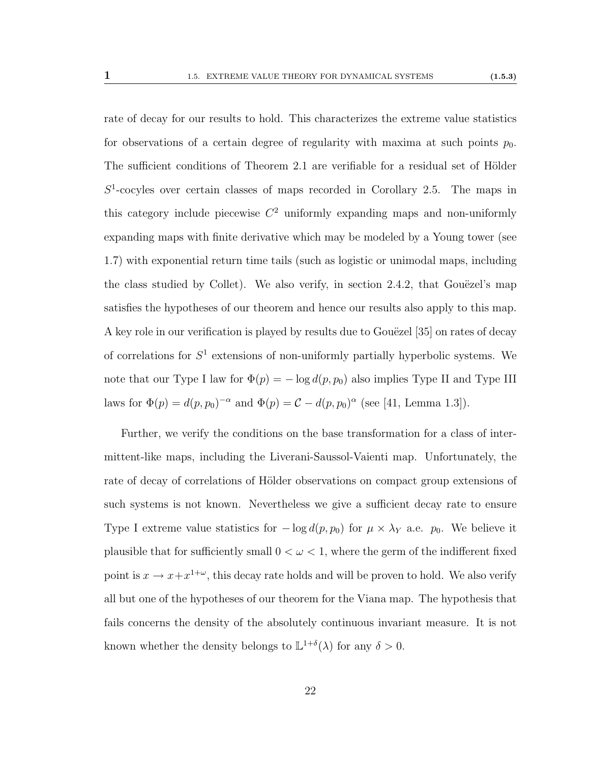rate of decay for our results to hold. This characterizes the extreme value statistics for observations of a certain degree of regularity with maxima at such points  $p_0$ . The sufficient conditions of Theorem [2.1](#page-43-0) are verifiable for a residual set of Hölder  $S<sup>1</sup>$ -cocyles over certain classes of maps recorded in Corollary [2.5.](#page-44-0) The maps in this category include piecewise  $C^2$  uniformly expanding maps and non-uniformly expanding maps with finite derivative which may be modeled by a Young tower (see [1.7\)](#page-36-0) with exponential return time tails (such as logistic or unimodal maps, including the class studied by Collet). We also verify, in section  $2.4.2$ , that Gouëzel's map satisfies the hypotheses of our theorem and hence our results also apply to this map. A key role in our verification is played by results due to Gouëzel [\[35\]](#page-114-4) on rates of decay of correlations for  $S^1$  extensions of non-uniformly partially hyperbolic systems. We note that our Type I law for  $\Phi(p) = -\log d(p, p_0)$  also implies Type II and Type III laws for  $\Phi(p) = d(p, p_0)^{-\alpha}$  and  $\Phi(p) = C - d(p, p_0)^{\alpha}$  (see [\[41,](#page-115-5) Lemma 1.3]).

Further, we verify the conditions on the base transformation for a class of intermittent-like maps, including the Liverani-Saussol-Vaienti map. Unfortunately, the rate of decay of correlations of Hölder observations on compact group extensions of such systems is not known. Nevertheless we give a sufficient decay rate to ensure Type I extreme value statistics for  $-\log d(p, p_0)$  for  $\mu \times \lambda_Y$  a.e.  $p_0$ . We believe it plausible that for sufficiently small  $0 < \omega < 1$ , where the germ of the indifferent fixed point is  $x \to x + x^{1+\omega}$ , this decay rate holds and will be proven to hold. We also verify all but one of the hypotheses of our theorem for the Viana map. The hypothesis that fails concerns the density of the absolutely continuous invariant measure. It is not known whether the density belongs to  $\mathbb{L}^{1+\delta}(\lambda)$  for any  $\delta > 0$ .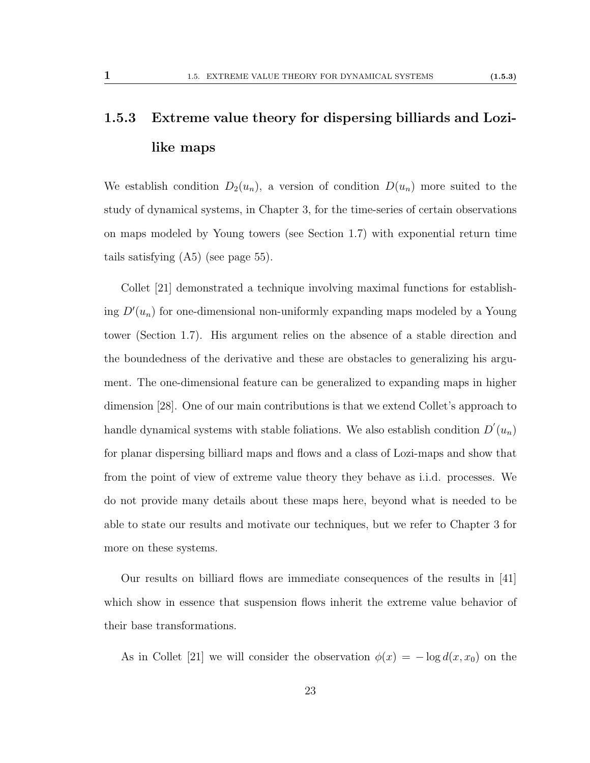## <span id="page-30-0"></span>1.5.3 Extreme value theory for dispersing billiards and Lozilike maps

We establish condition  $D_2(u_n)$ , a version of condition  $D(u_n)$  more suited to the study of dynamical systems, in Chapter [3,](#page-61-0) for the time-series of certain observations on maps modeled by Young towers (see Section [1.7\)](#page-36-0) with exponential return time tails satisfying [\(A5\)](#page-62-1) (see page [55\)](#page-62-1).

Collet [\[21\]](#page-113-4) demonstrated a technique involving maximal functions for establishing  $D'(u_n)$  for one-dimensional non-uniformly expanding maps modeled by a Young tower (Section [1.7\)](#page-36-0). His argument relies on the absence of a stable direction and the boundedness of the derivative and these are obstacles to generalizing his argument. The one-dimensional feature can be generalized to expanding maps in higher dimension [\[28\]](#page-114-3). One of our main contributions is that we extend Collet's approach to handle dynamical systems with stable foliations. We also establish condition  $D'(u_n)$ for planar dispersing billiard maps and flows and a class of Lozi-maps and show that from the point of view of extreme value theory they behave as i.i.d. processes. We do not provide many details about these maps here, beyond what is needed to be able to state our results and motivate our techniques, but we refer to Chapter [3](#page-61-0) for more on these systems.

Our results on billiard flows are immediate consequences of the results in [\[41\]](#page-115-5) which show in essence that suspension flows inherit the extreme value behavior of their base transformations.

As in Collet [\[21\]](#page-113-4) we will consider the observation  $\phi(x) = -\log d(x, x_0)$  on the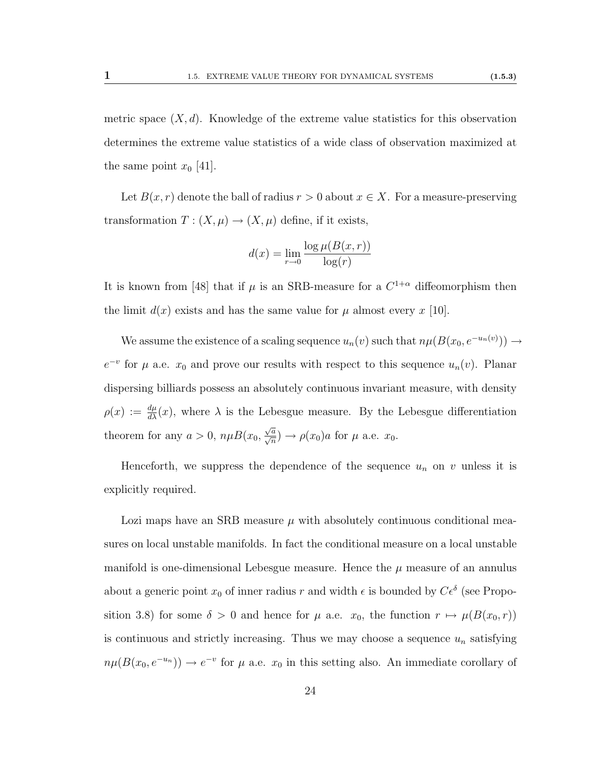metric space  $(X, d)$ . Knowledge of the extreme value statistics for this observation determines the extreme value statistics of a wide class of observation maximized at the same point  $x_0$  [\[41\]](#page-115-5).

Let  $B(x, r)$  denote the ball of radius  $r > 0$  about  $x \in X$ . For a measure-preserving transformation  $T : (X, \mu) \to (X, \mu)$  define, if it exists,

$$
d(x) = \lim_{r \to 0} \frac{\log \mu(B(x, r))}{\log(r)}
$$

It is known from [\[48\]](#page-115-6) that if  $\mu$  is an SRB-measure for a  $C^{1+\alpha}$  diffeomorphism then the limit  $d(x)$  exists and has the same value for  $\mu$  almost every x [\[10\]](#page-113-5).

We assume the existence of a scaling sequence  $u_n(v)$  such that  $n\mu(B(x_0, e^{-u_n(v)})) \to$  $e^{-v}$  for  $\mu$  a.e.  $x_0$  and prove our results with respect to this sequence  $u_n(v)$ . Planar dispersing billiards possess an absolutely continuous invariant measure, with density  $\rho(x) := \frac{d\mu}{dx}(x)$ , where  $\lambda$  is the Lebesgue measure. By the Lebesgue differentiation theorem for any  $a > 0$ ,  $n\mu B(x_0,$  $\frac{\sqrt{a}}{\sqrt{n}}$ )  $\rightarrow \rho(x_0)a$  for  $\mu$  a.e.  $x_0$ .

Henceforth, we suppress the dependence of the sequence  $u_n$  on v unless it is explicitly required.

Lozi maps have an SRB measure  $\mu$  with absolutely continuous conditional measures on local unstable manifolds. In fact the conditional measure on a local unstable manifold is one-dimensional Lebesgue measure. Hence the  $\mu$  measure of an annulus about a generic point  $x_0$  of inner radius r and width  $\epsilon$  is bounded by  $C\epsilon^{\delta}$  (see Propo-sition [3.8\)](#page-81-0) for some  $\delta > 0$  and hence for  $\mu$  a.e.  $x_0$ , the function  $r \mapsto \mu(B(x_0, r))$ is continuous and strictly increasing. Thus we may choose a sequence  $u_n$  satisfying  $n\mu(B(x_0, e^{-u_n})) \to e^{-v}$  for  $\mu$  a.e.  $x_0$  in this setting also. An immediate corollary of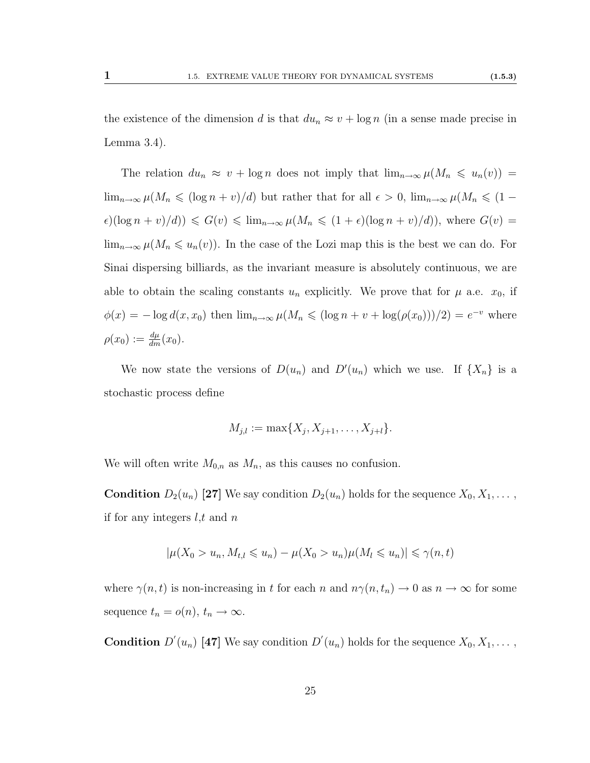the existence of the dimension d is that  $du_n \approx v + \log n$  (in a sense made precise in Lemma [3.4\)](#page-0-0).

The relation  $du_n \approx v + \log n$  does not imply that  $\lim_{n\to\infty} \mu(M_n \leq u_n(v))$  $\lim_{n\to\infty}\mu(M_n\leqslant(\log n+v)/d)$  but rather that for all  $\epsilon>0$ ,  $\lim_{n\to\infty}\mu(M_n\leqslant(1-\epsilon))$  $\epsilon$ )(log  $n + v/d)$ )  $\leqslant G(v) \leqslant \lim_{n \to \infty} \mu(M_n \leqslant (1 + \epsilon)(\log n + v)/d)$ ), where  $G(v)$  =  $\lim_{n\to\infty}\mu(M_n\leq u_n(v)).$  In the case of the Lozi map this is the best we can do. For Sinai dispersing billiards, as the invariant measure is absolutely continuous, we are able to obtain the scaling constants  $u_n$  explicitly. We prove that for  $\mu$  a.e.  $x_0$ , if  $\phi(x) = -\log d(x, x_0)$  then  $\lim_{n\to\infty} \mu(M_n \leqslant (\log n + v + \log(\rho(x_0))))/2) = e^{-v}$  where  $\rho(x_0) := \frac{d\mu}{dm}(x_0).$ 

We now state the versions of  $D(u_n)$  and  $D'(u_n)$  which we use. If  $\{X_n\}$  is a stochastic process define

$$
M_{j,l} := \max\{X_j, X_{j+1}, \dots, X_{j+l}\}.
$$

We will often write  $M_{0,n}$  as  $M_n$ , as this causes no confusion.

**Condition**  $D_2(u_n)$  [\[27\]](#page-114-5) We say condition  $D_2(u_n)$  holds for the sequence  $X_0, X_1, \ldots$ , if for any integers  $l, t$  and  $n$ 

$$
|\mu(X_0 > u_n, M_{t,l} \leq u_n) - \mu(X_0 > u_n)\mu(M_l \leq u_n)| \leq \gamma(n, t)
$$

where  $\gamma(n, t)$  is non-increasing in t for each n and  $n\gamma(n, t_n) \to 0$  as  $n \to \infty$  for some sequence  $t_n = o(n)$ ,  $t_n \to \infty$ .

**Condition**  $D'(u_n)$  [\[47\]](#page-115-4) We say condition  $D'(u_n)$  holds for the sequence  $X_0, X_1, \ldots$ ,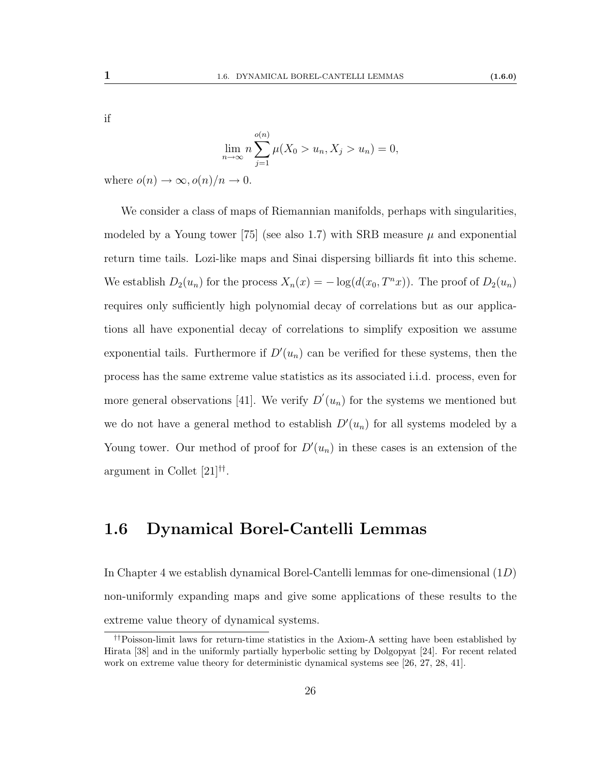$$
\lim_{n \to \infty} n \sum_{j=1}^{o(n)} \mu(X_0 > u_n, X_j > u_n) = 0,
$$

where  $o(n) \to \infty$ ,  $o(n)/n \to 0$ .

We consider a class of maps of Riemannian manifolds, perhaps with singularities, modeled by a Young tower [\[75\]](#page-117-4) (see also [1.7\)](#page-36-0) with SRB measure  $\mu$  and exponential return time tails. Lozi-like maps and Sinai dispersing billiards fit into this scheme. We establish  $D_2(u_n)$  for the process  $X_n(x) = -\log(d(x_0, T^n x))$ . The proof of  $D_2(u_n)$ requires only sufficiently high polynomial decay of correlations but as our applications all have exponential decay of correlations to simplify exposition we assume exponential tails. Furthermore if  $D'(u_n)$  can be verified for these systems, then the process has the same extreme value statistics as its associated i.i.d. process, even for more general observations [\[41\]](#page-115-5). We verify  $D'(u_n)$  for the systems we mentioned but we do not have a general method to establish  $D'(u_n)$  for all systems modeled by a Young tower. Our method of proof for  $D'(u_n)$  in these cases is an extension of the argument in Collet [\[21\]](#page-113-4) [††](#page-33-1) .

### <span id="page-33-0"></span>1.6 Dynamical Borel-Cantelli Lemmas

In Chapter [4](#page-89-0) we establish dynamical Borel-Cantelli lemmas for one-dimensional  $(1D)$ non-uniformly expanding maps and give some applications of these results to the extreme value theory of dynamical systems.

<span id="page-33-1"></span><sup>††</sup>Poisson-limit laws for return-time statistics in the Axiom-A setting have been established by Hirata [\[38\]](#page-115-1) and in the uniformly partially hyperbolic setting by Dolgopyat [\[24\]](#page-114-0). For recent related work on extreme value theory for deterministic dynamical systems see [\[26,](#page-114-2) [27,](#page-114-5) [28,](#page-114-3) [41\]](#page-115-5).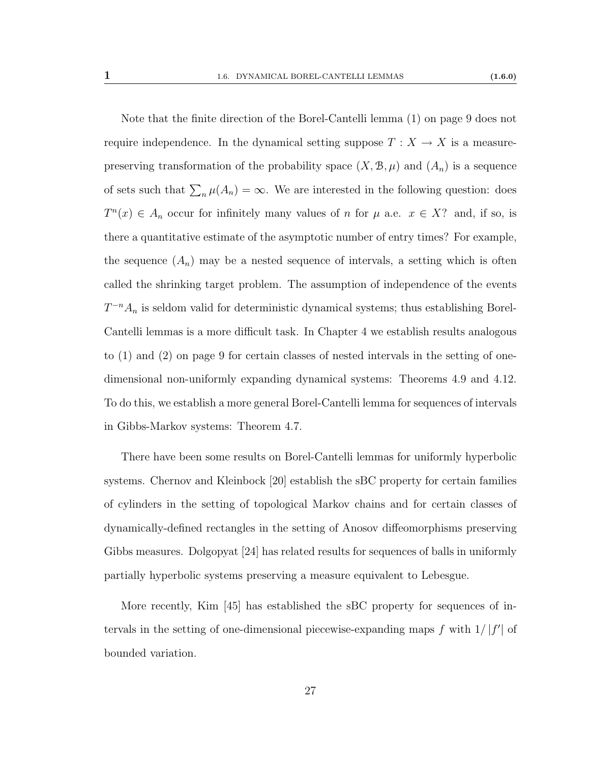Note that the finite direction of the Borel-Cantelli lemma [\(1\)](#page-16-2) on page [9](#page-16-2) does not require independence. In the dynamical setting suppose  $T : X \to X$  is a measurepreserving transformation of the probability space  $(X, \mathcal{B}, \mu)$  and  $(A_n)$  is a sequence of sets such that  $\sum_n \mu(A_n) = \infty$ . We are interested in the following question: does  $T^n(x) \in A_n$  occur for infinitely many values of n for  $\mu$  a.e.  $x \in X$ ? and, if so, is there a quantitative estimate of the asymptotic number of entry times? For example, the sequence  $(A_n)$  may be a nested sequence of intervals, a setting which is often called the shrinking target problem. The assumption of independence of the events  $T^{-n}A_n$  is seldom valid for deterministic dynamical systems; thus establishing Borel-Cantelli lemmas is a more difficult task. In Chapter [4](#page-89-0) we establish results analogous to [\(1\)](#page-16-2) and [\(2\)](#page-16-3) on page [9](#page-16-2) for certain classes of nested intervals in the setting of onedimensional non-uniformly expanding dynamical systems: Theorems [4.9](#page-94-0) and [4.12.](#page-95-0) To do this, we establish a more general Borel-Cantelli lemma for sequences of intervals in Gibbs-Markov systems: Theorem [4.7.](#page-94-1)

There have been some results on Borel-Cantelli lemmas for uniformly hyperbolic systems. Chernov and Kleinbock [\[20\]](#page-113-6) establish the sBC property for certain families of cylinders in the setting of topological Markov chains and for certain classes of dynamically-defined rectangles in the setting of Anosov diffeomorphisms preserving Gibbs measures. Dolgopyat [\[24\]](#page-114-0) has related results for sequences of balls in uniformly partially hyperbolic systems preserving a measure equivalent to Lebesgue.

More recently, Kim [\[45\]](#page-115-7) has established the sBC property for sequences of intervals in the setting of one-dimensional piecewise-expanding maps f with  $1/|f'|$  of bounded variation.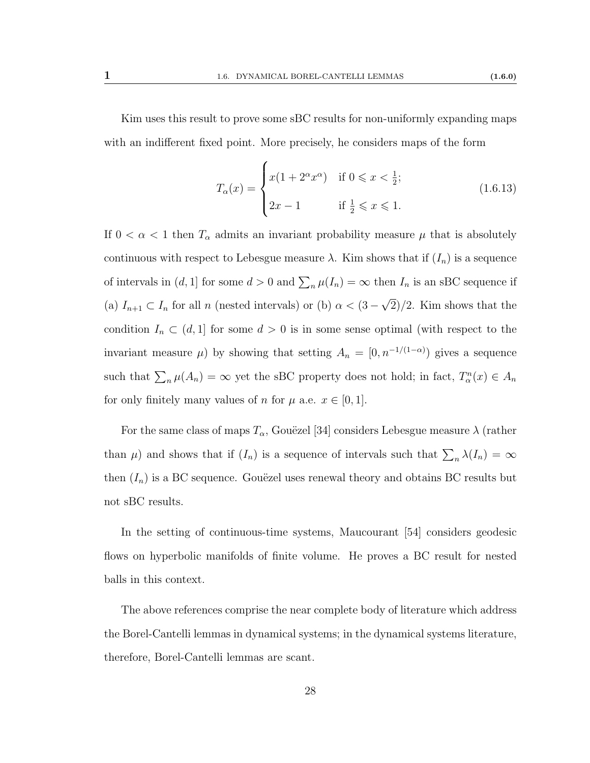Kim uses this result to prove some sBC results for non-uniformly expanding maps with an indifferent fixed point. More precisely, he considers maps of the form

$$
T_{\alpha}(x) = \begin{cases} x(1 + 2^{\alpha}x^{\alpha}) & \text{if } 0 \leq x < \frac{1}{2}; \\ 2x - 1 & \text{if } \frac{1}{2} \leq x \leq 1. \end{cases}
$$
(1.6.13)

If  $0 < \alpha < 1$  then  $T_{\alpha}$  admits an invariant probability measure  $\mu$  that is absolutely continuous with respect to Lebesgue measure  $\lambda$ . Kim shows that if  $(I_n)$  is a sequence of intervals in  $(d, 1]$  for some  $d > 0$  and  $\sum_{n} \mu(I_n) = \infty$  then  $I_n$  is an sBC sequence if (a)  $I_{n+1} \subset I_n$  for all n (nested intervals) or (b)  $\alpha < (3 -$ √ 2)/2. Kim shows that the condition  $I_n \subset (d, 1]$  for some  $d > 0$  is in some sense optimal (with respect to the invariant measure  $\mu$ ) by showing that setting  $A_n = [0, n^{-1/(1-\alpha)})$  gives a sequence such that  $\sum_n \mu(A_n) = \infty$  yet the sBC property does not hold; in fact,  $T_\alpha^n(x) \in A_n$ for only finitely many values of n for  $\mu$  a.e.  $x \in [0, 1]$ .

For the same class of maps  $T_{\alpha}$ , Gouëzel [\[34\]](#page-114-6) considers Lebesgue measure  $\lambda$  (rather than  $\mu$ ) and shows that if  $(I_n)$  is a sequence of intervals such that  $\sum_n \lambda(I_n) = \infty$ then  $(I_n)$  is a BC sequence. Gouëzel uses renewal theory and obtains BC results but not sBC results.

In the setting of continuous-time systems, Maucourant [\[54\]](#page-116-8) considers geodesic flows on hyperbolic manifolds of finite volume. He proves a BC result for nested balls in this context.

The above references comprise the near complete body of literature which address the Borel-Cantelli lemmas in dynamical systems; in the dynamical systems literature, therefore, Borel-Cantelli lemmas are scant.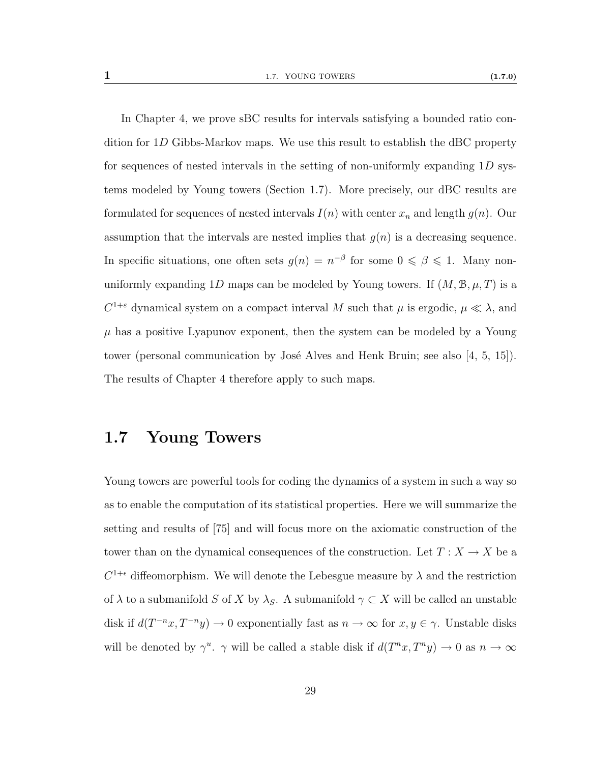In Chapter [4,](#page-89-0) we prove sBC results for intervals satisfying a bounded ratio condition for 1D Gibbs-Markov maps. We use this result to establish the dBC property for sequences of nested intervals in the setting of non-uniformly expanding 1D systems modeled by Young towers (Section [1.7\)](#page-36-0). More precisely, our dBC results are formulated for sequences of nested intervals  $I(n)$  with center  $x_n$  and length  $g(n)$ . Our assumption that the intervals are nested implies that  $g(n)$  is a decreasing sequence. In specific situations, one often sets  $g(n) = n^{-\beta}$  for some  $0 \le \beta \le 1$ . Many nonuniformly expanding 1D maps can be modeled by Young towers. If  $(M, \mathcal{B}, \mu, T)$  is a  $C^{1+\varepsilon}$  dynamical system on a compact interval M such that  $\mu$  is ergodic,  $\mu \ll \lambda$ , and  $\mu$  has a positive Lyapunov exponent, then the system can be modeled by a Young tower (personal communication by José Alves and Henk Bruin; see also [\[4,](#page-112-0) [5,](#page-112-1) [15\]](#page-113-0)). The results of Chapter [4](#page-89-0) therefore apply to such maps.

### <span id="page-36-0"></span>1.7 Young Towers

Young towers are powerful tools for coding the dynamics of a system in such a way so as to enable the computation of its statistical properties. Here we will summarize the setting and results of [\[75\]](#page-117-0) and will focus more on the axiomatic construction of the tower than on the dynamical consequences of the construction. Let  $T: X \to X$  be a  $C^{1+\epsilon}$  diffeomorphism. We will denote the Lebesgue measure by  $\lambda$  and the restriction of  $\lambda$  to a submanifold S of X by  $\lambda_S$ . A submanifold  $\gamma \subset X$  will be called an unstable disk if  $d(T^{-n}x, T^{-n}y) \to 0$  exponentially fast as  $n \to \infty$  for  $x, y \in \gamma$ . Unstable disks will be denoted by  $\gamma^u$ .  $\gamma$  will be called a stable disk if  $d(T^nx, T^ny) \to 0$  as  $n \to \infty$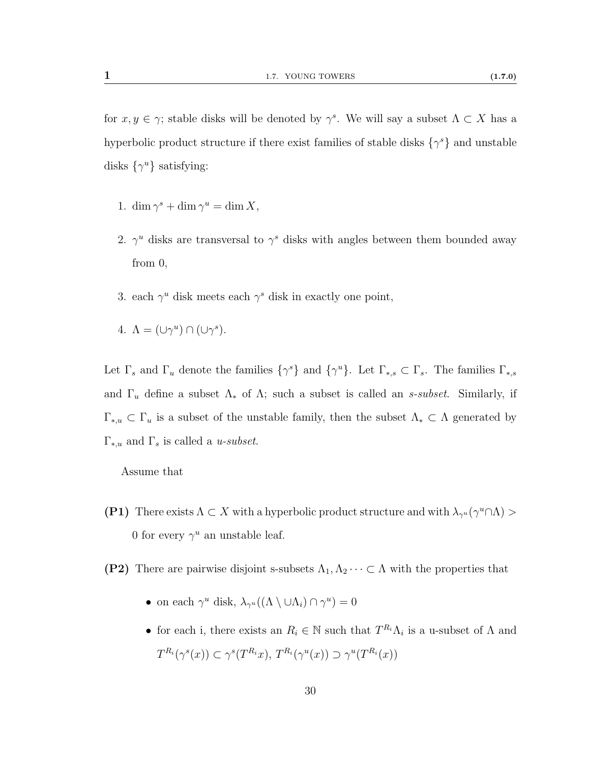for  $x, y \in \gamma$ ; stable disks will be denoted by  $\gamma^s$ . We will say a subset  $\Lambda \subset X$  has a hyperbolic product structure if there exist families of stable disks  $\{\gamma^s\}$  and unstable disks  $\{\gamma^u\}$  satisfying:

- 1. dim  $\gamma^s + \dim \gamma^u = \dim X$ ,
- 2.  $\gamma^u$  disks are transversal to  $\gamma^s$  disks with angles between them bounded away from 0,
- 3. each  $\gamma^u$  disk meets each  $\gamma^s$  disk in exactly one point,
- 4.  $\Lambda = (\cup \gamma^u) \cap (\cup \gamma^s)$ .

Let  $\Gamma_s$  and  $\Gamma_u$  denote the families  $\{\gamma^s\}$  and  $\{\gamma^u\}$ . Let  $\Gamma_{*,s} \subset \Gamma_s$ . The families  $\Gamma_{*,s}$ and  $\Gamma_u$  define a subset  $\Lambda_*$  of  $\Lambda$ ; such a subset is called an s-subset. Similarly, if  $\Gamma_{*,u} \subset \Gamma_u$  is a subset of the unstable family, then the subset  $\Lambda_* \subset \Lambda$  generated by  $\Gamma_{*,u}$  and  $\Gamma_s$  is called a  $\mathit{u\text{-}subset}$ .

Assume that

- <span id="page-37-0"></span>**(P1)** There exists  $\Lambda \subset X$  with a hyperbolic product structure and with  $\lambda_{\gamma^u}(\gamma^u \cap \Lambda)$ 0 for every  $\gamma^u$  an unstable leaf.
- (P2) There are pairwise disjoint s-subsets  $\Lambda_1, \Lambda_2 \cdots \subset \Lambda$  with the properties that
	- on each  $\gamma^u$  disk,  $\lambda_{\gamma^u}((\Lambda \setminus \cup \Lambda_i) \cap \gamma^u) = 0$
	- for each i, there exists an  $R_i \in \mathbb{N}$  such that  $T^{R_i} \Lambda_i$  is a u-subset of  $\Lambda$  and  $T^{R_i}(\gamma^s(x)) \subset \gamma^s(T^{R_i}x), T^{R_i}(\gamma^u(x)) \supset \gamma^u(T^{R_i}(x))$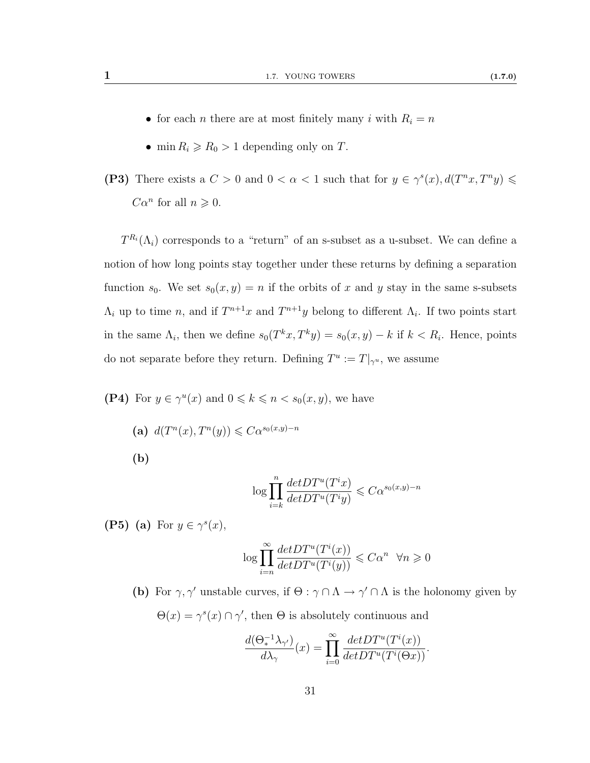- $\bullet\,$  for each  $n$  there are at most finitely many  $i$  with  $R_i=n$
- min  $R_i \ge R_0 > 1$  depending only on T.
- (P3) There exists a  $C > 0$  and  $0 < \alpha < 1$  such that for  $y \in \gamma^{s}(x)$ ,  $d(T^{n}x, T^{n}y) \leq$  $C\alpha^n$  for all  $n \geqslant 0$ .

 $T^{R_i}(\Lambda_i)$  corresponds to a "return" of an s-subset as a u-subset. We can define a notion of how long points stay together under these returns by defining a separation function  $s_0$ . We set  $s_0(x, y) = n$  if the orbits of x and y stay in the same s-subsets  $\Lambda_i$  up to time n, and if  $T^{n+1}x$  and  $T^{n+1}y$  belong to different  $\Lambda_i$ . If two points start in the same  $\Lambda_i$ , then we define  $s_0(T^kx, T^ky) = s_0(x, y) - k$  if  $k < R_i$ . Hence, points do not separate before they return. Defining  $T^u := T|_{\gamma^u}$ , we assume

- (P4) For  $y \in \gamma^u(x)$  and  $0 \leq k \leq n \lt s_0(x, y)$ , we have
	- (a)  $d(T^n(x), T^n(y)) \leq C\alpha^{s_0(x,y)-n}$ (b)

$$
\log \prod_{i=k}^{n} \frac{det DT^u(T^i x)}{det DT^u(T^i y)} \leqslant C\alpha^{s_0(x,y)-n}
$$

<span id="page-38-0"></span>(P5) (a) For  $y \in \gamma^{s}(x)$ ,

$$
\log \prod_{i=n}^{\infty} \frac{det DT^u(T^i(x))}{det DT^u(T^i(y))} \leqslant C\alpha^n \quad \forall n \geqslant 0
$$

(b) For  $\gamma$ ,  $\gamma'$  unstable curves, if  $\Theta$ :  $\gamma \cap \Lambda \to \gamma' \cap \Lambda$  is the holonomy given by  $\Theta(x) = \gamma^{s}(x) \cap \gamma'$ , then  $\Theta$  is absolutely continuous and

$$
\frac{d(\Theta_*^{-1}\lambda_{\gamma'})}{d\lambda_{\gamma}}(x) = \prod_{i=0}^{\infty} \frac{det DT^u(T^i(x))}{det DT^u(T^i(\Theta x))}.
$$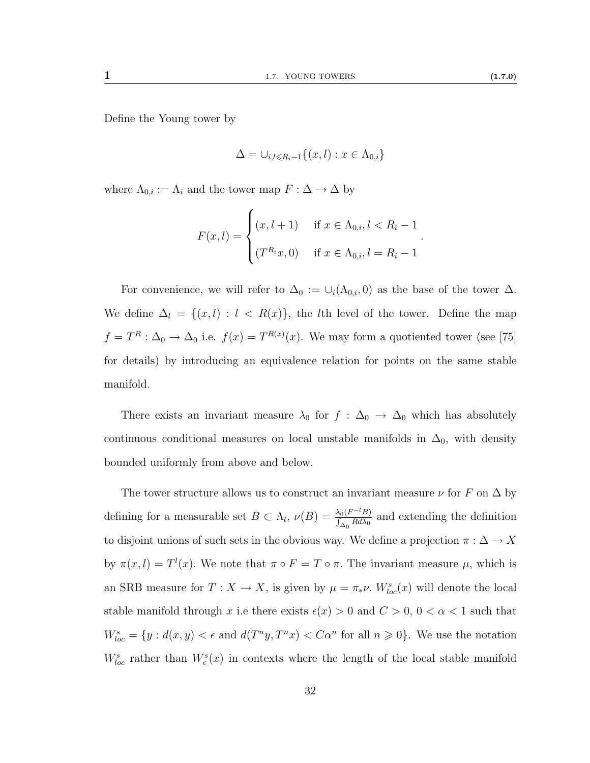Define the Young tower by

$$
\Delta = \cup_{i,l \leq R_i - 1} \{ (x,l) : x \in \Lambda_{0,i} \}
$$

where  $\Lambda_{0,i} := \Lambda_i$  and the tower map  $F : \Delta \to \Delta$  by

$$
F(x, l) = \begin{cases} (x, l+1) & \text{if } x \in \Lambda_{0,i}, l < R_i - 1 \\ (T^{R_i}x, 0) & \text{if } x \in \Lambda_{0,i}, l = R_i - 1 \end{cases}.
$$

For convenience, we will refer to  $\Delta_0 := \cup_i(\Lambda_{0,i},0)$  as the base of the tower  $\Delta$ . We define  $\Delta_l = \{(x, l) : l < R(x)\}\$ , the lth level of the tower. Define the map  $f = T^R : \Delta_0 \to \Delta_0$  i.e.  $f(x) = T^{R(x)}(x)$ . We may form a quotiented tower (see [\[75\]](#page-117-0) for details) by introducing an equivalence relation for points on the same stable manifold.

There exists an invariant measure  $\lambda_0$  for  $f : \Delta_0 \to \Delta_0$  which has absolutely continuous conditional measures on local unstable manifolds in  $\Delta_0$ , with density bounded uniformly from above and below.

The tower structure allows us to construct an invariant measure  $\nu$  for  $F$  on  $\Delta$  by defining for a measurable set  $B \subset \Lambda_l$ ,  $\nu(B) = \frac{\lambda_0 (F^{-l}B)}{\int_{\Delta_0} R d\lambda_0}$  and extending the definition to disjoint unions of such sets in the obvious way. We define a projection  $\pi : \Delta \to X$ by  $\pi(x, l) = T^{l}(x)$ . We note that  $\pi \circ F = T \circ \pi$ . The invariant measure  $\mu$ , which is an SRB measure for  $T: X \to X$ , is given by  $\mu = \pi_* \nu$ .  $W^s_{loc}(x)$  will denote the local stable manifold through x i.e there exists  $\epsilon(x) > 0$  and  $C > 0$ ,  $0 < \alpha < 1$  such that  $W_{loc}^s = \{y : d(x, y) < \epsilon \text{ and } d(T^n y, T^n x) < C\alpha^n \text{ for all } n \geq 0\}.$  We use the notation  $W_{loc}^s$  rather than  $W_{\epsilon}^s(x)$  in contexts where the length of the local stable manifold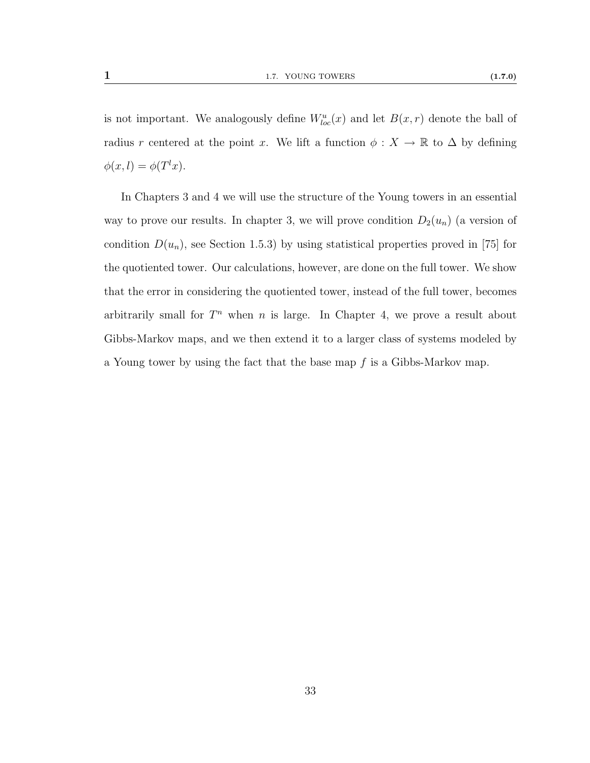is not important. We analogously define  $W^u_{loc}(x)$  and let  $B(x,r)$  denote the ball of radius r centered at the point x. We lift a function  $\phi : X \to \mathbb{R}$  to  $\Delta$  by defining  $\phi(x,l) = \phi(T^lx).$ 

In Chapters [3](#page-61-0) and [4](#page-89-0) we will use the structure of the Young towers in an essential way to prove our results. In chapter [3,](#page-61-0) we will prove condition  $D_2(u_n)$  (a version of condition  $D(u_n)$ , see Section [1.5.3\)](#page-30-0) by using statistical properties proved in [\[75\]](#page-117-0) for the quotiented tower. Our calculations, however, are done on the full tower. We show that the error in considering the quotiented tower, instead of the full tower, becomes arbitrarily small for  $T<sup>n</sup>$  when n is large. In Chapter [4,](#page-89-0) we prove a result about Gibbs-Markov maps, and we then extend it to a larger class of systems modeled by a Young tower by using the fact that the base map  $f$  is a Gibbs-Markov map.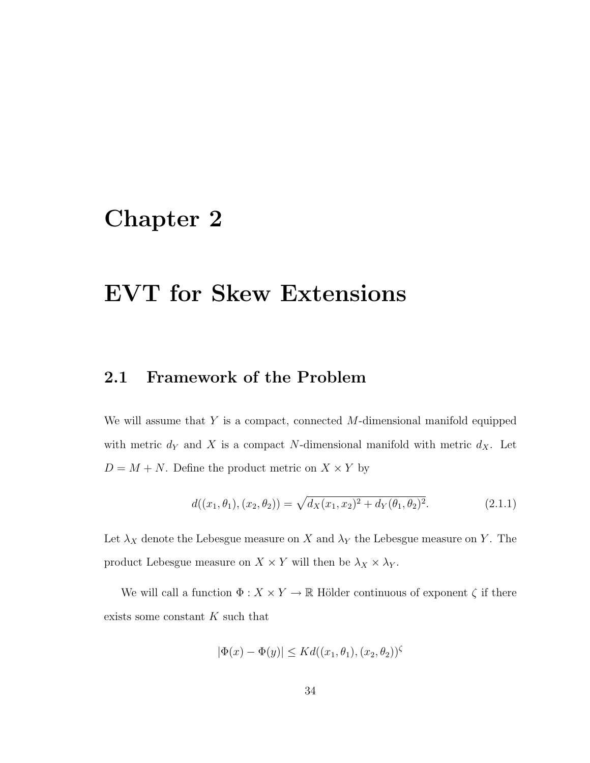# <span id="page-41-0"></span>Chapter 2

# EVT for Skew Extensions

## 2.1 Framework of the Problem

We will assume that  $Y$  is a compact, connected  $M$ -dimensional manifold equipped with metric  $d_Y$  and X is a compact N-dimensional manifold with metric  $d_X$ . Let  $D = M + N$ . Define the product metric on  $X \times Y$  by

$$
d((x_1, \theta_1), (x_2, \theta_2)) = \sqrt{d_X(x_1, x_2)^2 + d_Y(\theta_1, \theta_2)^2}.
$$
 (2.1.1)

Let  $\lambda_X$  denote the Lebesgue measure on X and  $\lambda_Y$  the Lebesgue measure on Y. The product Lebesgue measure on  $X \times Y$  will then be  $\lambda_X \times \lambda_Y$ .

We will call a function  $\Phi: X \times Y \to \mathbb{R}$  Hölder continuous of exponent  $\zeta$  if there exists some constant K such that

$$
|\Phi(x) - \Phi(y)| \le K d((x_1, \theta_1), (x_2, \theta_2))^\zeta
$$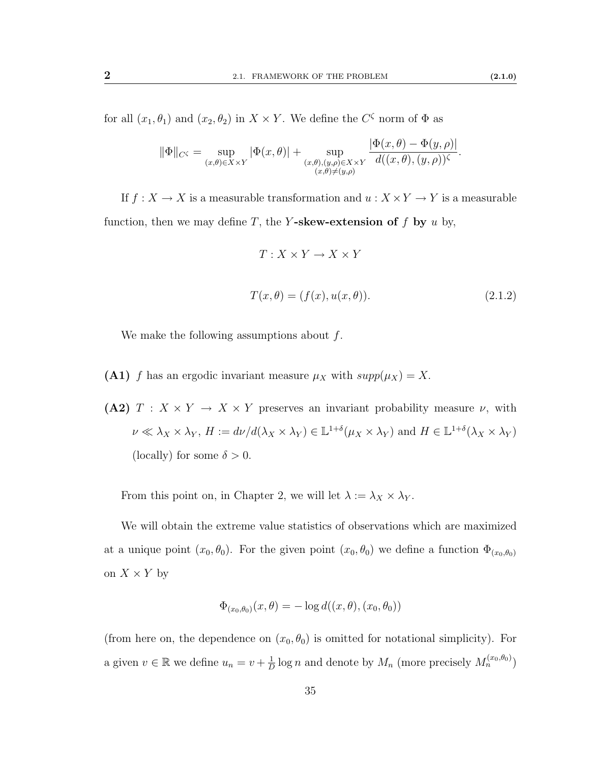for all  $(x_1, \theta_1)$  and  $(x_2, \theta_2)$  in  $X \times Y$ . We define the  $C^{\zeta}$  norm of  $\Phi$  as

$$
\|\Phi\|_{C^{\zeta}} = \sup_{(x,\theta)\in X\times Y} |\Phi(x,\theta)| + \sup_{\substack{(x,\theta),(y,\rho)\in X\times Y\\(x,\theta)\neq(y,\rho)}} \frac{|\Phi(x,\theta)-\Phi(y,\rho)|}{d((x,\theta),(y,\rho))^\zeta}.
$$

If  $f: X \rightarrow X$  is a measurable transformation and  $u: X \times Y \rightarrow Y$  is a measurable function, then we may define T, the Y-skew-extension of f by u by,

$$
T: X \times Y \to X \times Y
$$
  

$$
T(x, \theta) = (f(x), u(x, \theta)).
$$
 (2.1.2)

We make the following assumptions about  $f$ .

- <span id="page-42-1"></span><span id="page-42-0"></span>(A1) f has an ergodic invariant measure  $\mu_X$  with  $supp(\mu_X) = X$ .
- (A2)  $T : X \times Y \to X \times Y$  preserves an invariant probability measure  $\nu$ , with  $\nu \ll \lambda_X \times \lambda_Y$ ,  $H := d\nu/d(\lambda_X \times \lambda_Y) \in \mathbb{L}^{1+\delta}(\mu_X \times \lambda_Y)$  and  $H \in \mathbb{L}^{1+\delta}(\lambda_X \times \lambda_Y)$ (locally) for some  $\delta > 0$ .

From this point on, in Chapter [2,](#page-41-0) we will let  $\lambda := \lambda_X \times \lambda_Y$ .

We will obtain the extreme value statistics of observations which are maximized at a unique point  $(x_0, \theta_0)$ . For the given point  $(x_0, \theta_0)$  we define a function  $\Phi_{(x_0, \theta_0)}$ on  $X \times Y$  by

$$
\Phi_{(x_0,\theta_0)}(x,\theta) = -\log d((x,\theta),(x_0,\theta_0))
$$

(from here on, the dependence on  $(x_0, \theta_0)$  is omitted for notational simplicity). For a given  $v \in \mathbb{R}$  we define  $u_n = v + \frac{1}{L}$  $\frac{1}{D} \log n$  and denote by  $M_n$  (more precisely  $M_n^{(x_0, \theta_0)}$ )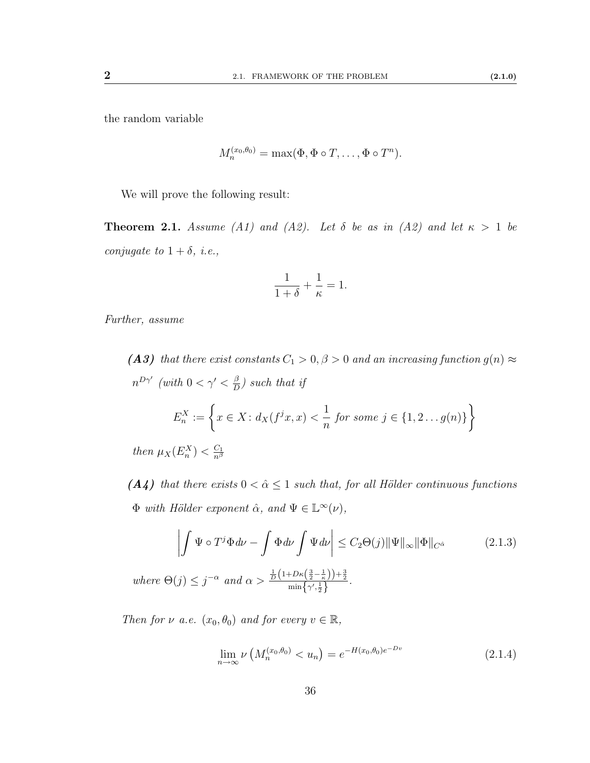the random variable

$$
M_n^{(x_0,\theta_0)} = \max(\Phi, \Phi \circ T, \dots, \Phi \circ T^n).
$$

We will prove the following result:

<span id="page-43-0"></span>**Theorem 2.1.** Assume [\(A1\)](#page-42-0) and [\(A2\)](#page-42-1). Let  $\delta$  be as in (A2) and let  $\kappa > 1$  be conjugate to  $1 + \delta$ , *i.e.*,

$$
\frac{1}{1+\delta}+\frac{1}{\kappa}=1.
$$

<span id="page-43-2"></span>Further, assume

(A3) that there exist constants  $C_1 > 0, \beta > 0$  and an increasing function  $g(n) \approx$  $n^{D\gamma'}$  (with  $0 < \gamma' < \frac{\beta}{D}$  $\frac{\beta}{D}$ ) such that if  $E_n^X := \left\{ x \in X : d_X(f^jx, x) < \frac{1}{n} \right\}$ n for some  $j \in \{1, 2 \dots g(n)\}\$  $\mathcal{L}$ 

then  $\mu_X(E_n^X) < \frac{C_1}{n^{\beta}}$  $\overline{n^{\beta}}$ 

<span id="page-43-1"></span>(A4) that there exists  $0 < \hat{\alpha} \leq 1$  such that, for all Hölder continuous functions  $\Phi$  with Hölder exponent  $\hat{\alpha}$ , and  $\Psi \in \mathbb{L}^{\infty}(\nu)$ ,

$$
\left| \int \Psi \circ T^{j} \Phi d\nu - \int \Phi d\nu \int \Psi d\nu \right| \leq C_{2} \Theta(j) \|\Psi\|_{\infty} \|\Phi\|_{C^{\hat{\alpha}}} \tag{2.1.3}
$$

where  $\Theta(j) \leq j^{-\alpha}$  and  $\alpha > \frac{\frac{1}{D} \left(1 + D\kappa\left(\frac{3}{2} - \frac{1}{\kappa}\right)\right) + \frac{3}{2}}{\min\left\{\gamma', \frac{1}{2}\right\}}$ .

Then for  $\nu$  a.e.  $(x_0, \theta_0)$  and for every  $v \in \mathbb{R}$ ,

$$
\lim_{n \to \infty} \nu \left( M_n^{(x_0, \theta_0)} < u_n \right) = e^{-H(x_0, \theta_0)e^{-Dv}} \tag{2.1.4}
$$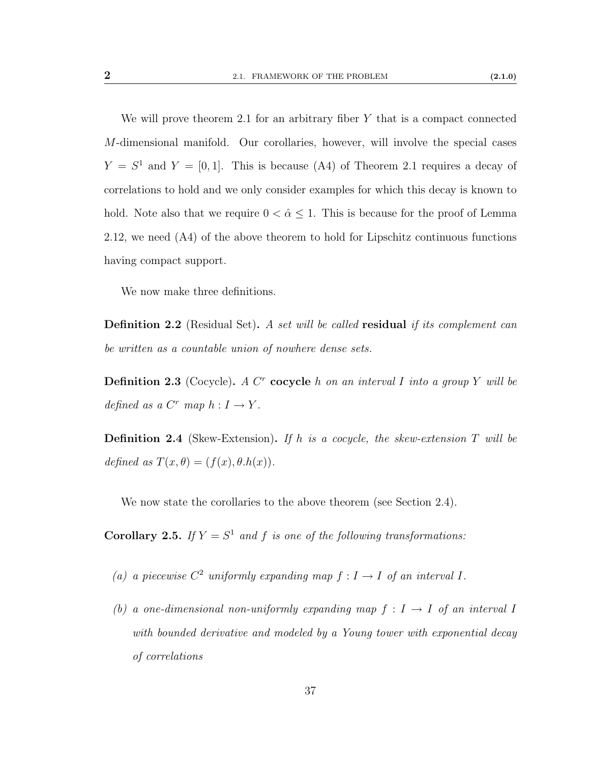We will prove theorem [2.1](#page-43-0) for an arbitrary fiber  $Y$  that is a compact connected M-dimensional manifold. Our corollaries, however, will involve the special cases  $Y = S<sup>1</sup>$  and  $Y = [0, 1]$ . This is because [\(A4\)](#page-43-1) of Theorem [2.1](#page-43-0) requires a decay of correlations to hold and we only consider examples for which this decay is known to hold. Note also that we require  $0 < \hat{\alpha} \leq 1$ . This is because for the proof of Lemma [2.12,](#page-50-0) we need [\(A4\)](#page-43-1) of the above theorem to hold for Lipschitz continuous functions having compact support.

We now make three definitions.

**Definition 2.2** (Residual Set). A set will be called residual if its complement can be written as a countable union of nowhere dense sets.

**Definition 2.3** (Cocycle). A C<sup>r</sup> cocycle h on an interval I into a group Y will be defined as a  $C^r$  map  $h: I \to Y$ .

**Definition 2.4** (Skew-Extension). If h is a cocycle, the skew-extension  $T$  will be defined as  $T(x, \theta) = (f(x), \theta.h(x)).$ 

We now state the corollaries to the above theorem (see Section [2.4\)](#page-56-0).

**Corollary 2.5.** If  $Y = S^1$  and f is one of the following transformations:

- (a) a piecewise  $C^2$  uniformly expanding map  $f: I \to I$  of an interval I.
- (b) a one-dimensional non-uniformly expanding map  $f : I \rightarrow I$  of an interval I with bounded derivative and modeled by a Young tower with exponential decay of correlations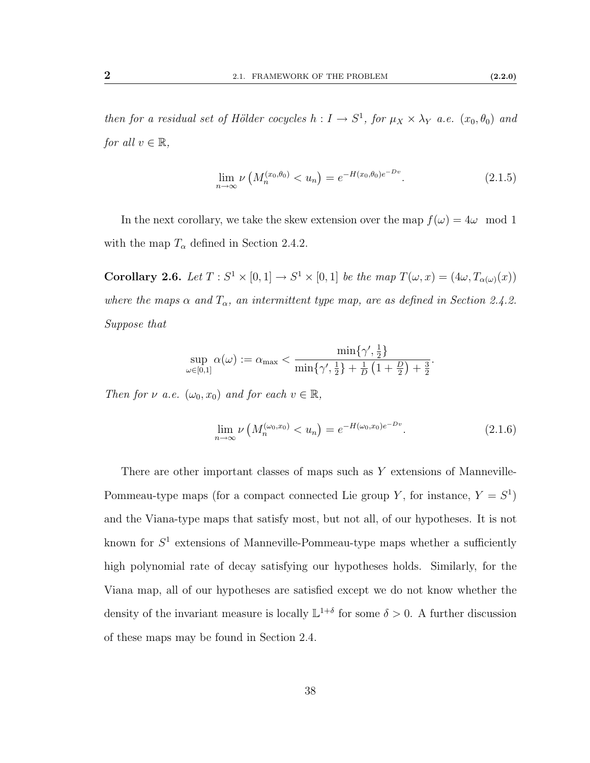then for a residual set of Hölder cocycles  $h: I \to S^1$ , for  $\mu_X \times \lambda_Y$  a.e.  $(x_0, \theta_0)$  and for all  $v \in \mathbb{R}$ ,

$$
\lim_{n \to \infty} \nu \left( M_n^{(x_0, \theta_0)} < u_n \right) = e^{-H(x_0, \theta_0)e^{-Dv}}. \tag{2.1.5}
$$

In the next corollary, we take the skew extension over the map  $f(\omega) = 4\omega \mod 1$ with the map  $T_{\alpha}$  defined in Section [2.4.2.](#page-58-0)

**Corollary 2.6.** Let  $T: S^1 \times [0,1] \to S^1 \times [0,1]$  be the map  $T(\omega, x) = (4\omega, T_{\alpha(\omega)}(x))$ where the maps  $\alpha$  and  $T_{\alpha}$ , an intermittent type map, are as defined in Section [2.4.2.](#page-58-0) Suppose that

$$
\sup_{\omega \in [0,1]} \alpha(\omega) := \alpha_{\max} < \frac{\min\{\gamma', \frac{1}{2}\}}{\min\{\gamma', \frac{1}{2}\} + \frac{1}{D} \left(1 + \frac{D}{2}\right) + \frac{3}{2}}.
$$

Then for  $\nu$  a.e.  $(\omega_0, x_0)$  and for each  $v \in \mathbb{R}$ ,

$$
\lim_{n \to \infty} \nu\left(M_n^{(\omega_0, x_0)} < u_n\right) = e^{-H(\omega_0, x_0)e^{-Dv}}.\tag{2.1.6}
$$

There are other important classes of maps such as Y extensions of Manneville-Pommeau-type maps (for a compact connected Lie group Y, for instance,  $Y = S<sup>1</sup>$ ) and the Viana-type maps that satisfy most, but not all, of our hypotheses. It is not known for  $S^1$  extensions of Manneville-Pommeau-type maps whether a sufficiently high polynomial rate of decay satisfying our hypotheses holds. Similarly, for the Viana map, all of our hypotheses are satisfied except we do not know whether the density of the invariant measure is locally  $\mathbb{L}^{1+\delta}$  for some  $\delta > 0$ . A further discussion of these maps may be found in Section [2.4.](#page-56-0)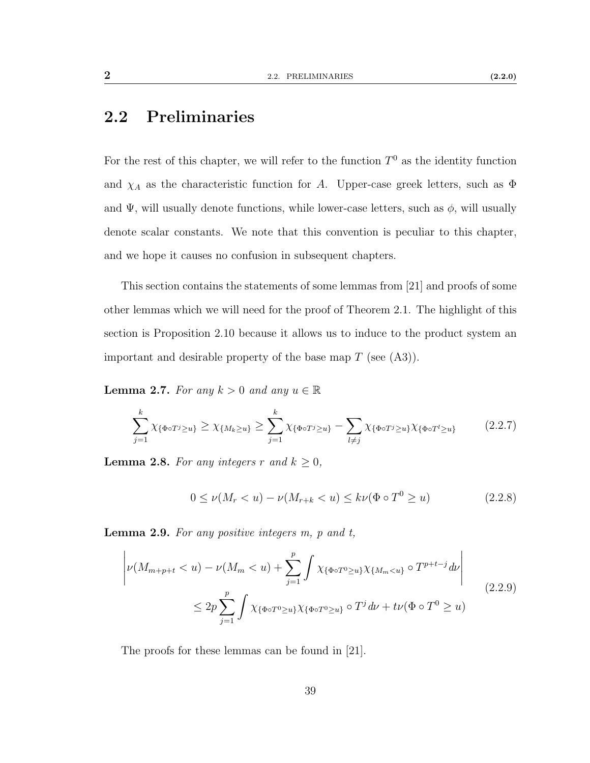## 2.2 Preliminaries

For the rest of this chapter, we will refer to the function  $T^0$  as the identity function and  $\chi_A$  as the characteristic function for A. Upper-case greek letters, such as  $\Phi$ and  $\Psi$ , will usually denote functions, while lower-case letters, such as  $\phi$ , will usually denote scalar constants. We note that this convention is peculiar to this chapter, and we hope it causes no confusion in subsequent chapters.

This section contains the statements of some lemmas from [\[21\]](#page-113-1) and proofs of some other lemmas which we will need for the proof of Theorem [2.1.](#page-43-0) The highlight of this section is Proposition [2.10](#page-47-0) because it allows us to induce to the product system an important and desirable property of the base map  $T$  (see  $(A3)$ ).

**Lemma 2.7.** For any  $k > 0$  and any  $u \in \mathbb{R}$ 

$$
\sum_{j=1}^{k} \chi_{\{\Phi \circ T^{j} \geq u\}} \geq \chi_{\{M_{k} \geq u\}} \geq \sum_{j=1}^{k} \chi_{\{\Phi \circ T^{j} \geq u\}} - \sum_{l \neq j} \chi_{\{\Phi \circ T^{j} \geq u\}} \chi_{\{\Phi \circ T^{l} \geq u\}} \tag{2.2.7}
$$

<span id="page-46-0"></span>**Lemma 2.8.** For any integers r and  $k \geq 0$ ,

<span id="page-46-1"></span>
$$
0 \le \nu(M_r < u) - \nu(M_{r+k} < u) \le k\nu(\Phi \circ T^0 \ge u) \tag{2.2.8}
$$

**Lemma 2.9.** For any positive integers  $m$ ,  $p$  and  $t$ ,

$$
\left| \nu(M_{m+p+t} < u) - \nu(M_m < u) + \sum_{j=1}^p \int \chi_{\{\Phi \circ T^0 \ge u\}} \chi_{\{M_m < u\}} \circ T^{p+t-j} \, d\nu \right|
$$
\n
$$
\le 2p \sum_{j=1}^p \int \chi_{\{\Phi \circ T^0 \ge u\}} \chi_{\{\Phi \circ T^0 \ge u\}} \circ T^j \, d\nu + t\nu(\Phi \circ T^0 \ge u) \tag{2.2.9}
$$

The proofs for these lemmas can be found in [\[21\]](#page-113-1).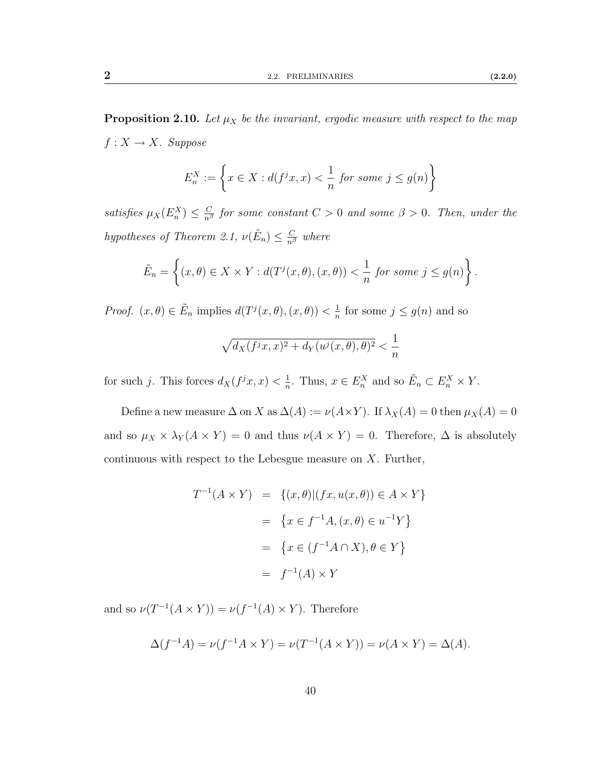<span id="page-47-0"></span>
$$
E_n^X := \left\{ x \in X : d(f^j x, x) < \frac{1}{n} \text{ for some } j \le g(n) \right\}
$$

satisfies  $\mu_X(E_n^X) \leq \frac{C}{n^{\beta}}$  for some constant  $C > 0$  and some  $\beta > 0$ . Then, under the hypotheses of Theorem [2.1,](#page-43-0)  $\nu(\tilde{E}_n) \leq \frac{C}{n^{\beta}}$  where

$$
\tilde{E}_n = \left\{ (x, \theta) \in X \times Y : d(T^j(x, \theta), (x, \theta)) < \frac{1}{n} \text{ for some } j \le g(n) \right\}.
$$

*Proof.*  $(x, \theta) \in \tilde{E}_n$  implies  $d(T^j(x, \theta), (x, \theta)) < \frac{1}{n}$  $\frac{1}{n}$  for some  $j \leq g(n)$  and so

$$
\sqrt{d_X(f^jx,x)^2 + d_Y(u^j(x,\theta),\theta)^2} < \frac{1}{n}
$$

for such j. This forces  $d_X(f^jx, x) < \frac{1}{n}$  $\frac{1}{n}$ . Thus,  $x \in E_n^X$  and so  $\tilde{E}_n \subset E_n^X \times Y$ .

Define a new measure  $\Delta$  on X as  $\Delta(A) := \nu(A \times Y)$ . If  $\lambda_X(A) = 0$  then  $\mu_X(A) = 0$ and so  $\mu_X \times \lambda_Y (A \times Y) = 0$  and thus  $\nu(A \times Y) = 0$ . Therefore,  $\Delta$  is absolutely continuous with respect to the Lebesgue measure on  $X$ . Further,

$$
T^{-1}(A \times Y) = \{(x, \theta) | (fx, u(x, \theta)) \in A \times Y\}
$$

$$
= \{x \in f^{-1}A, (x, \theta) \in u^{-1}Y\}
$$

$$
= \{x \in (f^{-1}A \cap X), \theta \in Y\}
$$

$$
= f^{-1}(A) \times Y
$$

and so  $\nu(T^{-1}(A \times Y)) = \nu(f^{-1}(A) \times Y)$ . Therefore

$$
\Delta(f^{-1}A) = \nu(f^{-1}A \times Y) = \nu(T^{-1}(A \times Y)) = \nu(A \times Y) = \Delta(A).
$$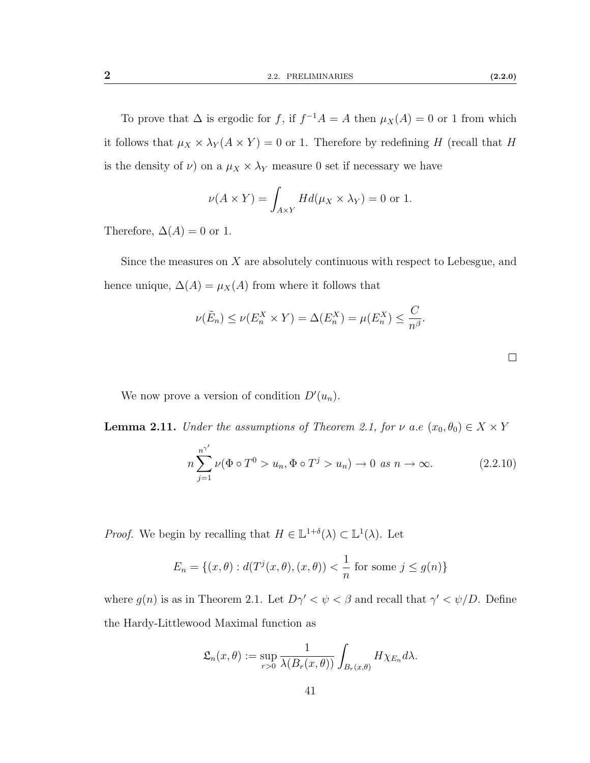To prove that  $\Delta$  is ergodic for f, if  $f^{-1}A = A$  then  $\mu_X(A) = 0$  or 1 from which it follows that  $\mu_X \times \lambda_Y (A \times Y) = 0$  or 1. Therefore by redefining H (recall that H is the density of  $\nu$ ) on a  $\mu_X \times \lambda_Y$  measure 0 set if necessary we have

$$
\nu(A \times Y) = \int_{A \times Y} H d(\mu_X \times \lambda_Y) = 0
$$
 or 1.

Therefore,  $\Delta(A) = 0$  or 1.

Since the measures on X are absolutely continuous with respect to Lebesgue, and hence unique,  $\Delta(A) = \mu_X(A)$  from where it follows that

$$
\nu(\tilde{E}_n) \le \nu(E_n^X \times Y) = \Delta(E_n^X) = \mu(E_n^X) \le \frac{C}{n^{\beta}}.
$$

<span id="page-48-0"></span>

We now prove a version of condition  $D'(u_n)$ .

**Lemma 2.11.** Under the assumptions of Theorem [2.1,](#page-43-0) for  $\nu$  a.e  $(x_0, \theta_0) \in X \times Y$ 

$$
n\sum_{j=1}^{n^{\gamma'}}\nu(\Phi \circ T^0 > u_n, \Phi \circ T^j > u_n) \to 0 \text{ as } n \to \infty.
$$
 (2.2.10)

*Proof.* We begin by recalling that  $H \in L^{1+\delta}(\lambda) \subset L^1(\lambda)$ . Let

$$
E_n = \{(x, \theta) : d(T^j(x, \theta), (x, \theta)) < \frac{1}{n} \text{ for some } j \le g(n)\}
$$

where  $g(n)$  is as in Theorem [2.1.](#page-43-0) Let  $D\gamma' < \psi < \beta$  and recall that  $\gamma' < \psi/D$ . Define the Hardy-Littlewood Maximal function as

$$
\mathfrak{L}_n(x,\theta) := \sup_{r>0} \frac{1}{\lambda(B_r(x,\theta))} \int_{B_r(x,\theta)} H\chi_{E_n} d\lambda.
$$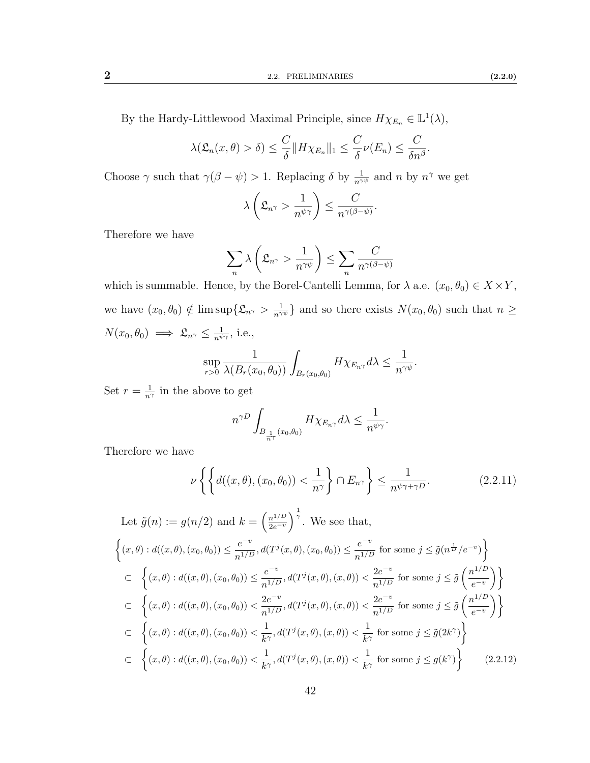By the Hardy-Littlewood Maximal Principle, since  $H\chi_{E_n} \in \mathbb{L}^1(\lambda)$ ,

$$
\lambda(\mathfrak{L}_n(x,\theta) > \delta) \leq \frac{C}{\delta} \|H\chi_{E_n}\|_1 \leq \frac{C}{\delta} \nu(E_n) \leq \frac{C}{\delta n^{\beta}}
$$

Choose  $\gamma$  such that  $\gamma(\beta - \psi) > 1$ . Replacing  $\delta$  by  $\frac{1}{n^{\gamma \psi}}$  and  $n$  by  $n^{\gamma}$  we get

$$
\lambda\left(\mathfrak{L}_{n^{\gamma}} > \frac{1}{n^{\psi\gamma}}\right) \leq \frac{C}{n^{\gamma(\beta-\psi)}}.
$$

Therefore we have

$$
\sum_{n} \lambda \left( \mathfrak{L}_{n^{\gamma}} > \frac{1}{n^{\gamma \psi}} \right) \le \sum_{n} \frac{C}{n^{\gamma(\beta - \psi)}}
$$

which is summable. Hence, by the Borel-Cantelli Lemma, for  $\lambda$  a.e.  $(x_0, \theta_0) \in X \times Y$ , we have  $(x_0, \theta_0) \notin \limsup \{ \mathfrak{L}_{n} \ge \frac{1}{n^{\gamma \psi}} \}$  and so there exists  $N(x_0, \theta_0)$  such that  $n \ge$  $N(x_0, \theta_0) \implies \mathfrak{L}_{n^{\gamma}} \leq \frac{1}{n^{\psi \gamma}}, \text{ i.e.,}$ 

$$
\sup_{r>0} \frac{1}{\lambda(B_r(x_0,\theta_0))} \int_{B_r(x_0,\theta_0)} H\chi_{E_{n\gamma}} d\lambda \leq \frac{1}{n^{\gamma\psi}}.
$$

Set  $r = \frac{1}{n^{\gamma}}$  in the above to get

<span id="page-49-0"></span>
$$
n^{\gamma D} \int_{B_{\frac{1}{n^{\gamma}}}(x_0,\theta_0)} H \chi_{E_{n^{\gamma}}} d\lambda \leq \frac{1}{n^{\psi \gamma}}.
$$

Therefore we have

$$
\nu\left\{\left\{d((x,\theta),(x_0,\theta_0)) < \frac{1}{n^{\gamma}}\right\} \cap E_{n^{\gamma}}\right\} \leq \frac{1}{n^{\psi\gamma+\gamma D}}.\tag{2.2.11}
$$

<span id="page-49-1"></span>Let 
$$
\tilde{g}(n) := g(n/2)
$$
 and  $k = \left(\frac{n^{1/D}}{2e^{-v}}\right)^{\frac{1}{\gamma}}$ . We see that,  
\n
$$
\left\{(x,\theta) : d((x,\theta),(x_0,\theta_0)) \leq \frac{e^{-v}}{n^{1/D}}, d(T^j(x,\theta),(x_0,\theta_0)) \leq \frac{e^{-v}}{n^{1/D}}
$$
 for some  $j \leq \tilde{g}(n^{\frac{1}{D}}/e^{-v})\right\}$   
\n
$$
\subset \left\{(x,\theta) : d((x,\theta),(x_0,\theta_0)) \leq \frac{e^{-v}}{n^{1/D}}, d(T^j(x,\theta),(x,\theta)) < \frac{2e^{-v}}{n^{1/D}}
$$
 for some  $j \leq \tilde{g}\left(\frac{n^{1/D}}{e^{-v}}\right)\right\}$   
\n
$$
\subset \left\{(x,\theta) : d((x,\theta),(x_0,\theta_0)) < \frac{2e^{-v}}{n^{1/D}}, d(T^j(x,\theta),(x,\theta)) < \frac{2e^{-v}}{n^{1/D}}
$$
 for some  $j \leq \tilde{g}\left(\frac{n^{1/D}}{e^{-v}}\right)\right\}$   
\n
$$
\subset \left\{(x,\theta) : d((x,\theta),(x_0,\theta_0)) < \frac{1}{k^{\gamma}}, d(T^j(x,\theta),(x,\theta)) < \frac{1}{k^{\gamma}}
$$
 for some  $j \leq \tilde{g}(2k^{\gamma})\right\}$   
\n
$$
\subset \left\{(x,\theta) : d((x,\theta),(x_0,\theta_0)) < \frac{1}{k^{\gamma}}, d(T^j(x,\theta),(x,\theta)) < \frac{1}{k^{\gamma}}
$$
 for some  $j \leq g(k^{\gamma})\right\}$  (2.2.12)

42

.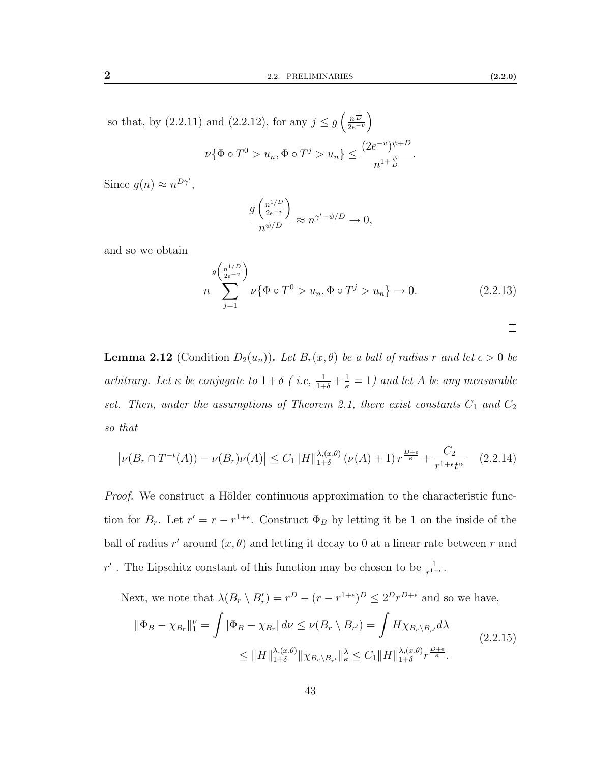.

so that, by [\(2.2.11\)](#page-49-0) and [\(2.2.12\)](#page-49-1), for any  $j \leq g\left(\frac{n^{\frac{1}{D}}}{2e^{-v}}\right)$  $\nu\{\Phi \circ T^0 > u_n, \Phi \circ T^j > u_n\} \leq \frac{(2e^{-v})^{\psi+D}}{1+v^{\psi}}$  $n^{1+\frac{\psi}{D}}$ 

Since  $g(n) \approx n^{D\gamma'}$ ,

$$
\frac{g\left(\frac{n^{1/D}}{2e^{-v}}\right)}{n^{\psi/D}} \approx n^{\gamma'-\psi/D} \to 0,
$$

and so we obtain

$$
n \sum_{j=1}^{g(\frac{n^{1/D}}{2e^{-v}})} \nu{\Phi \circ T^0 > u_n, \Phi \circ T^j > u_n} \to 0.
$$
 (2.2.13)

<span id="page-50-1"></span>

<span id="page-50-0"></span>**Lemma 2.12** (Condition  $D_2(u_n)$ ). Let  $B_r(x, \theta)$  be a ball of radius r and let  $\epsilon > 0$  be arbitrary. Let  $\kappa$  be conjugate to  $1+\delta$  (i.e,  $\frac{1}{1+\delta}+\frac{1}{\kappa}=1$ ) and let A be any measurable set. Then, under the assumptions of Theorem [2.1,](#page-43-0) there exist constants  $C_1$  and  $C_2$ so that

$$
\left|\nu(B_r \cap T^{-t}(A)) - \nu(B_r)\nu(A)\right| \le C_1 \|H\|_{1+\delta}^{\lambda(x,\theta)}\left(\nu(A) + 1\right) r^{\frac{D+\epsilon}{\kappa}} + \frac{C_2}{r^{1+\epsilon}t^{\alpha}} \tag{2.2.14}
$$

*Proof.* We construct a Hölder continuous approximation to the characteristic function for  $B_r$ . Let  $r' = r - r^{1+\epsilon}$ . Construct  $\Phi_B$  by letting it be 1 on the inside of the ball of radius r' around  $(x, \theta)$  and letting it decay to 0 at a linear rate between r and r'. The Lipschitz constant of this function may be chosen to be  $\frac{1}{r^{1+\epsilon}}$ .

Next, we note that  $\lambda(B_r \setminus B'_r) = r^D - (r - r^{1+\epsilon})^D \leq 2^D r^{D+\epsilon}$  and so we have,

$$
\|\Phi_B - \chi_{B_r}\|_{1}^{\nu} = \int |\Phi_B - \chi_{B_r}| d\nu \le \nu(B_r \setminus B_{r'}) = \int H \chi_{B_r \setminus B_{r'}} d\lambda
$$
  

$$
\le \|H\|_{1+\delta}^{\lambda, (x,\theta)} \|\chi_{B_r \setminus B_{r'}}\|_{\kappa}^{\lambda} \le C_1 \|H\|_{1+\delta}^{\lambda, (x,\theta)} r^{\frac{D+\epsilon}{\kappa}}.
$$
\n(2.2.15)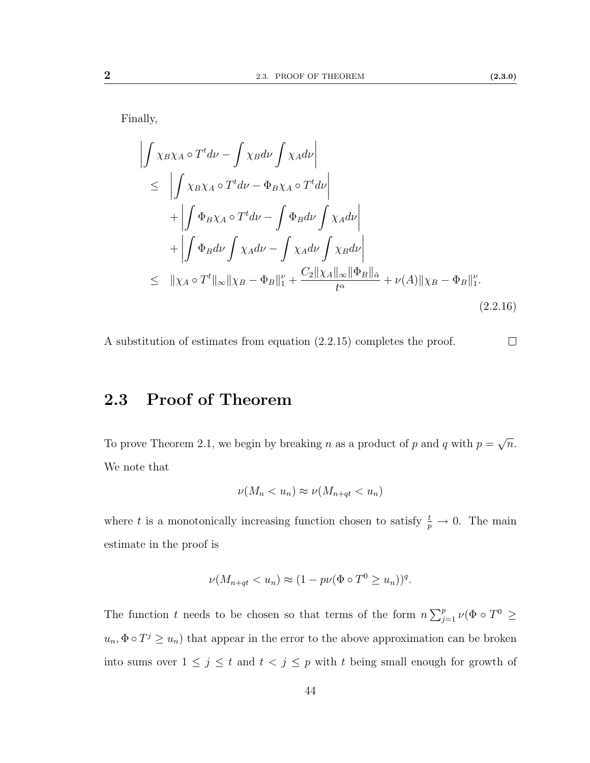Finally,

$$
\left| \int \chi_{B}\chi_{A} \circ T^{t} d\nu - \int \chi_{B} d\nu \int \chi_{A} d\nu \right|
$$
\n
$$
\leq \left| \int \chi_{B}\chi_{A} \circ T^{t} d\nu - \Phi_{B}\chi_{A} \circ T^{t} d\nu \right|
$$
\n
$$
+ \left| \int \Phi_{B}\chi_{A} \circ T^{t} d\nu - \int \Phi_{B} d\nu \int \chi_{A} d\nu \right|
$$
\n
$$
+ \left| \int \Phi_{B} d\nu \int \chi_{A} d\nu - \int \chi_{A} d\nu \int \chi_{B} d\nu \right|
$$
\n
$$
\leq \|\chi_{A} \circ T^{t}\|_{\infty} \|\chi_{B} - \Phi_{B}\|_{1}^{\nu} + \frac{C_{2} \|\chi_{A}\|_{\infty} \|\Phi_{B}\|_{\hat{\alpha}}}{t^{\alpha}} + \nu(A) \|\chi_{B} - \Phi_{B}\|_{1}^{\nu}.
$$
\n(2.2.16)

A substitution of estimates from equation [\(2.2.15\)](#page-50-1) completes the proof.  $\Box$ 

## 2.3 Proof of Theorem

To prove Theorem [2.1,](#page-43-0) we begin by breaking n as a product of p and q with  $p =$ √  $\overline{n}$ . We note that

$$
\nu(M_n < u_n) \approx \nu(M_{n+qt} < u_n)
$$

where t is a monotonically increasing function chosen to satisfy  $\frac{t}{p} \to 0$ . The main estimate in the proof is

$$
\nu(M_{n+qt} < u_n) \approx (1 - p\nu(\Phi \circ T^0 \ge u_n))^q.
$$

The function t needs to be chosen so that terms of the form  $n \sum_{j=1}^p \nu_p(\Phi \circ T^0) \geq$  $u_n, \Phi \circ T^j \geq u_n$ ) that appear in the error to the above approximation can be broken into sums over  $1 \leq j \leq t$  and  $t < j \leq p$  with t being small enough for growth of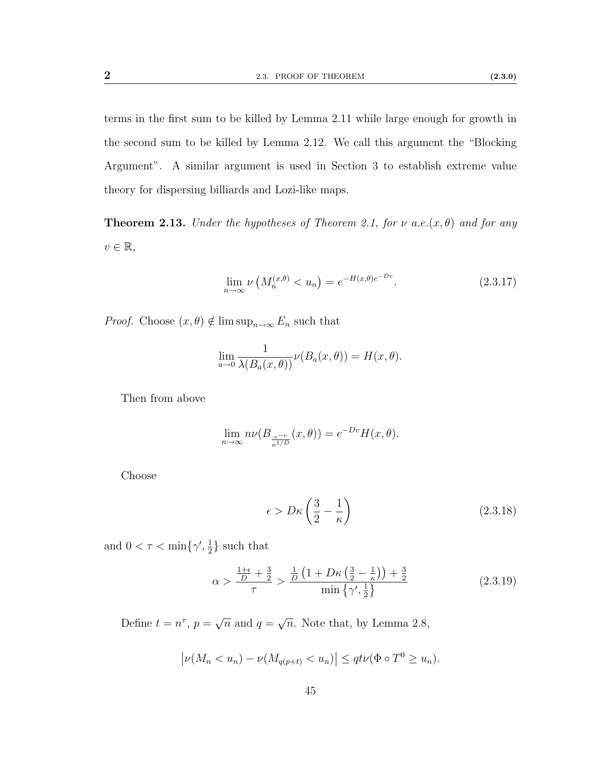terms in the first sum to be killed by Lemma [2.11](#page-48-0) while large enough for growth in the second sum to be killed by Lemma [2.12.](#page-50-0) We call this argument the "Blocking Argument". A similar argument is used in Section [3](#page-61-0) to establish extreme value theory for dispersing billiards and Lozi-like maps.

**Theorem 2.13.** Under the hypotheses of Theorem [2.1,](#page-43-0) for  $\nu$  a.e. $(x, \theta)$  and for any  $v \in \mathbb{R},$ 

$$
\lim_{n \to \infty} \nu \left( M_n^{(x,\theta)} < u_n \right) = e^{-H(x,\theta)e^{-Dv}}. \tag{2.3.17}
$$

*Proof.* Choose  $(x, \theta) \notin \limsup_{n \to \infty} E_n$  such that

$$
\lim_{a \to 0} \frac{1}{\lambda(B_a(x, \theta))} \nu(B_a(x, \theta)) = H(x, \theta).
$$

Then from above

$$
\lim_{n \to \infty} n\nu(B_{\frac{e^{-v}}{n^{1/D}}}(x,\theta)) = e^{-Dv}H(x,\theta).
$$

Choose

<span id="page-52-1"></span><span id="page-52-0"></span>
$$
\epsilon > D\kappa \left(\frac{3}{2} - \frac{1}{\kappa}\right) \tag{2.3.18}
$$

and  $0 < \tau < \min\{\gamma', \frac{1}{2}\}$  $\frac{1}{2}$  such that

$$
\alpha > \frac{\frac{1+\epsilon}{D} + \frac{3}{2}}{\tau} > \frac{\frac{1}{D}\left(1 + D\kappa\left(\frac{3}{2} - \frac{1}{\kappa}\right)\right) + \frac{3}{2}}{\min\left\{\gamma', \frac{1}{2}\right\}}\tag{2.3.19}
$$

Define  $t = n^{\tau}$ ,  $p =$ √  $\overline{n}$  and  $q=$ √  $\overline{n}$ . Note that, by Lemma [2.8,](#page-46-0)

$$
\left|\nu(M_n < u_n) - \nu(M_{q(p+t)} < u_n)\right| \leq qt\nu(\Phi \circ T^0 \geq u_n).
$$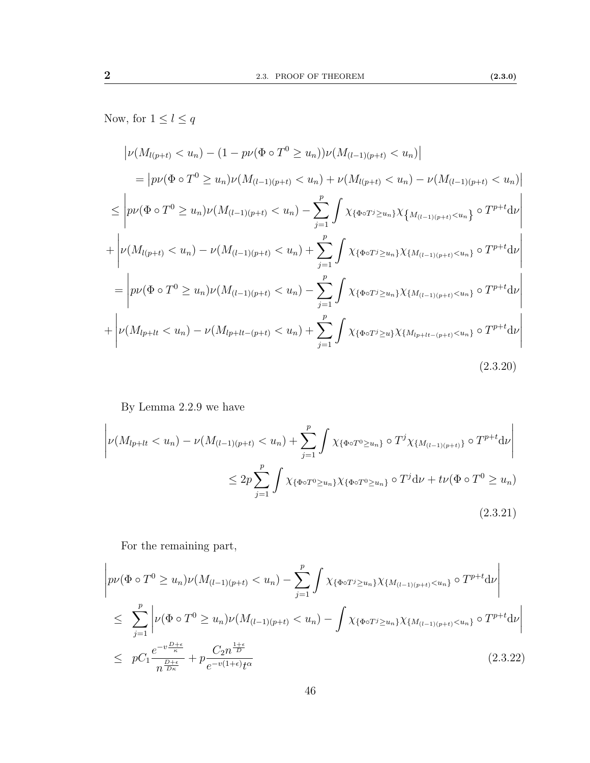Now, for  $1\leq l\leq q$ 

$$
\left| \nu(M_{l(p+t)} < u_n) - (1 - p\nu(\Phi \circ T^0 \ge u_n))\nu(M_{(l-1)(p+t)} < u_n) \right|
$$
\n
$$
= \left| p\nu(\Phi \circ T^0 \ge u_n)\nu(M_{(l-1)(p+t)} < u_n) + \nu(M_{l(p+t)} < u_n) - \nu(M_{(l-1)(p+t)} < u_n) \right|
$$
\n
$$
\le \left| p\nu(\Phi \circ T^0 \ge u_n)\nu(M_{(l-1)(p+t)} < u_n) - \sum_{j=1}^p \int \chi_{\{\Phi \circ T^j \ge u_n\}} \chi_{\{M_{(l-1)(p+t)} < u_n\}} \circ T^{p+t} \mathrm{d} \nu \right|
$$
\n
$$
+ \left| \nu(M_{l(p+t)} < u_n) - \nu(M_{(l-1)(p+t)} < u_n) + \sum_{j=1}^p \int \chi_{\{\Phi \circ T^j \ge u_n\}} \chi_{\{M_{(l-1)(p+t)} < u_n\}} \circ T^{p+t} \mathrm{d} \nu \right|
$$
\n
$$
= \left| p\nu(\Phi \circ T^0 \ge u_n)\nu(M_{(l-1)(p+t)} < u_n) - \sum_{j=1}^p \int \chi_{\{\Phi \circ T^j \ge u_n\}} \chi_{\{M_{(l-1)(p+t)} < u_n\}} \circ T^{p+t} \mathrm{d} \nu \right|
$$
\n
$$
+ \left| \nu(M_{l p+t} < u_n) - \nu(M_{l p+t} - (p+t) < u_n) + \sum_{j=1}^p \int \chi_{\{\Phi \circ T^j \ge u\}} \chi_{\{M_{l p+t} - (p+t) < u_n\}} \circ T^{p+t} \mathrm{d} \nu \right|
$$
\n(2.3.20)

By Lemma [2.2.9](#page-46-1) we have

$$
\left| \nu(M_{lp+lt} < u_n) - \nu(M_{(l-1)(p+t)} < u_n) + \sum_{j=1}^p \int \chi_{\{\Phi \circ T^0 \ge u_n\}} \circ T^j \chi_{\{M_{(l-1)(p+t)}\}} \circ T^{p+t} \mathrm{d} \nu \right|
$$
\n
$$
\le 2p \sum_{j=1}^p \int \chi_{\{\Phi \circ T^0 \ge u_n\}} \chi_{\{\Phi \circ T^0 \ge u_n\}} \circ T^j \mathrm{d} \nu + t\nu(\Phi \circ T^0 \ge u_n) \tag{2.3.21}
$$

For the remaining part,

$$
\left| p\nu(\Phi \circ T^{0} \geq u_{n})\nu(M_{(l-1)(p+t)} < u_{n}) - \sum_{j=1}^{p} \int \chi_{\{\Phi \circ T^{j} \geq u_{n}\}} \chi_{\{M_{(l-1)(p+t)} < u_{n}\}} \circ T^{p+t} \mathrm{d}\nu \right|
$$
\n
$$
\leq \sum_{j=1}^{p} \left| \nu(\Phi \circ T^{0} \geq u_{n})\nu(M_{(l-1)(p+t)} < u_{n}) - \int \chi_{\{\Phi \circ T^{j} \geq u_{n}\}} \chi_{\{M_{(l-1)(p+t)} < u_{n}\}} \circ T^{p+t} \mathrm{d}\nu \right|
$$
\n
$$
\leq p C_{1} \frac{e^{-v \frac{D+\epsilon}{\kappa}}}{n^{\frac{D+\epsilon}{D\kappa}}} + p \frac{C_{2} n^{\frac{1+\epsilon}{D}}}{e^{-v(1+\epsilon)} t^{\alpha}} \tag{2.3.22}
$$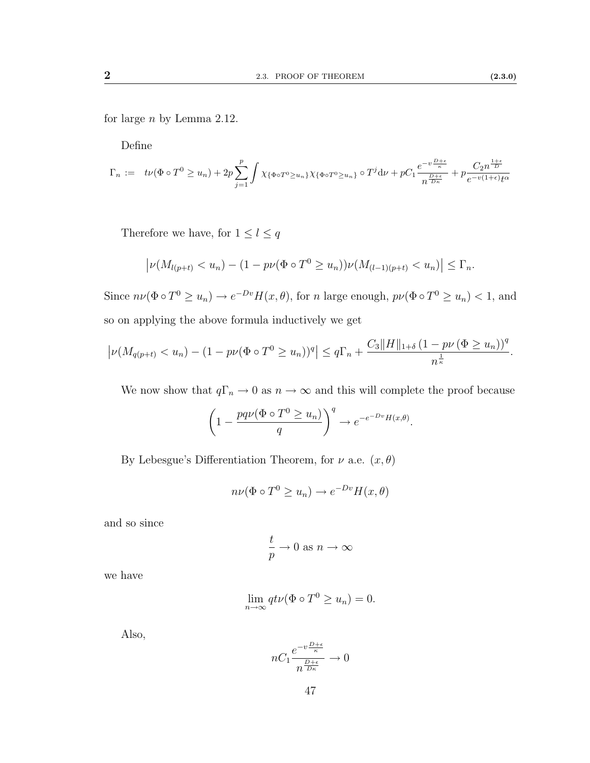for large n by Lemma [2.12.](#page-50-0)

Define

$$
\Gamma_n := t\nu(\Phi \circ T^0 \ge u_n) + 2p \sum_{j=1}^p \int \chi_{\{\Phi \circ T^0 \ge u_n\}} \chi_{\{\Phi \circ T^0 \ge u_n\}} \circ T^j \, d\nu + pC_1 \frac{e^{-v\frac{D+\epsilon}{\kappa}}}{n^{\frac{D+\epsilon}{D\kappa}}} + p \frac{C_2 n^{\frac{1+\epsilon}{D}}}{e^{-v(1+\epsilon)}t^{\alpha}}
$$

Therefore we have, for  $1\leq l\leq q$ 

$$
\left| \nu(M_{l(p+t)} < u_n) - (1 - p\nu(\Phi \circ T^0 \ge u_n))\nu(M_{(l-1)(p+t)} < u_n) \right| \le \Gamma_n.
$$

Since  $n\nu(\Phi \circ T^0 \ge u_n) \to e^{-Dv}H(x,\theta)$ , for n large enough,  $p\nu(\Phi \circ T^0 \ge u_n) < 1$ , and so on applying the above formula inductively we get

$$
\left|\nu(M_{q(p+t)} < u_n) - (1 - p\nu(\Phi \circ T^0 \ge u_n))^q\right| \le q\Gamma_n + \frac{C_3\|H\|_{1+\delta} \left(1 - p\nu(\Phi \ge u_n)\right)^q}{n^{\frac{1}{\kappa}}}.
$$

We now show that  $q\Gamma_n \to 0$  as  $n \to \infty$  and this will complete the proof because

$$
\left(1 - \frac{pq\nu(\Phi \circ T^0 \ge u_n)}{q}\right)^q \to e^{-e^{-Dv}H(x,\theta)}.
$$

By Lebesgue's Differentiation Theorem, for  $\nu$  a.e.  $(x, \theta)$ 

$$
n\nu(\Phi \circ T^0 \ge u_n) \to e^{-Dv}H(x,\theta)
$$

and so since

$$
\frac{t}{p}\to 0 \text{ as } n\to\infty
$$

we have

$$
\lim_{n \to \infty} qt\nu(\Phi \circ T^0 \ge u_n) = 0.
$$

Also,

$$
nC_1 \frac{e^{-v\frac{D+\epsilon}{\kappa}}}{n^{\frac{D+\epsilon}{D\kappa}}} \to 0
$$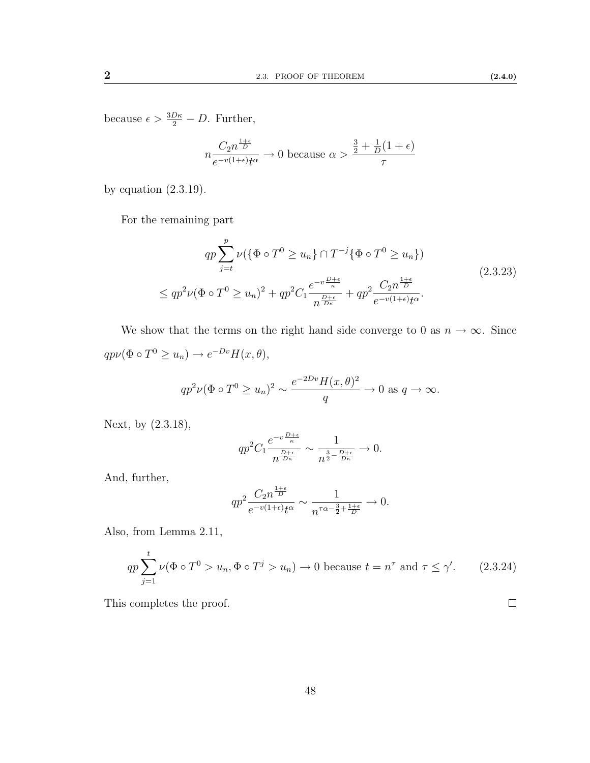because  $\epsilon > \frac{3D\kappa}{2} - D$ . Further,

<span id="page-55-0"></span>
$$
n \frac{C_2 n^{\frac{1+\epsilon}{D}}}{e^{-v(1+\epsilon)}t^{\alpha}} \to 0
$$
 because  $\alpha > \frac{\frac{3}{2} + \frac{1}{D}(1+\epsilon)}{\tau}$ 

by equation [\(2.3.19\)](#page-52-0).

For the remaining part

$$
qp \sum_{j=t}^{p} \nu(\{\Phi \circ T^{0} \ge u_{n}\} \cap T^{-j}\{\Phi \circ T^{0} \ge u_{n}\})
$$
  

$$
\le qp^{2}\nu(\Phi \circ T^{0} \ge u_{n})^{2} + qp^{2}C_{1} \frac{e^{-v\frac{D+\epsilon}{\kappa}}}{n^{\frac{D+\epsilon}{D\kappa}}} + qp^{2} \frac{C_{2}n^{\frac{1+\epsilon}{D}}}{e^{-v(1+\epsilon)}t^{\alpha}}.
$$
\n(2.3.23)

We show that the terms on the right hand side converge to 0 as  $n \to \infty$ . Since  $qp\nu(\Phi \circ T^0 \geq u_n) \to e^{-Dv}H(x,\theta),$ 

$$
qp^2\nu(\Phi \circ T^0 \ge u_n)^2 \sim \frac{e^{-2Dv}H(x,\theta)^2}{q} \to 0 \text{ as } q \to \infty.
$$

Next, by [\(2.3.18\)](#page-52-1),

$$
qp^2C_1\frac{e^{-v\frac{D+\epsilon}{\kappa}}}{n^{\frac{D+\epsilon}{D\kappa}}} \sim \frac{1}{n^{\frac{3}{2}-\frac{D+\epsilon}{D\kappa}}} \to 0.
$$

And, further,

$$
qp^2 \frac{C_2 n^{\frac{1+\epsilon}{D}}}{e^{-v(1+\epsilon)}t^{\alpha}} \sim \frac{1}{n^{\tau\alpha - \frac{3}{2} + \frac{1+\epsilon}{D}}} \to 0.
$$

Also, from Lemma [2.11,](#page-48-0)

$$
qp \sum_{j=1}^{t} \nu(\Phi \circ T^0 > u_n, \Phi \circ T^j > u_n) \to 0 \text{ because } t = n^{\tau} \text{ and } \tau \le \gamma'. \tag{2.3.24}
$$

This completes the proof.

 $\Box$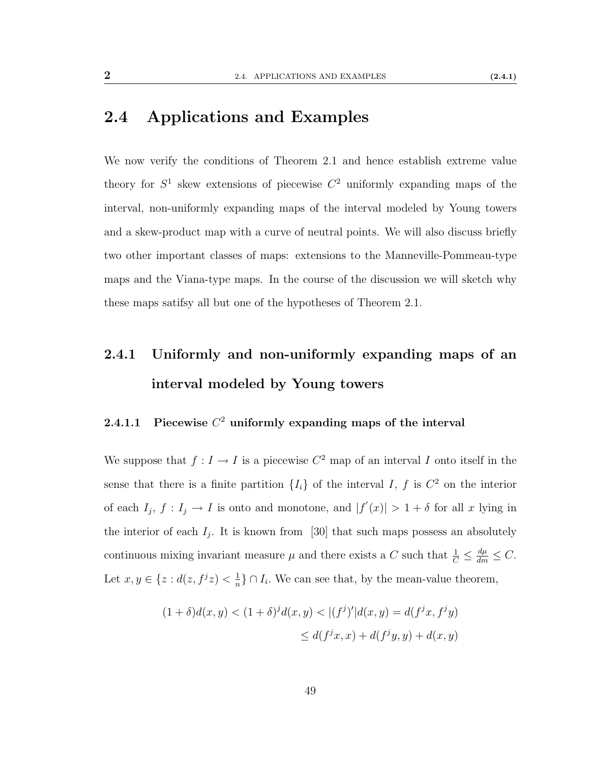## <span id="page-56-0"></span>2.4 Applications and Examples

We now verify the conditions of Theorem [2.1](#page-43-0) and hence establish extreme value theory for  $S^1$  skew extensions of piecewise  $C^2$  uniformly expanding maps of the interval, non-uniformly expanding maps of the interval modeled by Young towers and a skew-product map with a curve of neutral points. We will also discuss briefly two other important classes of maps: extensions to the Manneville-Pommeau-type maps and the Viana-type maps. In the course of the discussion we will sketch why these maps satifsy all but one of the hypotheses of Theorem [2.1.](#page-43-0)

## 2.4.1 Uniformly and non-uniformly expanding maps of an interval modeled by Young towers

#### <span id="page-56-1"></span>2.4.1.1 Piecewise  $C^2$  uniformly expanding maps of the interval

We suppose that  $f: I \to I$  is a piecewise  $C^2$  map of an interval I onto itself in the sense that there is a finite partition  $\{I_i\}$  of the interval I, f is  $C^2$  on the interior of each  $I_j$ ,  $f: I_j \to I$  is onto and monotone, and  $|f'(x)| > 1 + \delta$  for all x lying in the interior of each  $I_j$ . It is known from [\[30\]](#page-114-0) that such maps possess an absolutely continuous mixing invariant measure  $\mu$  and there exists a C such that  $\frac{1}{C} \leq \frac{d\mu}{dm} \leq C$ . Let  $x, y \in \{z : d(z, f^{j}z) < \frac{1}{n}\}$  $\frac{1}{n}$ } ∩  $I_i$ . We can see that, by the mean-value theorem,

$$
(1 + \delta)d(x, y) < (1 + \delta)^j d(x, y) < |(f^j)'| d(x, y) = d(f^j x, f^j y) \\
\leq d(f^j x, x) + d(f^j y, y) + d(x, y)
$$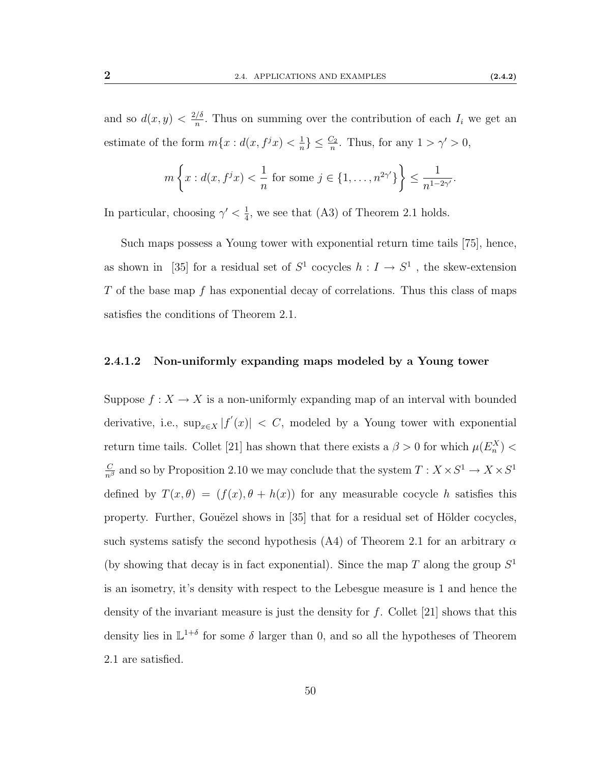and so  $d(x, y) < \frac{2/\delta}{n}$  $\frac{1}{n}$ . Thus on summing over the contribution of each  $I_i$  we get an estimate of the form  $m\{x : d(x, f^{j}x) < \frac{1}{n}\}$  $\frac{1}{n}$ }  $\leq \frac{C_2}{n}$ . Thus, for any  $1 > \gamma' > 0$ ,

$$
m\left\{x: d(x, f^{j}x) < \frac{1}{n} \text{ for some } j \in \{1, ..., n^{2\gamma'}\}\right\} \le \frac{1}{n^{1-2\gamma'}}.
$$

In particular, choosing  $\gamma' < \frac{1}{4}$  $\frac{1}{4}$ , we see that [\(A3\)](#page-43-2) of Theorem [2.1](#page-43-0) holds.

Such maps possess a Young tower with exponential return time tails [\[75\]](#page-117-0), hence, as shown in [\[35\]](#page-114-1) for a residual set of  $S^1$  cocycles  $h: I \to S^1$ , the skew-extension  $T$  of the base map  $f$  has exponential decay of correlations. Thus this class of maps satisfies the conditions of Theorem [2.1.](#page-43-0)

#### 2.4.1.2 Non-uniformly expanding maps modeled by a Young tower

Suppose  $f: X \to X$  is a non-uniformly expanding map of an interval with bounded derivative, i.e.,  $\sup_{x \in X} |f'(x)| < C$ , modeled by a Young tower with exponential return time tails. Collet [\[21\]](#page-113-1) has shown that there exists a  $\beta > 0$  for which  $\mu(E_n^X)$  <  $\frac{C}{n^{\beta}}$  and so by Proposition [2.10](#page-47-0) we may conclude that the system  $T: X \times S^1 \to X \times S^1$ defined by  $T(x, \theta) = (f(x), \theta + h(x))$  for any measurable cocycle h satisfies this property. Further, Gouëzel shows in  $[35]$  that for a residual set of Hölder cocycles, such systems satisfy the second hypothesis [\(A4\)](#page-43-1) of Theorem [2.1](#page-43-0) for an arbitrary  $\alpha$ (by showing that decay is in fact exponential). Since the map  $T$  along the group  $S<sup>1</sup>$ is an isometry, it's density with respect to the Lebesgue measure is 1 and hence the density of the invariant measure is just the density for  $f$ . Collet [\[21\]](#page-113-1) shows that this density lies in  $\mathbb{L}^{1+\delta}$  for some  $\delta$  larger than 0, and so all the hypotheses of Theorem [2.1](#page-43-0) are satisfied.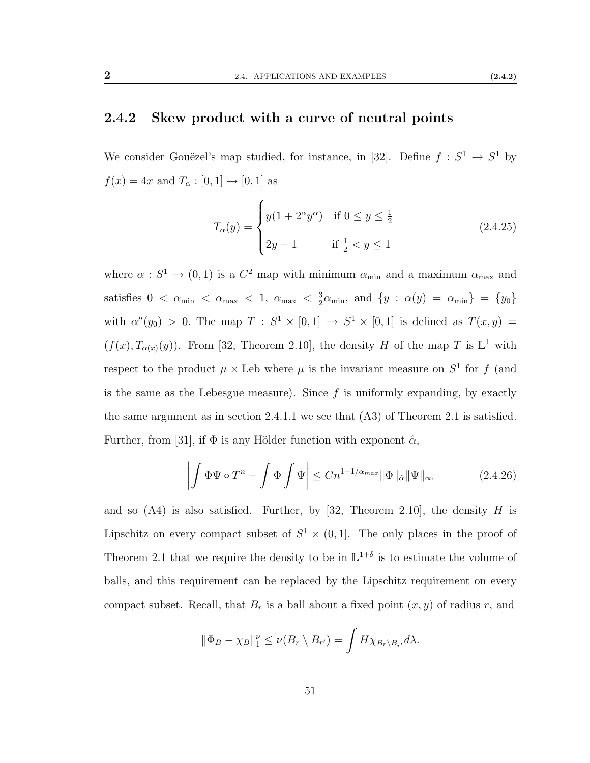#### <span id="page-58-0"></span>2.4.2 Skew product with a curve of neutral points

We consider Gouëzel's map studied, for instance, in [\[32\]](#page-114-2). Define  $f : S^1 \to S^1$  by  $f(x)=4x$  and  $T_\alpha:[0,1]\to[0,1]$  as

$$
T_{\alpha}(y) = \begin{cases} y(1 + 2^{\alpha}y^{\alpha}) & \text{if } 0 \le y \le \frac{1}{2} \\ 2y - 1 & \text{if } \frac{1}{2} < y \le 1 \end{cases}
$$
 (2.4.25)

where  $\alpha : S^1 \to (0,1)$  is a  $C^2$  map with minimum  $\alpha_{\min}$  and a maximum  $\alpha_{\max}$  and satisfies  $0 < \alpha_{\min} < \alpha_{\max} < 1, \alpha_{\max} < \frac{3}{2}$  $\frac{3}{2}\alpha_{\min}$ , and  $\{y : \alpha(y) = \alpha_{\min}\} = \{y_0\}$ with  $\alpha''(y_0) > 0$ . The map  $T : S^1 \times [0,1] \rightarrow S^1 \times [0,1]$  is defined as  $T(x,y) =$  $(f(x), T_{\alpha(x)}(y))$ . From [\[32,](#page-114-2) Theorem 2.10], the density H of the map T is  $\mathbb{L}^1$  with respect to the product  $\mu \times$  Leb where  $\mu$  is the invariant measure on  $S^1$  for f (and is the same as the Lebesgue measure). Since  $f$  is uniformly expanding, by exactly the same argument as in section [2.4.1.1](#page-56-1) we see that [\(A3\)](#page-43-2) of Theorem [2.1](#page-43-0) is satisfied. Further, from [\[31\]](#page-114-3), if  $\Phi$  is any Hölder function with exponent  $\hat{\alpha}$ ,

$$
\left| \int \Phi \Psi \circ T^n - \int \Phi \int \Psi \right| \leq C n^{1 - 1/\alpha_{max}} \|\Phi\|_{\hat{\alpha}} \|\Psi\|_{\infty} \tag{2.4.26}
$$

and so  $(A4)$  is also satisfied. Further, by [\[32,](#page-114-2) Theorem 2.10], the density H is Lipschitz on every compact subset of  $S^1 \times (0,1]$ . The only places in the proof of Theorem [2.1](#page-43-0) that we require the density to be in  $\mathbb{L}^{1+\delta}$  is to estimate the volume of balls, and this requirement can be replaced by the Lipschitz requirement on every compact subset. Recall, that  $B_r$  is a ball about a fixed point  $(x, y)$  of radius r, and

$$
\|\Phi_B - \chi_B\|_1^{\nu} \le \nu(B_r \setminus B_{r'}) = \int H \chi_{B_r \setminus B_{r'}} d\lambda.
$$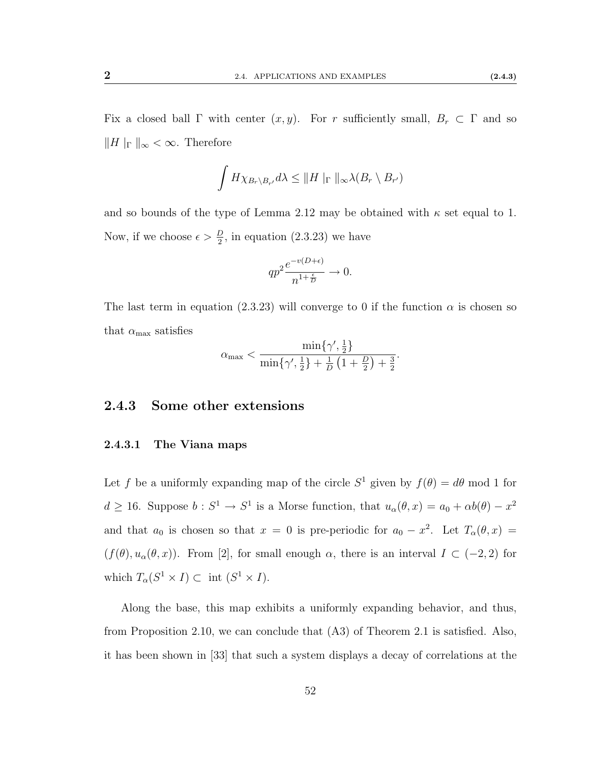Fix a closed ball  $\Gamma$  with center  $(x, y)$ . For r sufficiently small,  $B_r \subset \Gamma$  and so  $\|H\|_{\Gamma}\|_{\infty} < \infty$ . Therefore

$$
\int H \chi_{B_r \setminus B_{r'}} d\lambda \leq ||H||_{\Gamma} ||_{\infty} \lambda(B_r \setminus B_{r'})
$$

and so bounds of the type of Lemma [2.12](#page-50-0) may be obtained with  $\kappa$  set equal to 1. Now, if we choose  $\epsilon > \frac{D}{2}$ , in equation [\(2.3.23\)](#page-55-0) we have

$$
qp^2 \frac{e^{-v(D+\epsilon)}}{n^{1+\frac{\epsilon}{D}}} \to 0.
$$

The last term in equation [\(2.3.23\)](#page-55-0) will converge to 0 if the function  $\alpha$  is chosen so that  $\alpha_{\text{max}}$  satisfies

$$
\alpha_{\max} < \frac{\min\{\gamma', \frac{1}{2}\}}{\min\{\gamma', \frac{1}{2}\} + \frac{1}{D} \left(1 + \frac{D}{2}\right) + \frac{3}{2}}.
$$

#### 2.4.3 Some other extensions

#### 2.4.3.1 The Viana maps

Let f be a uniformly expanding map of the circle  $S^1$  given by  $f(\theta) = d\theta$  mod 1 for  $d \geq 16$ . Suppose  $b: S^1 \to S^1$  is a Morse function, that  $u_\alpha(\theta, x) = a_0 + \alpha b(\theta) - x^2$ and that  $a_0$  is chosen so that  $x = 0$  is pre-periodic for  $a_0 - x^2$ . Let  $T_\alpha(\theta, x) =$  $(f(\theta), u_\alpha(\theta, x))$ . From [\[2\]](#page-112-2), for small enough  $\alpha$ , there is an interval  $I \subset (-2, 2)$  for which  $T_{\alpha}(S^1 \times I) \subset \text{int } (S^1 \times I).$ 

Along the base, this map exhibits a uniformly expanding behavior, and thus, from Proposition [2.10,](#page-47-0) we can conclude that [\(A3\)](#page-43-2) of Theorem [2.1](#page-43-0) is satisfied. Also, it has been shown in [\[33\]](#page-114-4) that such a system displays a decay of correlations at the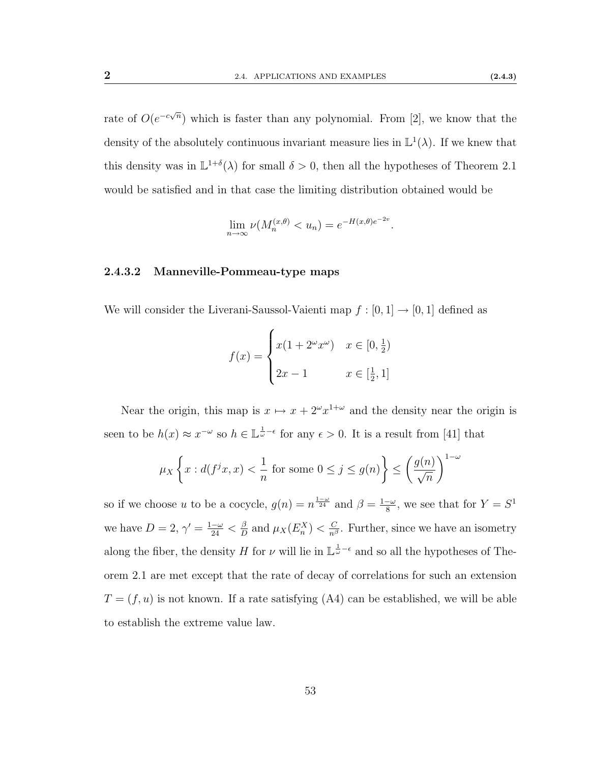rate of  $O(e^{-c\sqrt{n}})$  which is faster than any polynomial. From [\[2\]](#page-112-2), we know that the density of the absolutely continuous invariant measure lies in  $\mathbb{L}^1(\lambda)$ . If we knew that this density was in  $\mathbb{L}^{1+\delta}(\lambda)$  for small  $\delta > 0$ , then all the hypotheses of Theorem [2.1](#page-43-0) would be satisfied and in that case the limiting distribution obtained would be

$$
\lim_{n \to \infty} \nu(M_n^{(x,\theta)} < u_n) = e^{-H(x,\theta)e^{-2v}}
$$

#### 2.4.3.2 Manneville-Pommeau-type maps

We will consider the Liverani-Saussol-Vaienti map  $f:[0,1]\rightarrow[0,1]$  defined as

$$
f(x) = \begin{cases} x(1 + 2^{\omega}x^{\omega}) & x \in [0, \frac{1}{2}) \\ 2x - 1 & x \in [\frac{1}{2}, 1] \end{cases}
$$

Near the origin, this map is  $x \mapsto x + 2^{\omega} x^{1+\omega}$  and the density near the origin is seen to be  $h(x) \approx x^{-\omega}$  so  $h \in \mathbb{L}^{\frac{1}{\omega}-\epsilon}$  for any  $\epsilon > 0$ . It is a result from [\[41\]](#page-115-0) that

$$
\mu_X \left\{ x : d(f^j x, x) < \frac{1}{n} \text{ for some } 0 \le j \le g(n) \right\} \le \left( \frac{g(n)}{\sqrt{n}} \right)^{1-\omega}
$$

so if we choose u to be a cocycle,  $g(n) = n^{\frac{1-\omega}{24}}$  and  $\beta = \frac{1-\omega}{8}$  $\frac{-\omega}{8}$ , we see that for  $Y = S^1$ we have  $D=2, \gamma'=\frac{1-\omega}{24}<\frac{\beta}{D}$  $\frac{\beta}{D}$  and  $\mu_X(E_n^X) < \frac{C}{n^{\beta}}$ . Further, since we have an isometry along the fiber, the density H for  $\nu$  will lie in  $\mathbb{L}^{\frac{1}{\omega}-\epsilon}$  and so all the hypotheses of Theorem [2.1](#page-43-0) are met except that the rate of decay of correlations for such an extension  $T = (f, u)$  is not known. If a rate satisfying [\(A4\)](#page-43-1) can be established, we will be able to establish the extreme value law.

.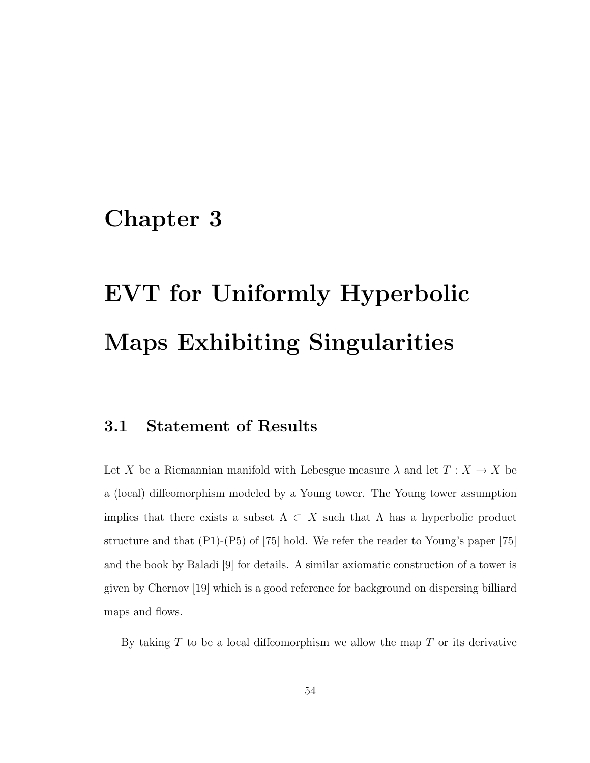# <span id="page-61-0"></span>Chapter 3

# EVT for Uniformly Hyperbolic Maps Exhibiting Singularities

## 3.1 Statement of Results

Let X be a Riemannian manifold with Lebesgue measure  $\lambda$  and let  $T : X \to X$  be a (local) diffeomorphism modeled by a Young tower. The Young tower assumption implies that there exists a subset  $\Lambda \subset X$  such that  $\Lambda$  has a hyperbolic product structure and that [\(P1\)](#page-37-0)-[\(P5\)](#page-38-0) of [\[75\]](#page-117-0) hold. We refer the reader to Young's paper [\[75\]](#page-117-0) and the book by Baladi [\[9\]](#page-112-3) for details. A similar axiomatic construction of a tower is given by Chernov [\[19\]](#page-113-2) which is a good reference for background on dispersing billiard maps and flows.

By taking  $T$  to be a local diffeomorphism we allow the map  $T$  or its derivative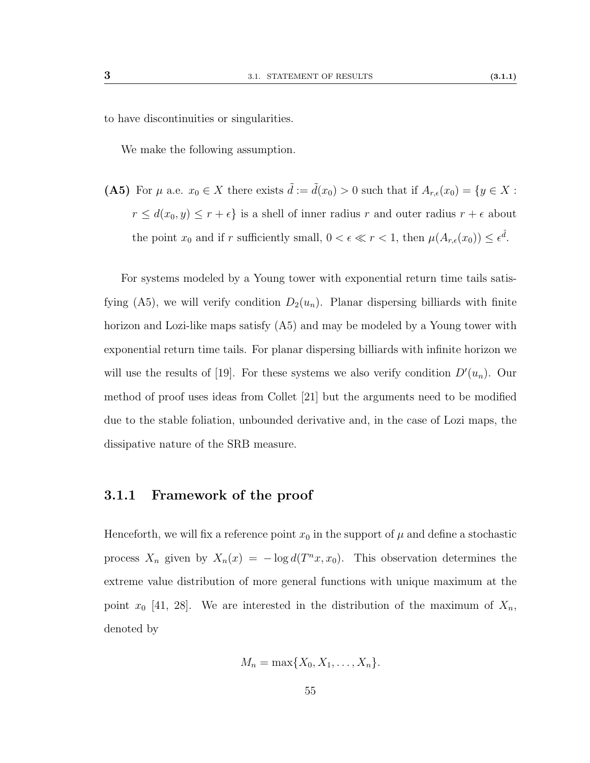to have discontinuities or singularities.

We make the following assumption.

<span id="page-62-0"></span>(A5) For  $\mu$  a.e.  $x_0 \in X$  there exists  $\tilde{d} := \tilde{d}(x_0) > 0$  such that if  $A_{r,\epsilon}(x_0) = \{y \in X :$  $r \leq d(x_0, y) \leq r + \epsilon$  is a shell of inner radius r and outer radius  $r + \epsilon$  about the point  $x_0$  and if r sufficiently small,  $0 < \epsilon \ll r < 1$ , then  $\mu(A_{r,\epsilon}(x_0)) \leq \epsilon^{\tilde{d}}$ .

For systems modeled by a Young tower with exponential return time tails satis-fying [\(A5\)](#page-62-0), we will verify condition  $D_2(u_n)$ . Planar dispersing billiards with finite horizon and Lozi-like maps satisfy [\(A5\)](#page-62-0) and may be modeled by a Young tower with exponential return time tails. For planar dispersing billiards with infinite horizon we will use the results of [\[19\]](#page-113-2). For these systems we also verify condition  $D'(u_n)$ . Our method of proof uses ideas from Collet [\[21\]](#page-113-1) but the arguments need to be modified due to the stable foliation, unbounded derivative and, in the case of Lozi maps, the dissipative nature of the SRB measure.

#### 3.1.1 Framework of the proof

Henceforth, we will fix a reference point  $x_0$  in the support of  $\mu$  and define a stochastic process  $X_n$  given by  $X_n(x) = -\log d(T^n x, x_0)$ . This observation determines the extreme value distribution of more general functions with unique maximum at the point  $x_0$  [\[41,](#page-115-0) [28\]](#page-114-5). We are interested in the distribution of the maximum of  $X_n$ , denoted by

$$
M_n = \max\{X_0, X_1, \ldots, X_n\}.
$$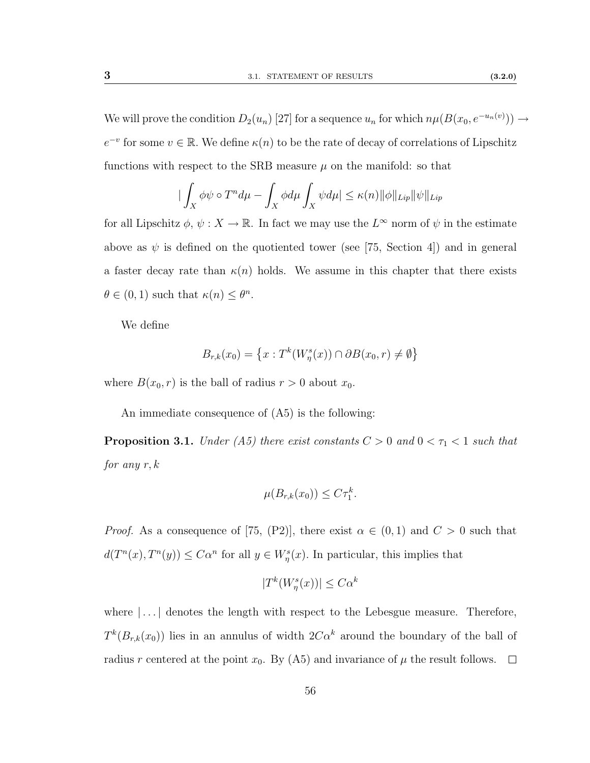We will prove the condition  $D_2(u_n)$  [\[27\]](#page-114-6) for a sequence  $u_n$  for which  $n\mu(B(x_0, e^{-u_n(v)})) \rightarrow$  $e^{-v}$  for some  $v \in \mathbb{R}$ . We define  $\kappa(n)$  to be the rate of decay of correlations of Lipschitz functions with respect to the SRB measure  $\mu$  on the manifold: so that

$$
\left| \int_X \phi \psi \circ T^n d\mu - \int_X \phi d\mu \int_X \psi d\mu \right| \leq \kappa(n) \|\phi\|_{Lip} \|\psi\|_{Lip}
$$

for all Lipschitz  $\phi, \psi: X \to \mathbb{R}$ . In fact we may use the  $L^{\infty}$  norm of  $\psi$  in the estimate above as  $\psi$  is defined on the quotiented tower (see [\[75,](#page-117-0) Section 4]) and in general a faster decay rate than  $\kappa(n)$  holds. We assume in this chapter that there exists  $\theta \in (0,1)$  such that  $\kappa(n) \leq \theta^n$ .

We define

$$
B_{r,k}(x_0) = \left\{ x : T^k(W^s_\eta(x)) \cap \partial B(x_0, r) \neq \emptyset \right\}
$$

where  $B(x_0, r)$  is the ball of radius  $r > 0$  about  $x_0$ .

An immediate consequence of [\(A5\)](#page-62-0) is the following:

<span id="page-63-0"></span>**Proposition 3.1.** Under [\(A5\)](#page-62-0) there exist constants  $C > 0$  and  $0 < \tau_1 < 1$  such that for any  $r, k$ 

$$
\mu(B_{r,k}(x_0)) \leq C\tau_1^k.
$$

*Proof.* As a consequence of [\[75,](#page-117-0) (P2)], there exist  $\alpha \in (0,1)$  and  $C > 0$  such that  $d(T^n(x), T^n(y)) \leq C\alpha^n$  for all  $y \in W^s_{\eta}(x)$ . In particular, this implies that

$$
|T^k(W^s_\eta(x))| \leq C\alpha^k
$$

where  $\left| \ldots \right|$  denotes the length with respect to the Lebesgue measure. Therefore,  $T^{k}(B_{r,k}(x_0))$  lies in an annulus of width  $2C\alpha^{k}$  around the boundary of the ball of radius r centered at the point  $x_0$ . By [\(A5\)](#page-62-0) and invariance of  $\mu$  the result follows.  $\Box$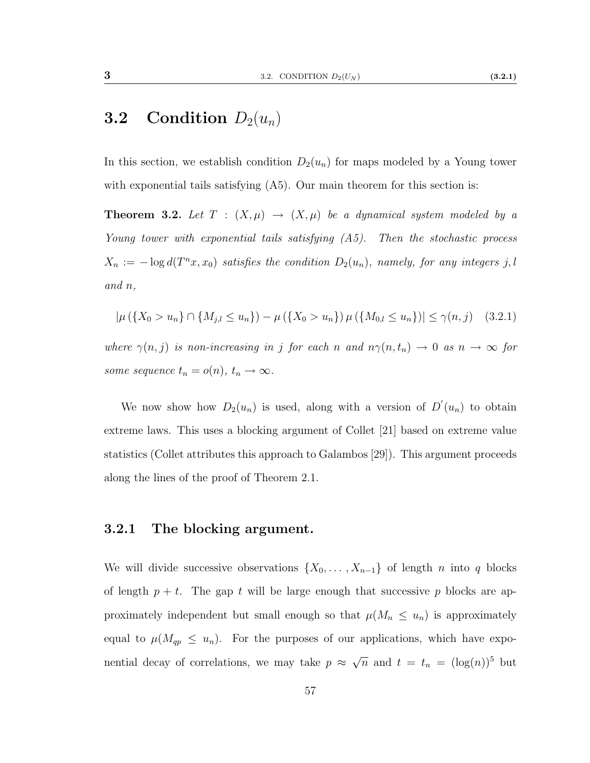## **3.2** Condition  $D_2(u_n)$

In this section, we establish condition  $D_2(u_n)$  for maps modeled by a Young tower with exponential tails satisfying  $(A5)$ . Our main theorem for this section is:

<span id="page-64-0"></span>**Theorem 3.2.** Let  $T : (X, \mu) \rightarrow (X, \mu)$  be a dynamical system modeled by a Young tower with exponential tails satisfying  $(A5)$ . Then the stochastic process  $X_n := -\log d(T^n x, x_0)$  satisfies the condition  $D_2(u_n)$ , namely, for any integers j, l and n,

$$
|\mu({X_0 > u_n} \cap {M_{j,l} \le u_n}) - \mu({X_0 > u_n}) \mu({M_{0,l} \le u_n})| \le \gamma(n, j) \quad (3.2.1)
$$

where  $\gamma(n, j)$  is non-increasing in j for each n and  $n\gamma(n, t_n) \to 0$  as  $n \to \infty$  for some sequence  $t_n = o(n)$ ,  $t_n \to \infty$ .

We now show how  $D_2(u_n)$  is used, along with a version of  $D'(u_n)$  to obtain extreme laws. This uses a blocking argument of Collet [\[21\]](#page-113-1) based on extreme value statistics (Collet attributes this approach to Galambos [\[29\]](#page-114-7)). This argument proceeds along the lines of the proof of Theorem [2.1.](#page-43-0)

#### 3.2.1 The blocking argument.

We will divide successive observations  $\{X_0, \ldots, X_{n-1}\}\$  of length n into q blocks of length  $p + t$ . The gap t will be large enough that successive p blocks are approximately independent but small enough so that  $\mu(M_n \leq u_n)$  is approximately equal to  $\mu(M_{qp} \leq u_n)$ . For the purposes of our applications, which have exponential decay of correlations, we may take  $p \approx$  $\sqrt{n}$  and  $t = t_n = (\log(n))^5$  but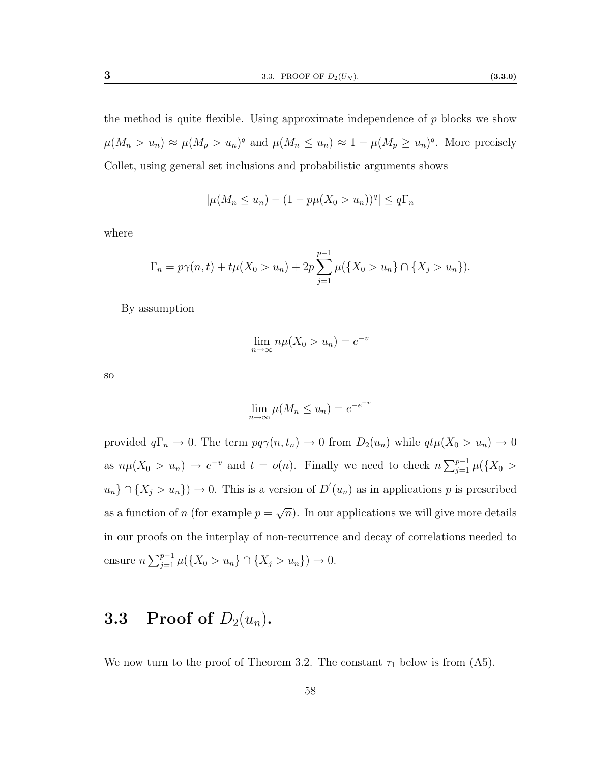the method is quite flexible. Using approximate independence of  $p$  blocks we show  $\mu(M_n > u_n) \approx \mu(M_p > u_n)^q$  and  $\mu(M_n \leq u_n) \approx 1 - \mu(M_p \geq u_n)^q$ . More precisely Collet, using general set inclusions and probabilistic arguments shows

$$
|\mu(M_n \le u_n) - (1 - p\mu(X_0 > u_n))^q| \le q\Gamma_n
$$

where

$$
\Gamma_n = p\gamma(n,t) + t\mu(X_0 > u_n) + 2p \sum_{j=1}^{p-1} \mu(\lbrace X_0 > u_n \rbrace \cap \lbrace X_j > u_n \rbrace).
$$

By assumption

$$
\lim_{n \to \infty} n\mu(X_0 > u_n) = e^{-v}
$$

so

$$
\lim_{n \to \infty} \mu(M_n \le u_n) = e^{-e^{-v}}
$$

provided  $q\Gamma_n \to 0$ . The term  $pq\gamma(n, t_n) \to 0$  from  $D_2(u_n)$  while  $qt\mu(X_0 > u_n) \to 0$ as  $n\mu(X_0 > u_n) \to e^{-v}$  and  $t = o(n)$ . Finally we need to check  $n \sum_{j=1}^{p-1} \mu(\lbrace X_0 \rbrace)$  $u_n$ }  $\cap$  { $X_j > u_n$ }  $\to 0$ . This is a version of  $D'(u_n)$  as in applications p is prescribed as a function of n (for example  $p = \sqrt{n}$ ). In our applications we will give more details √ in our proofs on the interplay of non-recurrence and decay of correlations needed to ensure  $n \sum_{j=1}^{p-1} \mu({X_0 > u_n} \cap {X_j > u_n}) \to 0.$ 

## 3.3 Proof of  $D_2(u_n)$ .

We now turn to the proof of Theorem [3.2.](#page-64-0) The constant  $\tau_1$  below is from [\(A5\)](#page-62-0).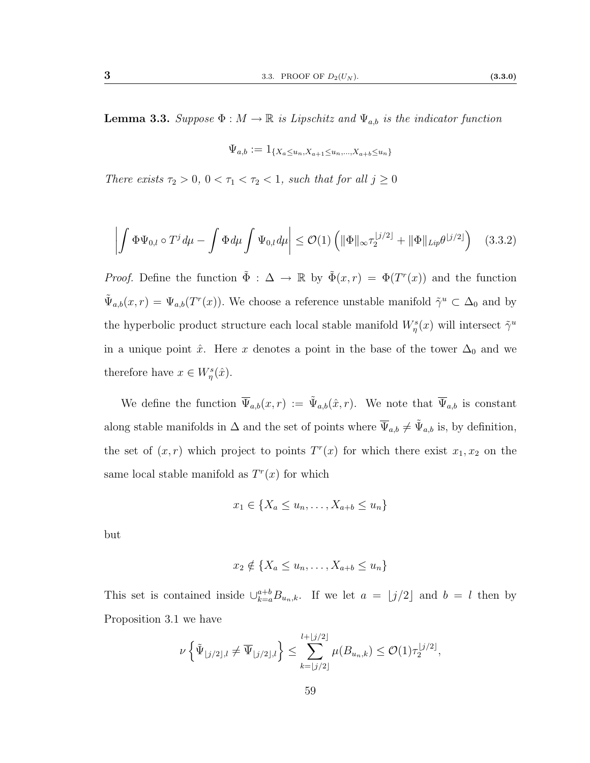$$
\Psi_{a,b} := 1_{\{X_a \le u_n, X_{a+1} \le u_n, \dots, X_{a+b} \le u_n\}}
$$

<span id="page-66-0"></span>There exists  $\tau_2 > 0$ ,  $0 < \tau_1 < \tau_2 < 1$ , such that for all  $j \ge 0$ 

$$
\left| \int \Phi \Psi_{0,l} \circ T^j \, d\mu - \int \Phi \, d\mu \int \Psi_{0,l} \, d\mu \right| \leq \mathcal{O}(1) \left( \| \Phi \|_{\infty} \tau_2^{\lfloor j/2 \rfloor} + \| \Phi \|_{Lip} \theta^{\lfloor j/2 \rfloor} \right) \tag{3.3.2}
$$

*Proof.* Define the function  $\tilde{\Phi}: \Delta \to \mathbb{R}$  by  $\tilde{\Phi}(x,r) = \Phi(T^r(x))$  and the function  $\tilde{\Psi}_{a,b}(x,r) = \Psi_{a,b}(T^r(x))$ . We choose a reference unstable manifold  $\tilde{\gamma}^u \subset \Delta_0$  and by the hyperbolic product structure each local stable manifold  $W^s_\eta(x)$  will intersect  $\tilde{\gamma}^u$ in a unique point  $\hat{x}$ . Here x denotes a point in the base of the tower  $\Delta_0$  and we therefore have  $x \in W^s_{\eta}(\hat{x})$ .

We define the function  $\overline{\Psi}_{a,b}(x,r) := \tilde{\Psi}_{a,b}(\hat{x},r)$ . We note that  $\overline{\Psi}_{a,b}$  is constant along stable manifolds in  $\Delta$  and the set of points where  $\overline{\Psi}_{a,b} \neq \tilde{\Psi}_{a,b}$  is, by definition, the set of  $(x, r)$  which project to points  $T<sup>r</sup>(x)$  for which there exist  $x<sub>1</sub>, x<sub>2</sub>$  on the same local stable manifold as  $T<sup>r</sup>(x)$  for which

$$
x_1 \in \{X_a \le u_n, \dots, X_{a+b} \le u_n\}
$$

but

$$
x_2 \notin \{X_a \le u_n, \dots, X_{a+b} \le u_n\}
$$

This set is contained inside  $\bigcup_{k=a}^{a+b} B_{u_n,k}$ . If we let  $a = \lfloor j/2 \rfloor$  and  $b = l$  then by Proposition [3.1](#page-63-0) we have

$$
\nu\left\{\tilde{\Psi}_{\lfloor j/2\rfloor,l}\neq \overline{\Psi}_{\lfloor j/2\rfloor,l}\right\} \leq \sum_{k=\lfloor j/2\rfloor}^{l+\lfloor j/2\rfloor} \mu(B_{u_n,k}) \leq \mathcal{O}(1)\tau_2^{\lfloor j/2\rfloor},
$$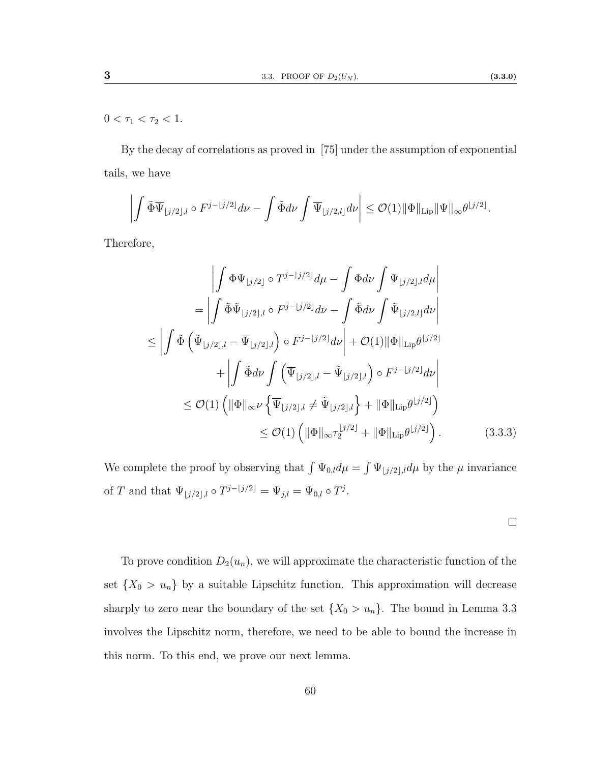$0 < \tau_1 < \tau_2 < 1.$ 

By the decay of correlations as proved in [\[75\]](#page-117-0) under the assumption of exponential tails, we have

$$
\left| \int \tilde{\Phi} \overline{\Psi}_{\lfloor j/2 \rfloor, l} \circ F^{j - \lfloor j/2 \rfloor} d\nu - \int \tilde{\Phi} d\nu \int \overline{\Psi}_{\lfloor j/2, l \rfloor} d\nu \right| \leq \mathcal{O}(1) \|\Phi\|_{\mathrm{Lip}} \|\Psi\|_{\infty} \theta^{\lfloor j/2 \rfloor}.
$$

Therefore,

$$
\left| \int \Phi \Psi_{[j/2]} \circ T^{j-[j/2]} d\mu - \int \Phi d\nu \int \Psi_{[j/2],l} d\mu \right|
$$
  
\n
$$
= \left| \int \tilde{\Phi} \tilde{\Psi}_{[j/2],l} \circ F^{j-[j/2]} d\nu - \int \tilde{\Phi} d\nu \int \tilde{\Psi}_{[j/2,l]} d\nu \right|
$$
  
\n
$$
\leq \left| \int \tilde{\Phi} \left( \tilde{\Psi}_{[j/2],l} - \overline{\Psi}_{[j/2],l} \right) \circ F^{j-[j/2]} d\nu \right| + \mathcal{O}(1) \|\Phi\|_{\text{Lip}} \theta^{\lfloor j/2 \rfloor}
$$
  
\n
$$
+ \left| \int \tilde{\Phi} d\nu \int \left( \overline{\Psi}_{[j/2],l} - \tilde{\Psi}_{[j/2],l} \right) \circ F^{j-[j/2]} d\nu \right|
$$
  
\n
$$
\leq \mathcal{O}(1) \left( \|\Phi\|_{\infty} \nu \left\{ \overline{\Psi}_{[j/2],l} \neq \tilde{\Psi}_{[j/2],l} \right\} + \|\Phi\|_{\text{Lip}} \theta^{\lfloor j/2 \rfloor} \right)
$$
  
\n
$$
\leq \mathcal{O}(1) \left( \|\Phi\|_{\infty} \tau_2^{\lfloor j/2 \rfloor} + \|\Phi\|_{\text{Lip}} \theta^{\lfloor j/2 \rfloor} \right). \tag{3.3.3}
$$

We complete the proof by observing that  $\int \Psi_{0,l} d\mu = \int \Psi_{j/2} d\mu$  by the  $\mu$  invariance of T and that  $\Psi_{|j/2|,l} \circ T^{j-|j/2|} = \Psi_{j,l} = \Psi_{0,l} \circ T^j$ .

 $\Box$ 

To prove condition  $D_2(u_n)$ , we will approximate the characteristic function of the set  $\{X_0 > u_n\}$  by a suitable Lipschitz function. This approximation will decrease sharply to zero near the boundary of the set  $\{X_0 > u_n\}$ . The bound in Lemma [3.3](#page-66-0) involves the Lipschitz norm, therefore, we need to be able to bound the increase in this norm. To this end, we prove our next lemma.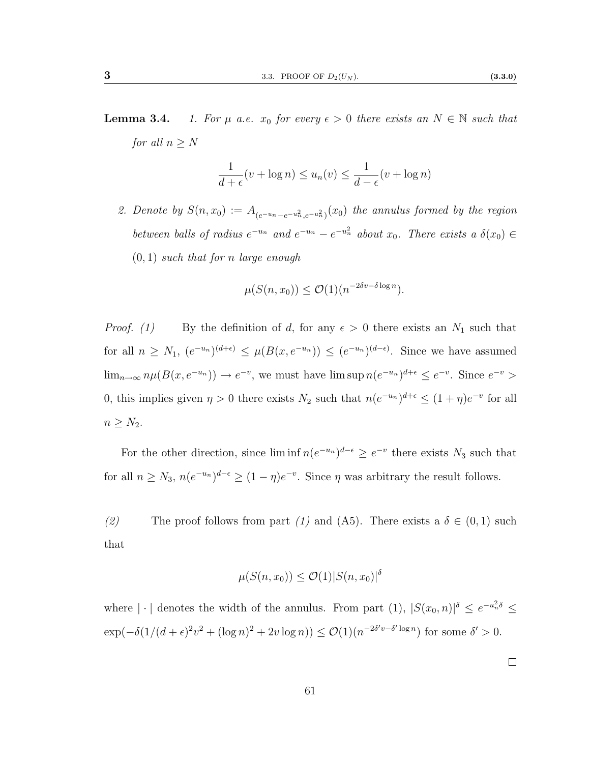**Lemma 3.4.** 1. For  $\mu$  a.e.  $x_0$  for every  $\epsilon > 0$  there exists an  $N \in \mathbb{N}$  such that for all  $n \geq N$ 

$$
\frac{1}{d+\epsilon}(v+\log n)\leq u_n(v)\leq \frac{1}{d-\epsilon}(v+\log n)
$$

2. Denote by  $S(n, x_0) := A_{(e^{-u_n} - e^{-u_n^2}, e^{-u_n^2})}(x_0)$  the annulus formed by the region between balls of radius  $e^{-u_n}$  and  $e^{-u_n} - e^{-u_n^2}$  about  $x_0$ . There exists a  $\delta(x_0) \in$  $(0, 1)$  such that for n large enough

$$
\mu(S(n, x_0)) \le \mathcal{O}(1)(n^{-2\delta v - \delta \log n}).
$$

*Proof.* (1) By the definition of d, for any  $\epsilon > 0$  there exists an  $N_1$  such that for all  $n \geq N_1$ ,  $(e^{-u_n})^{(d+\epsilon)} \leq \mu(B(x, e^{-u_n})) \leq (e^{-u_n})^{(d-\epsilon)}$ . Since we have assumed  $\lim_{n\to\infty} n\mu(B(x,e^{-u_n})) \to e^{-v}$ , we must have  $\limsup n(e^{-u_n})^{d+\epsilon} \leq e^{-v}$ . Since  $e^{-v}$ 0, this implies given  $\eta > 0$  there exists  $N_2$  such that  $n(e^{-u_n})^{d+\epsilon} \leq (1+\eta)e^{-v}$  for all  $n \geq N_2$ .

For the other direction, since  $\liminf n(e^{-u_n})^{d-\epsilon} \geq e^{-v}$  there exists  $N_3$  such that for all  $n \ge N_3$ ,  $n(e^{-u_n})^{d-\epsilon} \ge (1-\eta)e^{-v}$ . Since  $\eta$  was arbitrary the result follows.

(2) The proof follows from part (1) and [\(A5\)](#page-62-0). There exists a  $\delta \in (0,1)$  such that

$$
\mu(S(n, x_0)) \le \mathcal{O}(1)|S(n, x_0)|^{\delta}
$$

where  $|\cdot|$  denotes the width of the annulus. From part (1),  $|S(x_0, n)|^{\delta} \leq e^{-u_n^2 \delta} \leq$  $\exp(-\delta(1/(d+\epsilon)^2v^2 + (\log n)^2 + 2v\log n)) \leq \mathcal{O}(1)(n^{-2\delta' v - \delta' \log n})$  for some  $\delta' > 0$ .

 $\Box$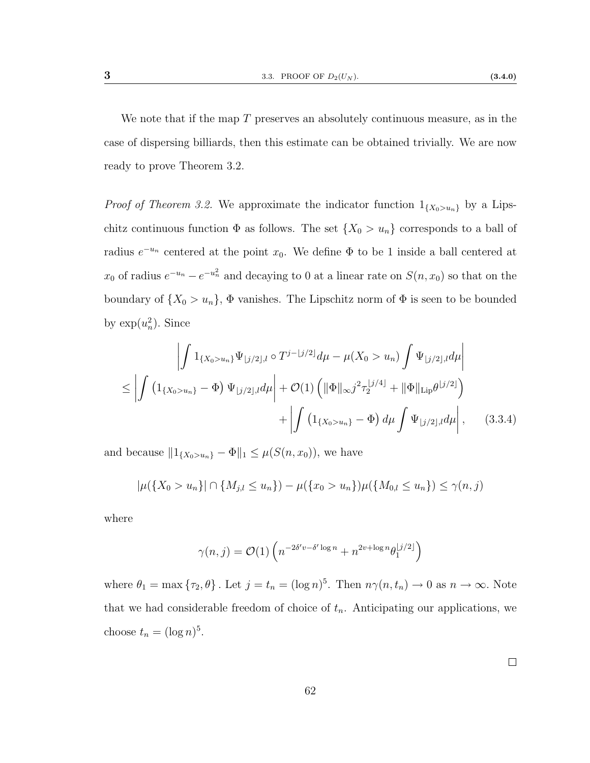We note that if the map  $T$  preserves an absolutely continuous measure, as in the case of dispersing billiards, then this estimate can be obtained trivially. We are now ready to prove Theorem [3.2.](#page-64-0)

*Proof of Theorem [3.2.](#page-64-0)* We approximate the indicator function  $1_{\{X_0 > u_n\}}$  by a Lipschitz continuous function  $\Phi$  as follows. The set  $\{X_0 > u_n\}$  corresponds to a ball of radius  $e^{-u_n}$  centered at the point  $x_0$ . We define  $\Phi$  to be 1 inside a ball centered at  $x_0$  of radius  $e^{-u_n} - e^{-u_n^2}$  and decaying to 0 at a linear rate on  $S(n, x_0)$  so that on the boundary of  $\{X_0 > u_n\}$ ,  $\Phi$  vanishes. The Lipschitz norm of  $\Phi$  is seen to be bounded by  $\exp(u_n^2)$ . Since

$$
\left| \int 1_{\{X_0 > u_n\}} \Psi_{\lfloor j/2 \rfloor, l} \circ T^{j - \lfloor j/2 \rfloor} d\mu - \mu(X_0 > u_n) \int \Psi_{\lfloor j/2 \rfloor, l} d\mu \right|
$$
  

$$
\leq \left| \int \left( 1_{\{X_0 > u_n\}} - \Phi \right) \Psi_{\lfloor j/2 \rfloor, l} d\mu \right| + \mathcal{O}(1) \left( \| \Phi \|_{\infty} j^2 \tau_2^{\lfloor j/4 \rfloor} + \| \Phi \|_{\text{Lip}} \theta^{\lfloor j/2 \rfloor} \right)
$$
  

$$
+ \left| \int \left( 1_{\{X_0 > u_n\}} - \Phi \right) d\mu \int \Psi_{\lfloor j/2 \rfloor, l} d\mu \right|, \qquad (3.3.4)
$$

and because  $||1_{\{X_0 > u_n\}} - \Phi||_1 \leq \mu(S(n, x_0))$ , we have

$$
|\mu({X_0 > u_n})| \cap {M_{j,l} \le u_n}) - \mu({x_0 > u_n})\mu({M_{0,l} \le u_n}) \le \gamma(n,j)
$$

where

$$
\gamma(n,j) = \mathcal{O}(1) \left( n^{-2\delta' v - \delta' \log n} + n^{2v + \log n} \theta_1^{\lfloor j/2 \rfloor} \right)
$$

where  $\theta_1 = \max \{\tau_2, \theta\}$ . Let  $j = t_n = (\log n)^5$ . Then  $n\gamma(n, t_n) \to 0$  as  $n \to \infty$ . Note that we had considerable freedom of choice of  $t_n$ . Anticipating our applications, we choose  $t_n = (\log n)^5$ .

 $\Box$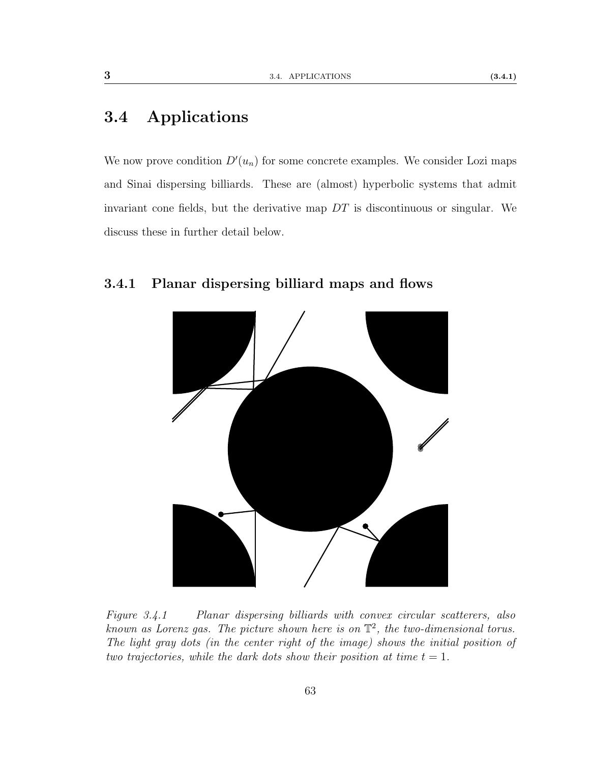## 3.4 Applications

We now prove condition  $D'(u_n)$  for some concrete examples. We consider Lozi maps and Sinai dispersing billiards. These are (almost) hyperbolic systems that admit invariant cone fields, but the derivative map  $DT$  is discontinuous or singular. We discuss these in further detail below.

#### <span id="page-70-0"></span>3.4.1 Planar dispersing billiard maps and flows



Figure 3.4.1 Planar dispersing billiards with convex circular scatterers, also known as Lorenz gas. The picture shown here is on  $\mathbb{T}^2$ , the two-dimensional torus. The light gray dots (in the center right of the image) shows the initial position of two trajectories, while the dark dots show their position at time  $t = 1$ .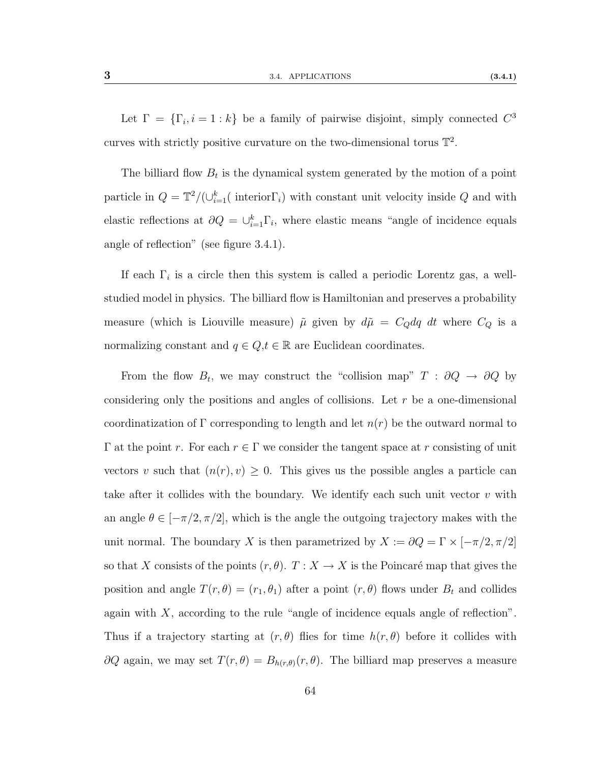Let  $\Gamma = {\lbrace \Gamma_i, i = 1 : k \rbrace}$  be a family of pairwise disjoint, simply connected  $C^3$ curves with strictly positive curvature on the two-dimensional torus  $\mathbb{T}^2$ .

The billiard flow  $B_t$  is the dynamical system generated by the motion of a point particle in  $Q = \mathbb{T}^2/(\cup_{i=1}^k (i_1 \text{interior } \Gamma_i))$  with constant unit velocity inside Q and with elastic reflections at  $\partial Q = \bigcup_{i=1}^{k} \Gamma_i$ , where elastic means "angle of incidence equals angle of reflection" (see figure [3.4.1\)](#page-70-0).

If each  $\Gamma_i$  is a circle then this system is called a periodic Lorentz gas, a wellstudied model in physics. The billiard flow is Hamiltonian and preserves a probability measure (which is Liouville measure)  $\tilde{\mu}$  given by  $d\tilde{\mu} = C_Q dq dt$  where  $C_Q$  is a normalizing constant and  $q \in Q, t \in \mathbb{R}$  are Euclidean coordinates.

From the flow  $B_t$ , we may construct the "collision map"  $T : \partial Q \to \partial Q$  by considering only the positions and angles of collisions. Let  $r$  be a one-dimensional coordinatization of Γ corresponding to length and let  $n(r)$  be the outward normal to  $\Gamma$  at the point r. For each  $r \in \Gamma$  we consider the tangent space at r consisting of unit vectors v such that  $(n(r), v) \geq 0$ . This gives us the possible angles a particle can take after it collides with the boundary. We identify each such unit vector  $v$  with an angle  $\theta \in [-\pi/2, \pi/2]$ , which is the angle the outgoing trajectory makes with the unit normal. The boundary X is then parametrized by  $X := \partial Q = \Gamma \times [-\pi/2, \pi/2]$ so that X consists of the points  $(r, \theta)$ .  $T : X \to X$  is the Poincaré map that gives the position and angle  $T(r, \theta) = (r_1, \theta_1)$  after a point  $(r, \theta)$  flows under  $B_t$  and collides again with  $X$ , according to the rule "angle of incidence equals angle of reflection". Thus if a trajectory starting at  $(r, \theta)$  flies for time  $h(r, \theta)$  before it collides with  $\partial Q$  again, we may set  $T(r, \theta) = B_{h(r,\theta)}(r, \theta)$ . The billiard map preserves a measure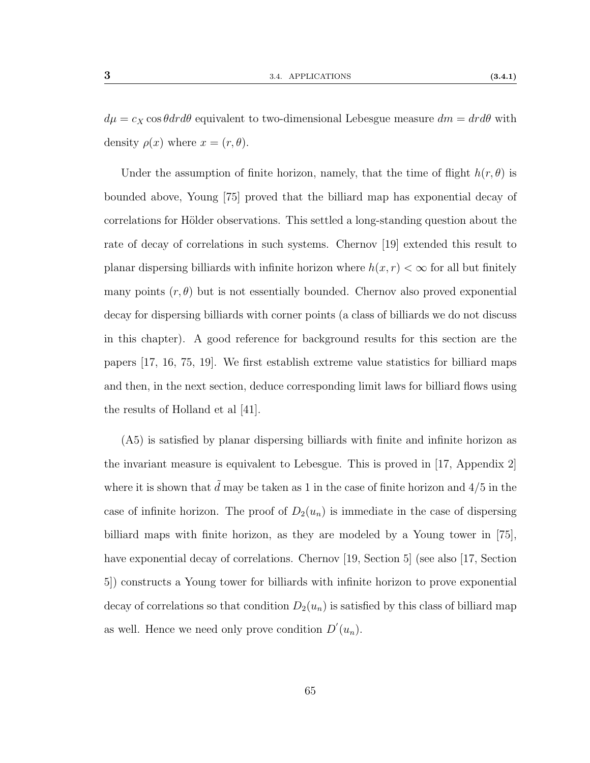$d\mu = c_X \cos \theta dr d\theta$  equivalent to two-dimensional Lebesgue measure  $dm = dr d\theta$  with density  $\rho(x)$  where  $x = (r, \theta)$ .

Under the assumption of finite horizon, namely, that the time of flight  $h(r, \theta)$  is bounded above, Young [\[75\]](#page-117-0) proved that the billiard map has exponential decay of correlations for Hölder observations. This settled a long-standing question about the rate of decay of correlations in such systems. Chernov [\[19\]](#page-113-0) extended this result to planar dispersing billiards with infinite horizon where  $h(x, r) < \infty$  for all but finitely many points  $(r, \theta)$  but is not essentially bounded. Chernov also proved exponential decay for dispersing billiards with corner points (a class of billiards we do not discuss in this chapter). A good reference for background results for this section are the papers [\[17,](#page-113-1) [16,](#page-113-2) [75,](#page-117-0) [19\]](#page-113-0). We first establish extreme value statistics for billiard maps and then, in the next section, deduce corresponding limit laws for billiard flows using the results of Holland et al [\[41\]](#page-115-0).

[\(A5\)](#page-62-0) is satisfied by planar dispersing billiards with finite and infinite horizon as the invariant measure is equivalent to Lebesgue. This is proved in [\[17,](#page-113-1) Appendix 2] where it is shown that  $\tilde{d}$  may be taken as 1 in the case of finite horizon and 4/5 in the case of infinite horizon. The proof of  $D_2(u_n)$  is immediate in the case of dispersing billiard maps with finite horizon, as they are modeled by a Young tower in [\[75\]](#page-117-0), have exponential decay of correlations. Chernov [\[19,](#page-113-0) Section 5] (see also [\[17,](#page-113-1) Section 5]) constructs a Young tower for billiards with infinite horizon to prove exponential decay of correlations so that condition  $D_2(u_n)$  is satisfied by this class of billiard map as well. Hence we need only prove condition  $D'(u_n)$ .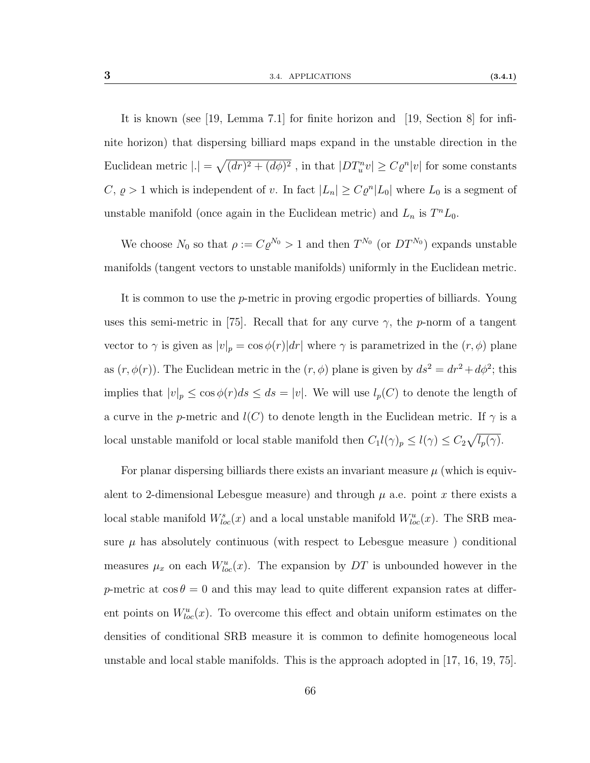It is known (see [\[19,](#page-113-0) Lemma 7.1] for finite horizon and [\[19,](#page-113-0) Section 8] for infinite horizon) that dispersing billiard maps expand in the unstable direction in the Euclidean metric  $|.| = \sqrt{(dr)^2 + (d\phi)^2}$ , in that  $|DT_u^n v| \ge C\varrho^n |v|$  for some constants  $C, \, \rho > 1$  which is independent of v. In fact  $|L_n| \geq C \varrho^n |L_0|$  where  $L_0$  is a segment of unstable manifold (once again in the Euclidean metric) and  $L_n$  is  $T^nL_0$ .

We choose  $N_0$  so that  $\rho := C \varrho^{N_0} > 1$  and then  $T^{N_0}$  (or  $DT^{N_0}$ ) expands unstable manifolds (tangent vectors to unstable manifolds) uniformly in the Euclidean metric.

It is common to use the p-metric in proving ergodic properties of billiards. Young uses this semi-metric in [\[75\]](#page-117-0). Recall that for any curve  $\gamma$ , the p-norm of a tangent vector to  $\gamma$  is given as  $|v|_p = \cos \phi(r)|dr|$  where  $\gamma$  is parametrized in the  $(r, \phi)$  plane as  $(r, \phi(r))$ . The Euclidean metric in the  $(r, \phi)$  plane is given by  $ds^2 = dr^2 + d\phi^2$ ; this implies that  $|v|_p \le \cos \phi(r) ds \le ds = |v|$ . We will use  $l_p(C)$  to denote the length of a curve in the p-metric and  $l(C)$  to denote length in the Euclidean metric. If  $\gamma$  is a local unstable manifold or local stable manifold then  $C_1 l(\gamma)_p \leq l(\gamma) \leq C_2 \sqrt{l_p(\gamma)}$ .

For planar dispersing billiards there exists an invariant measure  $\mu$  (which is equivalent to 2-dimensional Lebesgue measure) and through  $\mu$  a.e. point x there exists a local stable manifold  $W^s_{loc}(x)$  and a local unstable manifold  $W^u_{loc}(x)$ . The SRB measure  $\mu$  has absolutely continuous (with respect to Lebesgue measure) conditional measures  $\mu_x$  on each  $W^u_{loc}(x)$ . The expansion by DT is unbounded however in the p-metric at  $\cos \theta = 0$  and this may lead to quite different expansion rates at different points on  $W^u_{loc}(x)$ . To overcome this effect and obtain uniform estimates on the densities of conditional SRB measure it is common to definite homogeneous local unstable and local stable manifolds. This is the approach adopted in [\[17,](#page-113-1) [16,](#page-113-2) [19,](#page-113-0) [75\]](#page-117-0).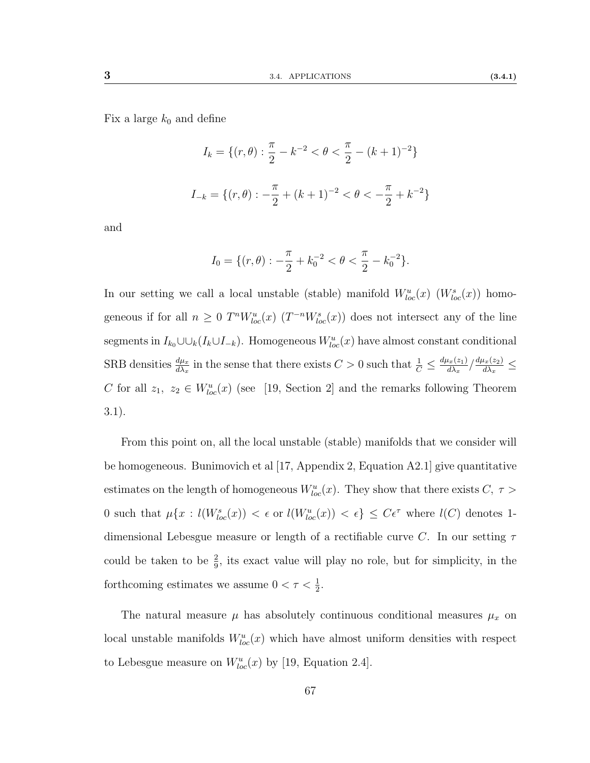Fix a large  $k_0$  and define

$$
I_k = \{(r, \theta) : \frac{\pi}{2} - k^{-2} < \theta < \frac{\pi}{2} - (k+1)^{-2}\}
$$
\n
$$
I_{-k} = \{(r, \theta) : -\frac{\pi}{2} + (k+1)^{-2} < \theta < -\frac{\pi}{2} + k^{-2}\}
$$

and

$$
I_0 = \{ (r, \theta) : -\frac{\pi}{2} + k_0^{-2} < \theta < \frac{\pi}{2} - k_0^{-2} \}.
$$

In our setting we call a local unstable (stable) manifold  $W^u_{loc}(x)$  ( $W^s_{loc}(x)$ ) homogeneous if for all  $n \geq 0$   $T^n W^u_{loc}(x)$   $(T^{-n} W^s_{loc}(x))$  does not intersect any of the line segments in  $I_{k_0} \cup \cup_k (I_k \cup I_{-k})$ . Homogeneous  $W^u_{loc}(x)$  have almost constant conditional SRB densities  $\frac{d\mu_x}{d\lambda_x}$  in the sense that there exists  $C > 0$  such that  $\frac{1}{C} \leq \frac{d\mu_x(z_1)}{d\lambda_x}$  $\frac{d_{x}(z_{1})}{d\lambda_{x}}/\frac{d\mu_{x}(z_{2})}{d\lambda_{x}}$  $\frac{\iota_x(z_2)}{d\lambda_x} \leq$ C for all  $z_1, z_2 \in W^u_{loc}(x)$  (see [\[19,](#page-113-0) Section 2] and the remarks following Theorem 3.1).

From this point on, all the local unstable (stable) manifolds that we consider will be homogeneous. Bunimovich et al [\[17,](#page-113-1) Appendix 2, Equation A2.1] give quantitative estimates on the length of homogeneous  $W^u_{loc}(x)$ . They show that there exists  $C, \tau >$ 0 such that  $\mu\{x: l(W^s_{loc}(x)) < \epsilon \text{ or } l(W^u_{loc}(x)) < \epsilon \} \leq C\epsilon^{\tau}$  where  $l(C)$  denotes 1dimensional Lebesgue measure or length of a rectifiable curve C. In our setting  $\tau$ could be taken to be  $\frac{2}{9}$ , its exact value will play no role, but for simplicity, in the forthcoming estimates we assume  $0 < \tau < \frac{1}{2}$ .

The natural measure  $\mu$  has absolutely continuous conditional measures  $\mu_x$  on local unstable manifolds  $W^u_{loc}(x)$  which have almost uniform densities with respect to Lebesgue measure on  $W^u_{loc}(x)$  by [\[19,](#page-113-0) Equation 2.4].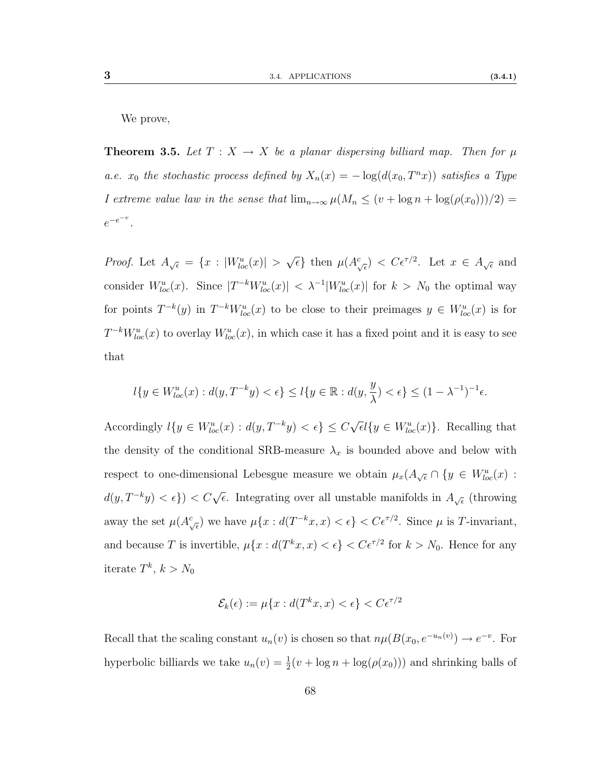We prove,

<span id="page-75-0"></span>**Theorem 3.5.** Let  $T : X \to X$  be a planar dispersing billiard map. Then for  $\mu$ a.e.  $x_0$  the stochastic process defined by  $X_n(x) = -\log(d(x_0, T^n x))$  satisfies a Type I extreme value law in the sense that  $\lim_{n\to\infty}\mu(M_n \leq (v + \log n + \log(\rho(x_0)))/2)$  $e^{-e^{-v}}$ .

*Proof.* Let  $A_{\sqrt{\epsilon}} = \{x : |W^u_{loc}(x)| > \epsilon\}$  $\sqrt{\epsilon}$  then  $\mu(A_{\sqrt{\epsilon}}^c) < C\epsilon^{\tau/2}$ . Let  $x \in A_{\sqrt{\epsilon}}$  and consider  $W^u_{loc}(x)$ . Since  $|T^{-k}W^u_{loc}(x)| < \lambda^{-1}|W^u_{loc}(x)|$  for  $k > N_0$  the optimal way for points  $T^{-k}(y)$  in  $T^{-k}W_{loc}^u(x)$  to be close to their preimages  $y \in W_{loc}^u(x)$  is for  $T^{-k}W_{loc}^u(x)$  to overlay  $W_{loc}^u(x)$ , in which case it has a fixed point and it is easy to see that

$$
l\{y\in W^u_{loc}(x): d(y,T^{-k}y)<\epsilon\}\leq l\{y\in \mathbb{R}: d(y,\frac{y}{\lambda})<\epsilon\}\leq (1-\lambda^{-1})^{-1}\epsilon.
$$

Accordingly  $l\{y \in W_{loc}^u(x) : d(y, T^{-k}y) < \epsilon\} \leq C$  $\sqrt{\epsilon}l\{y \in W_{loc}^u(x)\}$ . Recalling that the density of the conditional SRB-measure  $\lambda_x$  is bounded above and below with respect to one-dimensional Lebesgue measure we obtain  $\mu_x(A_{\sqrt{\epsilon}} \cap \{y \in W_{loc}^u(x) \in W_{loc}^u(x) \}$  $d(y, T^{-k}y) < \epsilon$ })  $\lt C\sqrt{\epsilon}$ . Integrating over all unstable manifolds in  $A_{\sqrt{\epsilon}}$  (throwing away the set  $\mu(A_{\sqrt{\epsilon}}^c)$  we have  $\mu\{x: d(T^{-k}x, x) < \epsilon\} < C\epsilon^{\tau/2}$ . Since  $\mu$  is T-invariant, and because T is invertible,  $\mu\{x: d(T^k x, x) < \epsilon\} < C\epsilon^{\tau/2}$  for  $k > N_0$ . Hence for any iterate  $T^k$ ,  $k > N_0$ 

$$
\mathcal{E}_k(\epsilon) := \mu\{x : d(T^k x, x) < \epsilon\} < C\epsilon^{\tau/2}
$$

Recall that the scaling constant  $u_n(v)$  is chosen so that  $n\mu(B(x_0, e^{-u_n(v)}) \to e^{-v}$ . For hyperbolic billiards we take  $u_n(v) = \frac{1}{2}(v + \log n + \log(\rho(x_0)))$  and shrinking balls of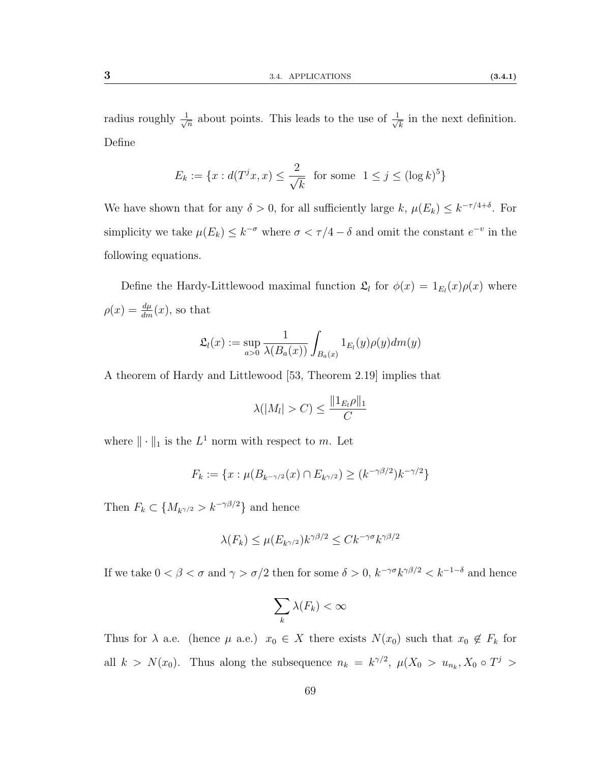radius roughly  $\frac{1}{\sqrt{2}}$  $\frac{1}{n}$  about points. This leads to the use of  $\frac{1}{\sqrt{n}}$  $\overline{k}$  in the next definition. Define

$$
E_k := \{ x : d(T^j x, x) \le \frac{2}{\sqrt{k}} \text{ for some } 1 \le j \le (\log k)^5 \}
$$

We have shown that for any  $\delta > 0$ , for all sufficiently large k,  $\mu(E_k) \leq k^{-\tau/4+\delta}$ . For simplicity we take  $\mu(E_k) \leq k^{-\sigma}$  where  $\sigma < \tau/4 - \delta$  and omit the constant  $e^{-v}$  in the following equations.

Define the Hardy-Littlewood maximal function  $\mathfrak{L}_l$  for  $\phi(x) = 1_{E_l}(x)\rho(x)$  where  $\rho(x) = \frac{d\mu}{dm}(x)$ , so that

$$
\mathfrak{L}_l(x) := \sup_{a>0} \frac{1}{\lambda(B_a(x))} \int_{B_a(x)} 1_{E_l}(y) \rho(y) dm(y)
$$

A theorem of Hardy and Littlewood [\[53,](#page-116-0) Theorem 2.19] implies that

$$
\lambda(|M_l| > C) \le \frac{\|1_{E_l}\rho\|_1}{C}
$$

where  $\|\cdot\|_1$  is the  $L^1$  norm with respect to m. Let

$$
F_k := \{ x : \mu(B_{k-\gamma/2}(x) \cap E_{k\gamma/2}) \ge (k^{-\gamma\beta/2})k^{-\gamma/2} \}
$$

Then  $F_k \subset \{M_{k^{\gamma/2}} > k^{-\gamma\beta/2}\}\$  and hence

$$
\lambda(F_k) \le \mu(E_{k^{\gamma/2}})k^{\gamma\beta/2} \le Ck^{-\gamma\sigma}k^{\gamma\beta/2}
$$

If we take  $0 < \beta < \sigma$  and  $\gamma > \sigma/2$  then for some  $\delta > 0$ ,  $k^{-\gamma \sigma} k^{\gamma \beta/2} < k^{-1-\delta}$  and hence

$$
\sum_k \lambda(F_k) < \infty
$$

Thus for  $\lambda$  a.e. (hence  $\mu$  a.e.)  $x_0 \in X$  there exists  $N(x_0)$  such that  $x_0 \notin F_k$  for all  $k > N(x_0)$ . Thus along the subsequence  $n_k = k^{\gamma/2}$ ,  $\mu(X_0 > u_{n_k}, X_0 \circ T^j >$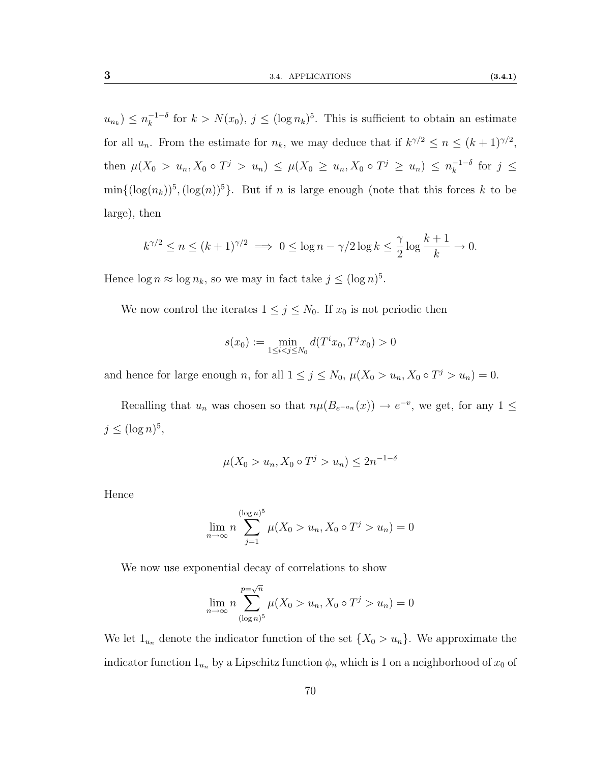$u_{n_k}$ )  $\leq n_k^{-1-\delta}$  $\int_{k}^{-1-\delta}$  for  $k > N(x_0), j \leq (\log n_k)^5$ . This is sufficient to obtain an estimate for all  $u_n$ . From the estimate for  $n_k$ , we may deduce that if  $k^{\gamma/2} \leq n \leq (k+1)^{\gamma/2}$ , then  $\mu(X_0 > u_n, X_0 \circ T^j > u_n) \leq \mu(X_0 \geq u_n, X_0 \circ T^j \geq u_n) \leq n_k^{-1-\delta}$  $\frac{-1}{k}$  for  $j \leq$  $\min\{(\log(n_k))^5, (\log(n))^5\}$ . But if n is large enough (note that this forces k to be large), then

$$
k^{\gamma/2} \le n \le (k+1)^{\gamma/2} \implies 0 \le \log n - \gamma/2 \log k \le \frac{\gamma}{2} \log \frac{k+1}{k} \to 0.
$$

Hence  $\log n \approx \log n_k$ , so we may in fact take  $j \leq (\log n)^5$ .

We now control the iterates  $1 \leq j \leq N_0$ . If  $x_0$  is not periodic then

$$
s(x_0) := \min_{1 \le i < j \le N_0} d(T^i x_0, T^j x_0) > 0
$$

and hence for large enough n, for all  $1 \leq j \leq N_0$ ,  $\mu(X_0 > u_n, X_0 \circ T^j > u_n) = 0$ .

Recalling that  $u_n$  was chosen so that  $n\mu(B_{e^{-u_n}}(x)) \to e^{-v}$ , we get, for any  $1 \leq$  $j \leq (\log n)^5$ ,

$$
\mu(X_0 > u_n, X_0 \circ T^j > u_n) \le 2n^{-1-\delta}
$$

Hence

$$
\lim_{n \to \infty} n \sum_{j=1}^{(\log n)^5} \mu(X_0 > u_n, X_0 \circ T^j > u_n) = 0
$$

We now use exponential decay of correlations to show

$$
\lim_{n \to \infty} n \sum_{(\log n)^5}^{\infty} \mu(X_0 > u_n, X_0 \circ T^j > u_n) = 0
$$

We let  $1_{u_n}$  denote the indicator function of the set  $\{X_0 > u_n\}$ . We approximate the indicator function  $1_{u_n}$  by a Lipschitz function  $\phi_n$  which is 1 on a neighborhood of  $x_0$  of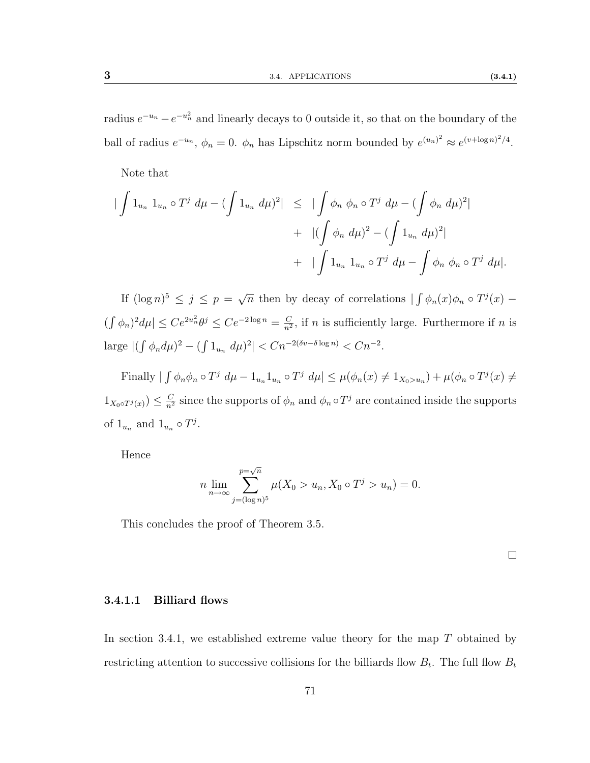radius  $e^{-u_n} - e^{-u_n^2}$  and linearly decays to 0 outside it, so that on the boundary of the ball of radius  $e^{-u_n}$ ,  $\phi_n = 0$ .  $\phi_n$  has Lipschitz norm bounded by  $e^{(u_n)^2} \approx e^{(v + \log n)^2/4}$ .

Note that

$$
\begin{aligned}\n|\int 1_{u_n} 1_{u_n} \circ T^j \, d\mu - (\int 1_{u_n} d\mu)^2| &\leq |\int \phi_n \, \phi_n \circ T^j \, d\mu - (\int \phi_n \, d\mu)^2| \\
&\quad + |\int \phi_n \, d\mu)^2 - (\int 1_{u_n} d\mu)^2| \\
&\quad + |\int 1_{u_n} 1_{u_n} \circ T^j \, d\mu - \int \phi_n \, \phi_n \circ T^j \, d\mu|\n\end{aligned}
$$

If  $(\log n)^5 \leq j \leq p = \sqrt{3}$  $\overline{n}$  then by decay of correlations  $\int \phi_n(x) \phi_n \circ T^j(x)$  –  $\left(\int \phi_n\right)^2 d\mu \leq Ce^{2u_n^2} \theta^j \leq Ce^{-2\log n} = \frac{C}{n^2}$  $\frac{C}{n^2}$ , if *n* is sufficiently large. Furthermore if *n* is large  $|(\int \phi_n d\mu)^2 - (\int 1_{u_n} d\mu)^2| < Cn^{-2(\delta v - \delta \log n)} < Cn^{-2}$ .

Finally  $|\int \phi_n \phi_n \circ T^j d\mu - 1_{u_n} 1_{u_n} \circ T^j d\mu| \leq \mu(\phi_n(x) \neq 1_{X_0 > u_n}) + \mu(\phi_n \circ T^j(x) \neq 1_{X_0 > u_n})$  $1_{X_0 \circ T^j(x)} \leq \frac{C}{n^2}$  since the supports of  $\phi_n$  and  $\phi_n \circ T^j$  are contained inside the supports of  $1_{u_n}$  and  $1_{u_n} \circ T^j$ .

Hence

$$
n \lim_{n \to \infty} \sum_{j=(\log n)^5}^{\infty} \mu(X_0 > u_n, X_0 \circ T^j > u_n) = 0.
$$

This concludes the proof of Theorem [3.5.](#page-75-0)

 $\Box$ 

#### 3.4.1.1 Billiard flows

In section [3.4.1,](#page-62-1) we established extreme value theory for the map  $T$  obtained by restricting attention to successive collisions for the billiards flow  $B_t$ . The full flow  $B_t$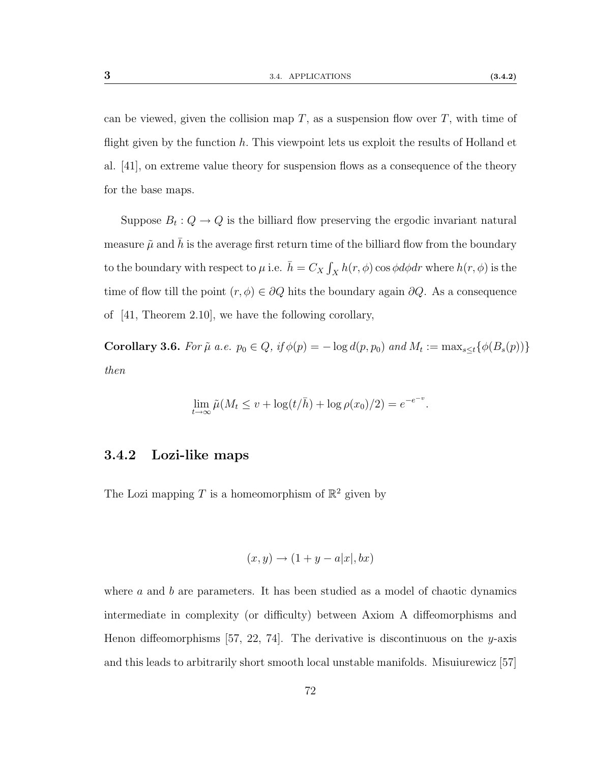can be viewed, given the collision map  $T$ , as a suspension flow over  $T$ , with time of flight given by the function  $h$ . This viewpoint lets us exploit the results of Holland et al. [\[41\]](#page-115-0), on extreme value theory for suspension flows as a consequence of the theory for the base maps.

Suppose  $B_t: Q \to Q$  is the billiard flow preserving the ergodic invariant natural measure  $\tilde{\mu}$  and h is the average first return time of the billiard flow from the boundary to the boundary with respect to  $\mu$  i.e.  $\bar{h} = C_X \int_X h(r, \phi) \cos \phi d\phi dr$  where  $h(r, \phi)$  is the time of flow till the point  $(r, \phi) \in \partial Q$  hits the boundary again  $\partial Q$ . As a consequence of [\[41,](#page-115-0) Theorem 2.10], we have the following corollary,

**Corollary 3.6.** For  $\tilde{\mu}$  a.e.  $p_0 \in Q$ , if  $\phi(p) = -\log d(p, p_0)$  and  $M_t := \max_{s \leq t} {\phi(B_s(p))}$ then

$$
\lim_{t \to \infty} \tilde{\mu}(M_t \le v + \log(t/\bar{h}) + \log \rho(x_0)/2) = e^{-e^{-v}}.
$$

#### 3.4.2 Lozi-like maps

The Lozi mapping T is a homeomorphism of  $\mathbb{R}^2$  given by

$$
(x, y) \rightarrow (1 + y - a|x|, bx)
$$

where  $\alpha$  and  $\beta$  are parameters. It has been studied as a model of chaotic dynamics intermediate in complexity (or difficulty) between Axiom A diffeomorphisms and Henon diffeomorphisms [\[57,](#page-116-1) [22,](#page-113-3) [74\]](#page-117-1). The derivative is discontinuous on the y-axis and this leads to arbitrarily short smooth local unstable manifolds. Misuiurewicz [\[57\]](#page-116-1)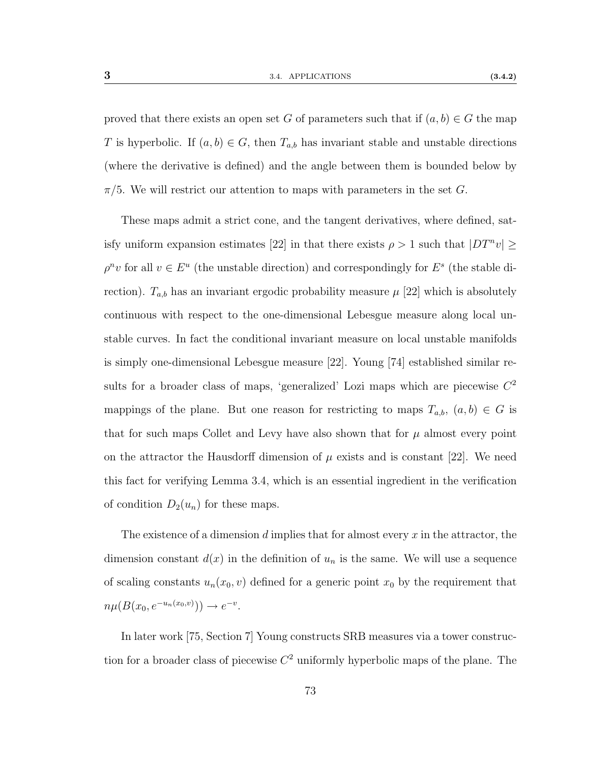proved that there exists an open set G of parameters such that if  $(a, b) \in G$  the map T is hyperbolic. If  $(a, b) \in G$ , then  $T_{a,b}$  has invariant stable and unstable directions (where the derivative is defined) and the angle between them is bounded below by  $\pi/5$ . We will restrict our attention to maps with parameters in the set G.

These maps admit a strict cone, and the tangent derivatives, where defined, sat-isfy uniform expansion estimates [\[22\]](#page-113-3) in that there exists  $\rho > 1$  such that  $|DT^n v| \ge$  $\rho^n v$  for all  $v \in E^u$  (the unstable direction) and correspondingly for  $E^s$  (the stable direction).  $T_{a,b}$  has an invariant ergodic probability measure  $\mu$  [\[22\]](#page-113-3) which is absolutely continuous with respect to the one-dimensional Lebesgue measure along local unstable curves. In fact the conditional invariant measure on local unstable manifolds is simply one-dimensional Lebesgue measure [\[22\]](#page-113-3). Young [\[74\]](#page-117-1) established similar results for a broader class of maps, 'generalized' Lozi maps which are piecewise  $C<sup>2</sup>$ mappings of the plane. But one reason for restricting to maps  $T_{a,b}$ ,  $(a, b) \in G$  is that for such maps Collet and Levy have also shown that for  $\mu$  almost every point on the attractor the Hausdorff dimension of  $\mu$  exists and is constant [\[22\]](#page-113-3). We need this fact for verifying Lemma [3.4,](#page-0-0) which is an essential ingredient in the verification of condition  $D_2(u_n)$  for these maps.

The existence of a dimension  $d$  implies that for almost every  $x$  in the attractor, the dimension constant  $d(x)$  in the definition of  $u_n$  is the same. We will use a sequence of scaling constants  $u_n(x_0, v)$  defined for a generic point  $x_0$  by the requirement that  $n\mu(B(x_0, e^{-u_n(x_0, v)})) \to e^{-v}.$ 

In later work [\[75,](#page-117-0) Section 7] Young constructs SRB measures via a tower construction for a broader class of piecewise  $C^2$  uniformly hyperbolic maps of the plane. The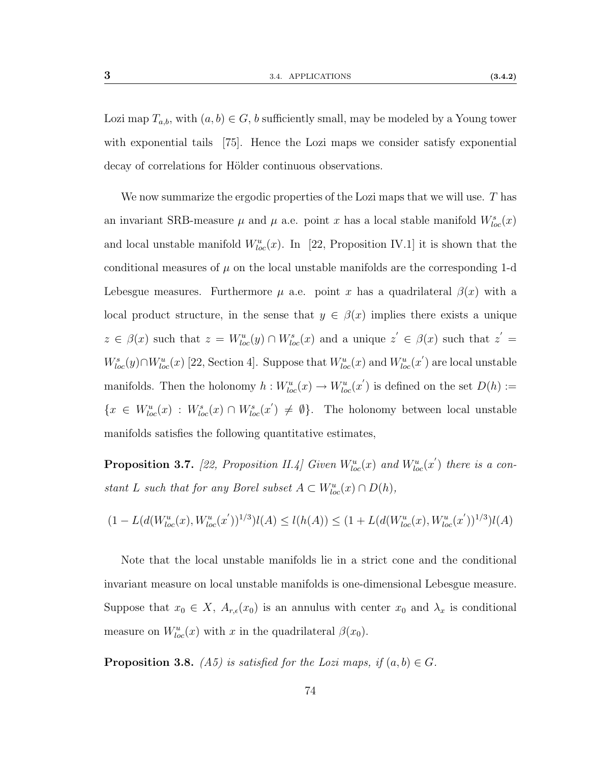Lozi map  $T_{a,b}$ , with  $(a, b) \in G$ , b sufficiently small, may be modeled by a Young tower with exponential tails [\[75\]](#page-117-0). Hence the Lozi maps we consider satisfy exponential decay of correlations for Hölder continuous observations.

We now summarize the ergodic properties of the Lozi maps that we will use. T has an invariant SRB-measure  $\mu$  and  $\mu$  a.e. point x has a local stable manifold  $W^s_{loc}(x)$ and local unstable manifold  $W^u_{loc}(x)$ . In [\[22,](#page-113-3) Proposition IV.1] it is shown that the conditional measures of  $\mu$  on the local unstable manifolds are the corresponding 1-d Lebesgue measures. Furthermore  $\mu$  a.e. point x has a quadrilateral  $\beta(x)$  with a local product structure, in the sense that  $y \in \beta(x)$  implies there exists a unique  $z \in \beta(x)$  such that  $z = W^u_{loc}(y) \cap W^s_{loc}(x)$  and a unique  $z' \in \beta(x)$  such that  $z' =$  $W^s_{loc}(y) \cap W^u_{loc}(x)$  [\[22,](#page-113-3) Section 4]. Suppose that  $W^u_{loc}(x)$  and  $W^u_{loc}(x')$  are local unstable manifolds. Then the holonomy  $h: W^u_{loc}(x) \to W^u_{loc}(x')$  is defined on the set  $D(h) :=$  $\{x \in W^u_{loc}(x) : W^s_{loc}(x) \cap W^s_{loc}(x') \neq \emptyset\}.$  The holonomy between local unstable manifolds satisfies the following quantitative estimates,

<span id="page-81-0"></span>**Proposition 3.7.** [\[22,](#page-113-3) Proposition II.4] Given  $W^u_{loc}(x)$  and  $W^u_{loc}(x')$  there is a constant L such that for any Borel subset  $A \subset W^u_{loc}(x) \cap D(h)$ ,

$$
(1 - L(d(W_{loc}^u(x), W_{loc}^u(x'))^{1/3})l(A) \le l(h(A)) \le (1 + L(d(W_{loc}^u(x), W_{loc}^u(x'))^{1/3})l(A)
$$

Note that the local unstable manifolds lie in a strict cone and the conditional invariant measure on local unstable manifolds is one-dimensional Lebesgue measure. Suppose that  $x_0 \in X$ ,  $A_{r,\epsilon}(x_0)$  is an annulus with center  $x_0$  and  $\lambda_x$  is conditional measure on  $W^u_{loc}(x)$  with x in the quadrilateral  $\beta(x_0)$ .

**Proposition 3.8.** [\(A5\)](#page-62-0) is satisfied for the Lozi maps, if  $(a, b) \in G$ .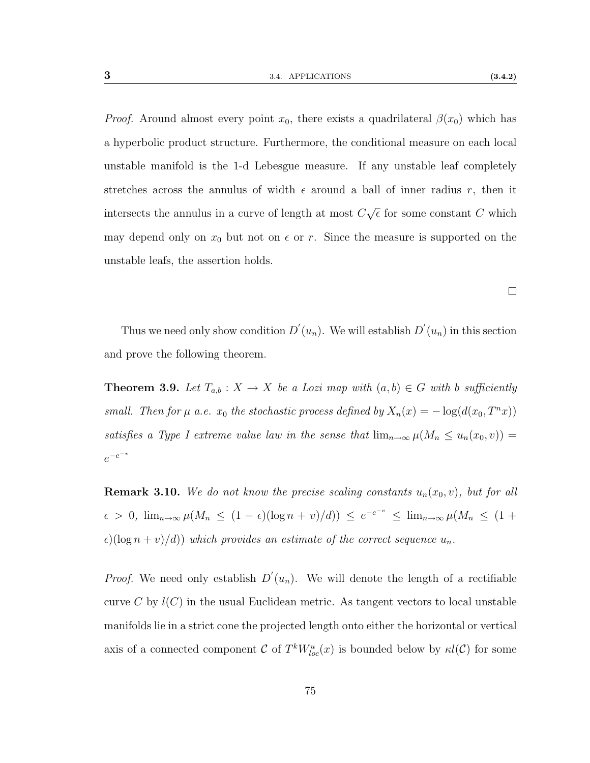$\Box$ 

*Proof.* Around almost every point  $x_0$ , there exists a quadrilateral  $\beta(x_0)$  which has a hyperbolic product structure. Furthermore, the conditional measure on each local unstable manifold is the 1-d Lebesgue measure. If any unstable leaf completely stretches across the annulus of width  $\epsilon$  around a ball of inner radius r, then it intersects the annulus in a curve of length at most C √  $\overline{\epsilon}$  for some constant C which may depend only on  $x_0$  but not on  $\epsilon$  or r. Since the measure is supported on the unstable leafs, the assertion holds.

Thus we need only show condition  $D'(u_n)$ . We will establish  $D'(u_n)$  in this section and prove the following theorem.

<span id="page-82-0"></span>**Theorem 3.9.** Let  $T_{a,b}: X \to X$  be a Lozi map with  $(a,b) \in G$  with b sufficiently small. Then for  $\mu$  a.e.  $x_0$  the stochastic process defined by  $X_n(x) = -\log(d(x_0, T^n x))$ satisfies a Type I extreme value law in the sense that  $\lim_{n\to\infty}\mu(M_n \leq u_n(x_0, v))$  =  $e^{-e^{-v}}$ 

**Remark 3.10.** We do not know the precise scaling constants  $u_n(x_0, v)$ , but for all  $\epsilon > 0$ ,  $\lim_{n\to\infty}\mu(M_n \leq (1-\epsilon)(\log n + v)/d)) \leq e^{-e^{-v}} \leq \lim_{n\to\infty}\mu(M_n \leq (1+\epsilon)(\log n + v)/d)$  $\epsilon$ )(log  $n + v/d$ )) which provides an estimate of the correct sequence  $u_n$ .

*Proof.* We need only establish  $D'(u_n)$ . We will denote the length of a rectifiable curve C by  $l(C)$  in the usual Euclidean metric. As tangent vectors to local unstable manifolds lie in a strict cone the projected length onto either the horizontal or vertical axis of a connected component C of  $T^k W^u_{loc}(x)$  is bounded below by  $\kappa l(\mathcal{C})$  for some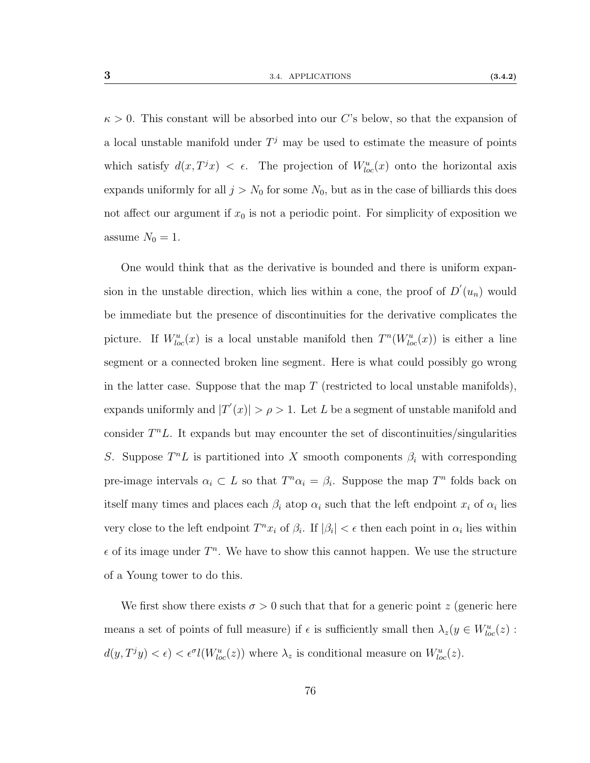$\kappa > 0$ . This constant will be absorbed into our C's below, so that the expansion of a local unstable manifold under  $T^j$  may be used to estimate the measure of points which satisfy  $d(x, T^j x) < \epsilon$ . The projection of  $W^u_{loc}(x)$  onto the horizontal axis expands uniformly for all  $j > N_0$  for some  $N_0$ , but as in the case of billiards this does not affect our argument if  $x_0$  is not a periodic point. For simplicity of exposition we

One would think that as the derivative is bounded and there is uniform expansion in the unstable direction, which lies within a cone, the proof of  $D'(u_n)$  would be immediate but the presence of discontinuities for the derivative complicates the picture. If  $W^u_{loc}(x)$  is a local unstable manifold then  $T^n(W^u_{loc}(x))$  is either a line segment or a connected broken line segment. Here is what could possibly go wrong in the latter case. Suppose that the map  $T$  (restricted to local unstable manifolds), expands uniformly and  $|T'(x)| > \rho > 1$ . Let L be a segment of unstable manifold and consider  $T^n L$ . It expands but may encounter the set of discontinuities/singularities S. Suppose  $T^nL$  is partitioned into X smooth components  $\beta_i$  with corresponding pre-image intervals  $\alpha_i \subset L$  so that  $T^n \alpha_i = \beta_i$ . Suppose the map  $T^n$  folds back on itself many times and places each  $\beta_i$  atop  $\alpha_i$  such that the left endpoint  $x_i$  of  $\alpha_i$  lies very close to the left endpoint  $T^n x_i$  of  $\beta_i$ . If  $|\beta_i| < \epsilon$  then each point in  $\alpha_i$  lies within  $\epsilon$  of its image under  $T^n$ . We have to show this cannot happen. We use the structure of a Young tower to do this.

We first show there exists  $\sigma > 0$  such that that for a generic point z (generic here means a set of points of full measure) if  $\epsilon$  is sufficiently small then  $\lambda_z(y \in W^u_{loc}(z)$ :  $d(y,T^jy) < \epsilon$   $\epsilon^{\sigma} l(W^u_{loc}(z))$  where  $\lambda_z$  is conditional measure on  $W^u_{loc}(z)$ .

assume  $N_0 = 1$ .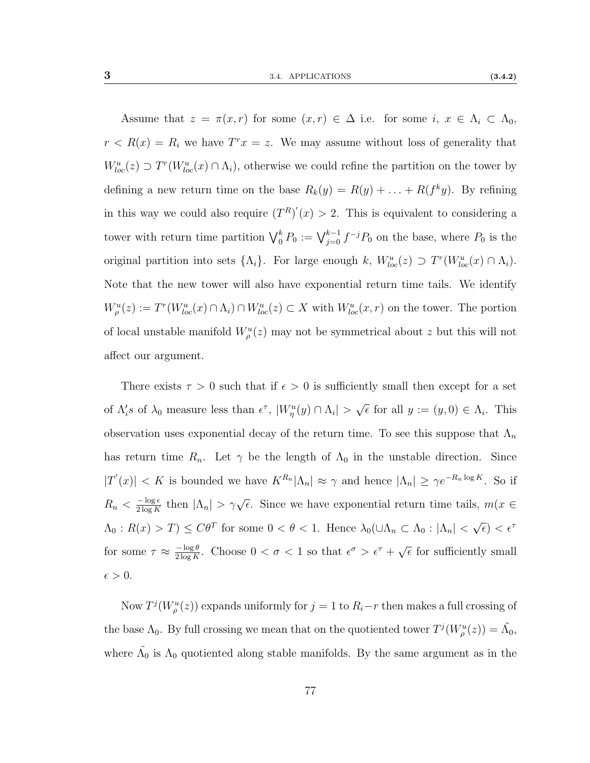Assume that  $z = \pi(x,r)$  for some  $(x,r) \in \Delta$  i.e. for some  $i, x \in \Lambda_i \subset \Lambda_0$ ,  $r < R(x) = R_i$  we have  $T^r x = z$ . We may assume without loss of generality that  $W^u_{loc}(z) \supset T^r(W^u_{loc}(x) \cap \Lambda_i)$ , otherwise we could refine the partition on the tower by defining a new return time on the base  $R_k(y) = R(y) + \ldots + R(f^k y)$ . By refining in this way we could also require  $(T^R)'(x) > 2$ . This is equivalent to considering a tower with return time partition  $\bigvee_{0}^{k} P_0 := \bigvee_{j=0}^{k-1} f^{-j} P_0$  on the base, where  $P_0$  is the original partition into sets  $\{\Lambda_i\}$ . For large enough k,  $W^u_{loc}(z) \supset T^r(W^u_{loc}(x) \cap \Lambda_i)$ . Note that the new tower will also have exponential return time tails. We identify  $W^u_\rho(z) := T^r(W^u_{loc}(x) \cap \Lambda_i) \cap W^u_{loc}(z) \subset X$  with  $W^u_{loc}(x,r)$  on the tower. The portion of local unstable manifold  $W^u_\rho(z)$  may not be symmetrical about z but this will not affect our argument.

There exists  $\tau > 0$  such that if  $\epsilon > 0$  is sufficiently small then except for a set of  $\Lambda_i$ s of  $\lambda_0$  measure less than  $\epsilon^{\tau}$ ,  $|W^u_{\eta}(y) \cap \Lambda_i|$  > √  $\overline{\epsilon}$  for all  $y := (y, 0) \in \Lambda_i$ . This observation uses exponential decay of the return time. To see this suppose that  $\Lambda_n$ has return time  $R_n$ . Let  $\gamma$  be the length of  $\Lambda_0$  in the unstable direction. Since  $|T'(x)| < K$  is bounded we have  $K^{R_n}|\Lambda_n| \approx \gamma$  and hence  $|\Lambda_n| \geq \gamma e^{-R_n \log K}$ . So if  $R_n < \frac{-\log \epsilon}{2 \log K}$  $\frac{-\log \epsilon}{2 \log K}$  then  $|\Lambda_n| > \gamma \sqrt{\epsilon}$ . Since we have exponential return time tails,  $m(x \in$  $\Lambda_0: R(x) > T$   $\leq C\theta^T$  for some  $0 < \theta < 1$ . Hence  $\lambda_0(\cup\Lambda_n \subset \Lambda_0: |\Lambda_n| <$  $\sqrt{\epsilon}$ ) <  $\epsilon^{\tau}$ for some  $\tau \approx \frac{-\log \theta}{2 \log K}$  $\frac{-\log \theta}{2 \log K}$ . Choose  $0 < \sigma < 1$  so that  $\epsilon^{\sigma} > \epsilon^{\tau} + \sqrt{2 \log K}$ .  $\bar{\epsilon}$  for sufficiently small  $\epsilon > 0$ .

Now  $T^{j}(W_{\rho}^{u}(z))$  expands uniformly for  $j=1$  to  $R_{i}-r$  then makes a full crossing of the base  $\Lambda_0$ . By full crossing we mean that on the quotiented tower  $T^j(W^u_\rho(z)) = \tilde{\Lambda_0}$ , where  $\tilde{\Lambda_0}$  is  $\Lambda_0$  quotiented along stable manifolds. By the same argument as in the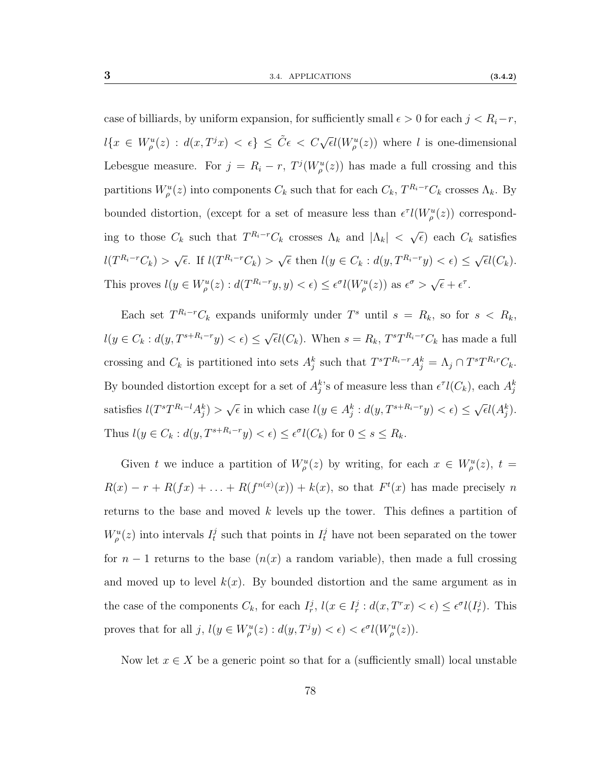case of billiards, by uniform expansion, for sufficiently small  $\epsilon > 0$  for each  $j < R_i - r$ ,  $l\{x \in W_{\rho}^{u}(z) : d(x,T^{j}x) < \epsilon\} \leq \tilde{C}\epsilon < C\sqrt{\epsilon}l(W_{\rho}^{u}(z))$  where l is one-dimensional Lebesgue measure. For  $j = R_i - r$ ,  $T^j(W^u_\rho(z))$  has made a full crossing and this partitions  $W^u_\rho(z)$  into components  $C_k$  such that for each  $C_k$ ,  $T^{R_i-r}C_k$  crosses  $\Lambda_k$ . By bounded distortion, (except for a set of measure less than  $\epsilon^{\tau}l(W_{\rho}^u(z))$  corresponding to those  $C_k$  such that  $T^{R_i-r}C_k$  crosses  $\Lambda_k$  and  $|\Lambda_k| < \sqrt{\Lambda_k}$  $\overline{\epsilon}$ ) each  $C_k$  satisfies  $l(T^{R_i-r}C_k) > \sqrt{\frac{1}{r}}$  $\overline{\epsilon}$ . If  $l(T^{R_i-r}C_k) > \sqrt{\epsilon}$  then  $l(y \in C_k : d(y, T^{R_i-r}y) < \epsilon) \le$ √  $\overline{\epsilon} l(C_k).$ This proves  $l(y \in W^u_\rho(z) : d(T^{R_i-r}y, y) < \epsilon) \leq \epsilon^{\sigma} l(W^u_\rho(z))$  as  $\epsilon^{\sigma} > \sqrt{\epsilon}$  $\bar{\epsilon} + \epsilon^{\tau}$ .

Each set  $T^{R_i-r}C_k$  expands uniformly under  $T^s$  until  $s = R_k$ , so for  $s < R_k$ ,  $l(y \in C_k : d(y, T^{s+R_i-r}y) < \epsilon) \le$ √  $\bar{\epsilon}l(C_k)$ . When  $s = R_k$ ,  $T^sT^{R_i-r}C_k$  has made a full crossing and  $C_k$  is partitioned into sets  $A_j^k$  such that  $T^sT^{R_i-r}A_j^k = \Lambda_j \cap T^sT^{R_i r}C_k$ . By bounded distortion except for a set of  $A_j^k$ 's of measure less than  $\epsilon^{\tau}l(C_k)$ , each  $A_j^k$ satisfies  $l(T^sT^{R_i-l}A_j^k)$  $\sqrt{\epsilon}$  in which case  $l(y \in A_j^k : d(y, T^{s+R_i-r}y) < \epsilon) \le$  $\sqrt{\epsilon}l(A_j^k)$ . Thus  $l(y \in C_k : d(y, T^{s+R_i-r}y) < \epsilon) \leq \epsilon^{\sigma} l(C_k)$  for  $0 \leq s \leq R_k$ .

Given t we induce a partition of  $W^u_\rho(z)$  by writing, for each  $x \in W^u_\rho(z)$ ,  $t =$  $R(x) - r + R(fx) + \ldots + R(f^{n(x)}(x)) + k(x)$ , so that  $F^t(x)$  has made precisely n returns to the base and moved k levels up the tower. This defines a partition of  $W_{\rho}^{u}(z)$  into intervals  $I_t^j$  $t$  such that points in  $I_t^j$  have not been separated on the tower for  $n-1$  returns to the base  $(n(x))$  a random variable), then made a full crossing and moved up to level  $k(x)$ . By bounded distortion and the same argument as in the case of the components  $C_k$ , for each  $I_r^j$ ,  $l(x \in I_r^j : d(x, T^r x) < \epsilon) \leq \epsilon^{\sigma} l(I_r^j)$ . This proves that for all  $j, l(y \in W^u_\rho(z) : d(y, T^j y) < \epsilon$   $\epsilon^{\sigma} l(W^u_\rho(z))$ .

Now let  $x \in X$  be a generic point so that for a (sufficiently small) local unstable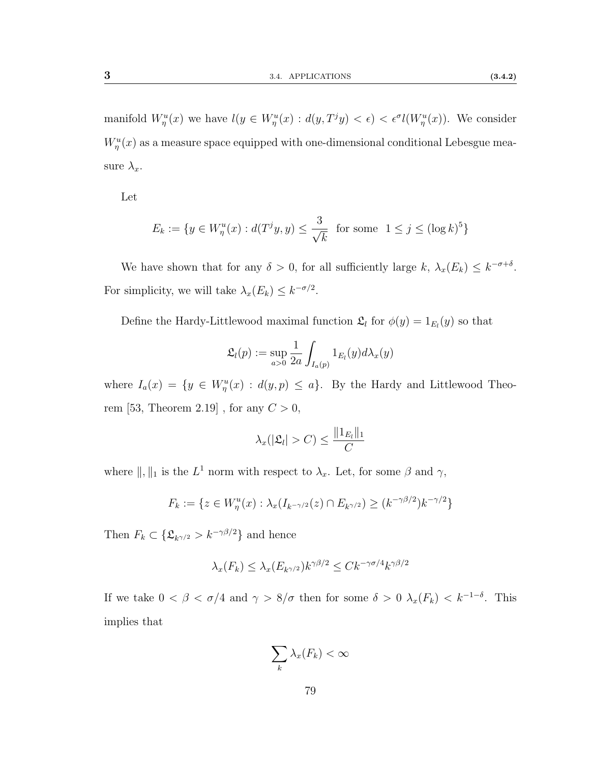manifold  $W^u_\eta(x)$  we have  $l(y \in W^u_\eta(x) : d(y,T^jy) < \epsilon$   $\epsilon$ <sup>o</sup>l( $W^u_\eta(x)$ ). We consider  $W^u_{\eta}(x)$  as a measure space equipped with one-dimensional conditional Lebesgue measure  $\lambda_x$ .

Let

$$
E_k := \{ y \in W^u_\eta(x) : d(T^j y, y) \le \frac{3}{\sqrt{k}} \text{ for some } 1 \le j \le (\log k)^5 \}
$$

We have shown that for any  $\delta > 0$ , for all sufficiently large k,  $\lambda_x(E_k) \leq k^{-\sigma+\delta}$ . For simplicity, we will take  $\lambda_x(E_k) \leq k^{-\sigma/2}$ .

Define the Hardy-Littlewood maximal function  $\mathfrak{L}_l$  for  $\phi(y) = 1_{E_l}(y)$  so that

$$
\mathfrak{L}_l(p) := \sup_{a>0} \frac{1}{2a} \int_{I_a(p)} 1_{E_l}(y) d\lambda_x(y)
$$

where  $I_a(x) = \{y \in W^u_{\eta}(x) : d(y, p) \leq a\}$ . By the Hardy and Littlewood Theo-rem [\[53,](#page-116-0) Theorem 2.19], for any  $C > 0$ ,

$$
\lambda_x(|\mathfrak{L}_l|>C)\leq \frac{\|1_{E_l}\|_1}{C}
$$

where  $\|\, ,\,\|_1$  is the  $L^1$  norm with respect to  $\lambda_x$ . Let, for some  $\beta$  and  $\gamma,$ 

$$
F_k := \{ z \in W^u_\eta(x) : \lambda_x(I_{k^{-\gamma/2}}(z) \cap E_{k^{\gamma/2}}) \ge (k^{-\gamma\beta/2})k^{-\gamma/2} \}
$$

Then  $F_k \subset \{ \mathfrak{L}_{k^{\gamma/2}} > k^{-\gamma \beta/2} \}$  and hence

$$
\lambda_x(F_k) \le \lambda_x(E_{k^{\gamma/2}})k^{\gamma\beta/2} \le Ck^{-\gamma\sigma/4}k^{\gamma\beta/2}
$$

If we take  $0 < \beta < \sigma/4$  and  $\gamma > 8/\sigma$  then for some  $\delta > 0$   $\lambda_x(F_k) < k^{-1-\delta}$ . This implies that

$$
\sum_{k} \lambda_{x}(F_{k}) < \infty
$$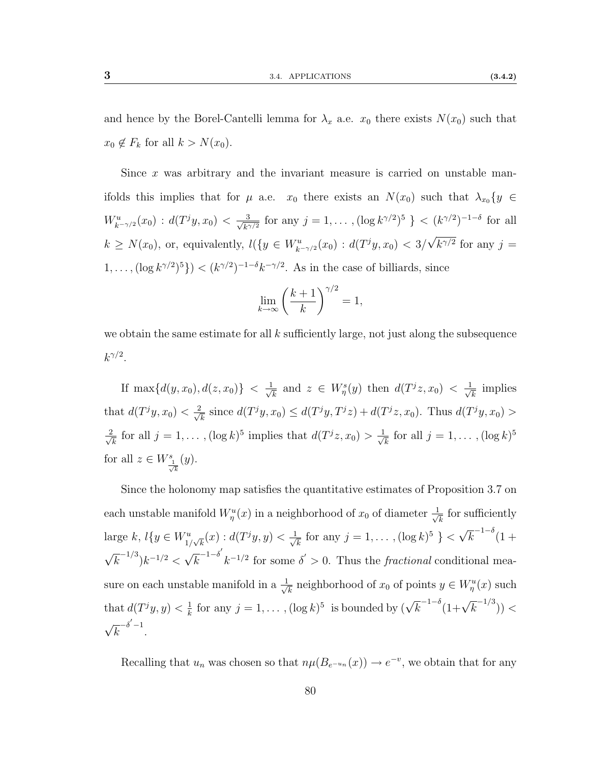and hence by the Borel-Cantelli lemma for  $\lambda_x$  a.e.  $x_0$  there exists  $N(x_0)$  such that  $x_0 \notin F_k$  for all  $k > N(x_0)$ .

Since x was arbitrary and the invariant measure is carried on unstable manifolds this implies that for  $\mu$  a.e.  $x_0$  there exists an  $N(x_0)$  such that  $\lambda_{x_0} \{y \in$  $W^u_{k^{-\gamma/2}}(x_0) : d(T^jy,x_0) < \frac{3}{\sqrt{k^2}}$  $\frac{3}{k^{\gamma/2}}$  for any  $j = 1, ..., (\log k^{\gamma/2})^5$  } <  $(k^{\gamma/2})^{-1-\delta}$  for all  $k \ge N(x_0)$ , or, equivalently,  $l({y \in W_{k-\gamma/2}^u(x_0) : d(T^jy, x_0) < 3}/$ √  $k^{\gamma/2}$  for any  $j=$  $(1,\ldots,(\log k^{\gamma/2})^5) < (k^{\gamma/2})^{-1-\delta}k^{-\gamma/2}$ . As in the case of billiards, since

$$
\lim_{k \to \infty} \left(\frac{k+1}{k}\right)^{\gamma/2} = 1,
$$

we obtain the same estimate for all  $k$  sufficiently large, not just along the subsequence  $k^{\gamma/2}.$ 

If max $\{d(y,x_0), d(z,x_0)\}\leq \frac{1}{\sqrt{2}}$  $\frac{1}{k}$  and  $z \in W^s_\eta(y)$  then  $d(T^jz,x_0) < \frac{1}{\sqrt{s}}$  $\overline{\overline{k}}$  implies that  $d(T^jy, x_0) < \frac{2}{\sqrt{3}}$  $\frac{d}{dx}$  since  $d(T^jy, x_0) \leq d(T^jy, T^jz) + d(T^jz, x_0)$ . Thus  $d(T^jy, x_0) >$  $\frac{2}{ }$  $\frac{k}{k}$  for all  $j = 1, \ldots, (\log k)^5$  implies that  $d(T^j z, x_0) > \frac{1}{\sqrt{N}}$  $\frac{1}{k}$  for all  $j = 1, \ldots, (\log k)^5$ for all  $z \in W^s_{\frac{1}{\sqrt{k}}}(y)$ .

Since the holonomy map satisfies the quantitative estimates of Proposition [3.7](#page-81-0) on each unstable manifold  $W^u_\eta(x)$  in a neighborhood of  $x_0$  of diameter  $\frac{1}{\sqrt{2}}$  $\frac{1}{k}$  for sufficiently large  $k, l\{y \in W_{1/\sqrt{k}}^{u}(x) : d(T^{j}y, y) < \frac{1}{\sqrt{k}}\}$  $\frac{1}{k}$  for any  $j = 1, \ldots, (\log k)^5$  } < √  $\overline{k}^{-1-\delta}$ (1+ √  $\overline{k}^{-1/3})k^{-1/2} <$ √  $\overline{k}^{-1-\delta'}$  $k^{-1/2}$  for some  $\delta' > 0$ . Thus the *fractional* conditional measure on each unstable manifold in a  $\frac{1}{\sqrt{2}}$  $\frac{1}{k}$  neighborhood of  $x_0$  of points  $y \in W^u_\eta(x)$  such that  $d(T^jy, y) < \frac{1}{k}$  $\frac{1}{k}$  for any  $j = 1, ..., (\log k)^5$  is bounded by  $(\sqrt{k}^{-1-\delta}(1+\sqrt{k}^{-1/3}))$  < √  $\overline{k}^{-\delta'-1}$ .

Recalling that  $u_n$  was chosen so that  $n\mu(B_{e^{-u_n}}(x)) \to e^{-v}$ , we obtain that for any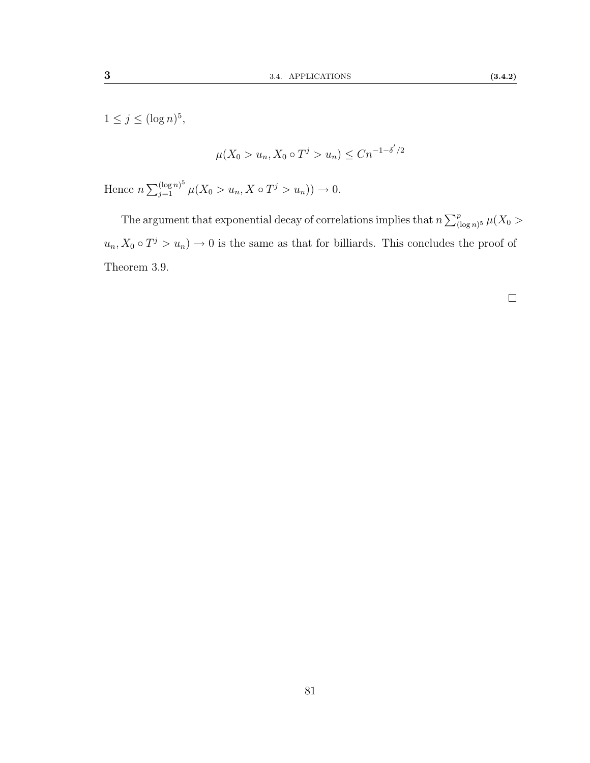$1 \leq j \leq (\log n)^5$ ,

$$
\mu(X_0 > u_n, X_0 \circ T^j > u_n) \le Cn^{-1-\delta'/2}
$$

Hence  $n \sum_{j=1}^{(\log n)^5} \mu(X_0 > u_n, X \circ T^j > u_n)) \to 0.$ 

The argument that exponential decay of correlations implies that  $n \sum_{(\log n)^5}^p \mu(X_0 >$  $u_n, X_0 \circ T^j > u_n$   $\to 0$  is the same as that for billiards. This concludes the proof of Theorem [3.9.](#page-82-0)

 $\Box$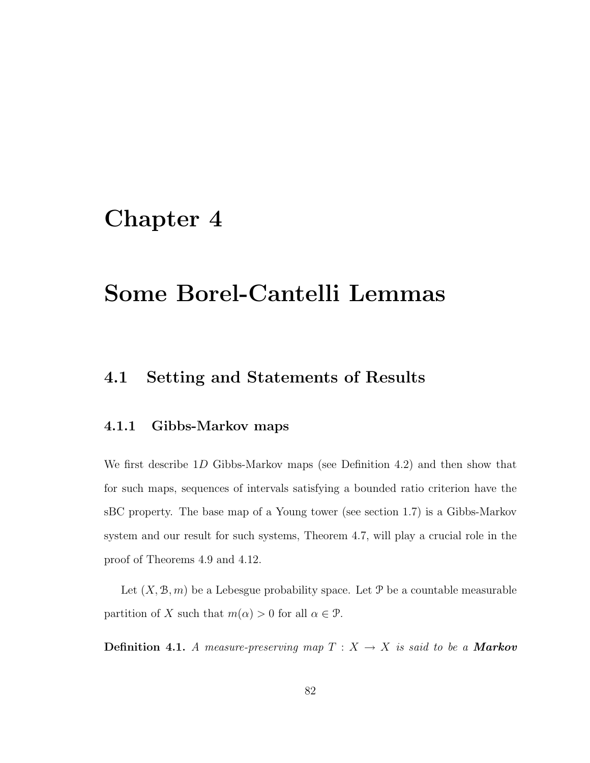## Chapter 4

# Some Borel-Cantelli Lemmas

### 4.1 Setting and Statements of Results

#### 4.1.1 Gibbs-Markov maps

We first describe 1D Gibbs-Markov maps (see Definition [4.2\)](#page-90-0) and then show that for such maps, sequences of intervals satisfying a bounded ratio criterion have the sBC property. The base map of a Young tower (see section [1.7\)](#page-36-0) is a Gibbs-Markov system and our result for such systems, Theorem [4.7,](#page-94-0) will play a crucial role in the proof of Theorems [4.9](#page-94-1) and [4.12.](#page-95-0)

Let  $(X, \mathcal{B}, m)$  be a Lebesgue probability space. Let P be a countable measurable partition of X such that  $m(\alpha) > 0$  for all  $\alpha \in \mathcal{P}$ .

**Definition 4.1.** A measure-preserving map  $T : X \rightarrow X$  is said to be a **Markov**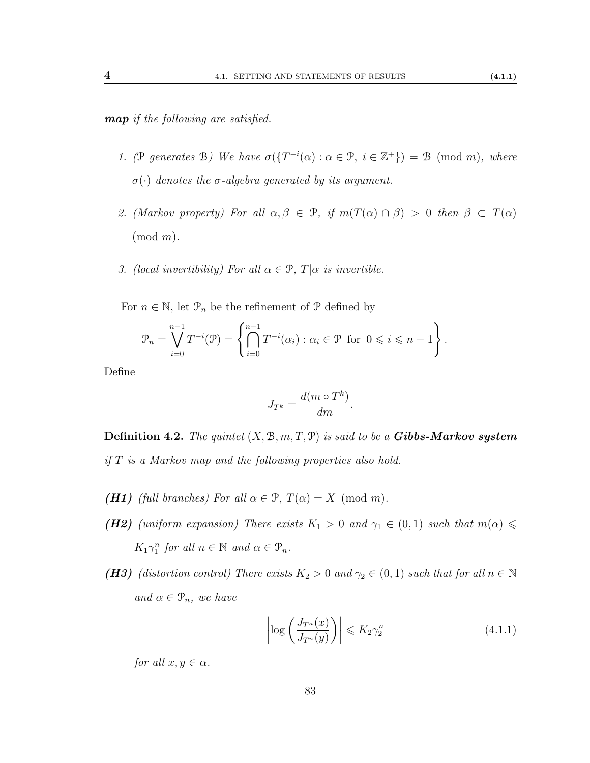map if the following are satisfied.

- 1. (P generates B) We have  $\sigma({T^{-i}}(\alpha): \alpha \in \mathcal{P}, i \in \mathbb{Z}^+$ ) = B (mod m), where σ(·) denotes the σ-algebra generated by its argument.
- 2. (Markov property) For all  $\alpha, \beta \in \mathcal{P}$ , if  $m(T(\alpha) \cap \beta) > 0$  then  $\beta \subset T(\alpha)$  $(mod m).$
- 3. (local invertibility) For all  $\alpha \in \mathcal{P}$ ,  $T|\alpha$  is invertible.

For  $n \in \mathbb{N}$ , let  $\mathcal{P}_n$  be the refinement of  $\mathcal P$  defined by

$$
\mathcal{P}_n = \bigvee_{i=0}^{n-1} T^{-i}(\mathcal{P}) = \left\{ \bigcap_{i=0}^{n-1} T^{-i}(\alpha_i) : \alpha_i \in \mathcal{P} \text{ for } 0 \leq i \leq n-1 \right\}.
$$

Define

$$
J_{T^k} = \frac{d(m \circ T^k)}{dm}.
$$

<span id="page-90-0"></span>**Definition 4.2.** The quintet  $(X, \mathcal{B}, m, T, \mathcal{P})$  is said to be a **Gibbs-Markov system** if  $T$  is a Markov map and the following properties also hold.

- <span id="page-90-3"></span><span id="page-90-2"></span>(H1) (full branches) For all  $\alpha \in \mathcal{P}$ ,  $T(\alpha) = X \pmod{m}$ .
- (H2) (uniform expansion) There exists  $K_1 > 0$  and  $\gamma_1 \in (0,1)$  such that  $m(\alpha) \leq$  $K_1 \gamma_1^n$  for all  $n \in \mathbb{N}$  and  $\alpha \in \mathcal{P}_n$ .
- <span id="page-90-1"></span>(H3) (distortion control) There exists  $K_2 > 0$  and  $\gamma_2 \in (0,1)$  such that for all  $n \in \mathbb{N}$ and  $\alpha \in \mathcal{P}_n$ , we have

$$
\left| \log \left( \frac{J_{T^n}(x)}{J_{T^n}(y)} \right) \right| \leqslant K_2 \gamma_2^n \tag{4.1.1}
$$

for all  $x, y \in \alpha$ .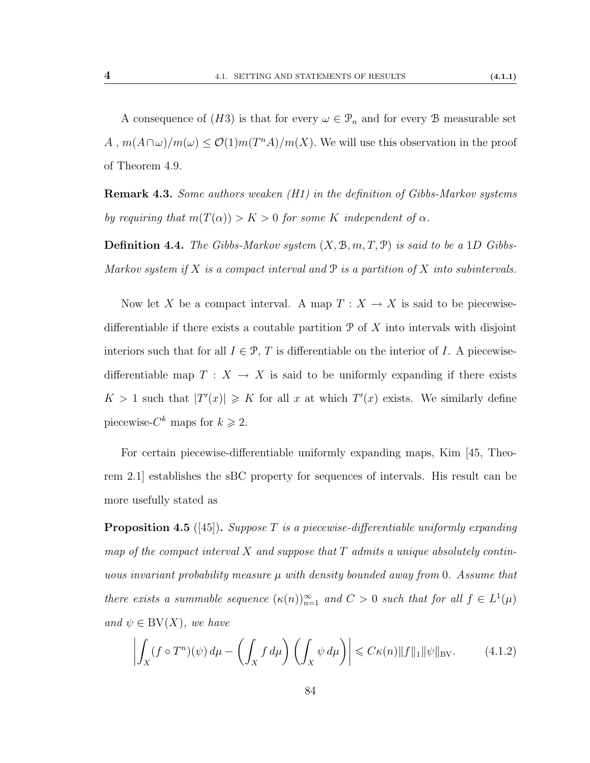A consequence of  $(H3)$  $(H3)$  $(H3)$  is that for every  $\omega \in \mathcal{P}_n$  and for every B measurable set  $A, m(A \cap \omega)/m(\omega) \leq \mathcal{O}(1)m(T^{n}A)/m(X)$ . We will use this observation in the proof of Theorem [4.9.](#page-94-1)

**Remark 4.3.** Some authors weaken  $(H1)$  in the definition of Gibbs-Markov systems by requiring that  $m(T(\alpha)) > K > 0$  for some K independent of  $\alpha$ .

**Definition 4.4.** The Gibbs-Markov system  $(X, \mathcal{B}, m, T, \mathcal{P})$  is said to be a 1D Gibbs-Markov system if X is a compact interval and  $P$  is a partition of X into subintervals.

Now let X be a compact interval. A map  $T : X \to X$  is said to be piecewisedifferentiable if there exists a coutable partition  $\mathcal P$  of X into intervals with disjoint interiors such that for all  $I \in \mathcal{P}$ , T is differentiable on the interior of I. A piecewisedifferentiable map  $T : X \to X$  is said to be uniformly expanding if there exists  $K > 1$  such that  $|T'(x)| \geq K$  for all x at which  $T'(x)$  exists. We similarly define piecewise- $C^k$  maps for  $k \geq 2$ .

For certain piecewise-differentiable uniformly expanding maps, Kim [\[45,](#page-115-1) Theorem 2.1] establishes the sBC property for sequences of intervals. His result can be more usefully stated as

**Proposition 4.5** ([\[45\]](#page-115-1)). Suppose T is a piecewise-differentiable uniformly expanding map of the compact interval X and suppose that  $T$  admits a unique absolutely continuous invariant probability measure  $\mu$  with density bounded away from 0. Assume that there exists a summable sequence  $(\kappa(n))_{n=1}^{\infty}$  and  $C > 0$  such that for all  $f \in L^1(\mu)$ and  $\psi \in BV(X)$ , we have

<span id="page-91-0"></span>
$$
\left| \int_X (f \circ T^n)(\psi) \, d\mu - \left( \int_X f \, d\mu \right) \left( \int_X \psi \, d\mu \right) \right| \leqslant C\kappa(n) \|f\|_1 \|\psi\|_{\text{BV}}.\tag{4.1.2}
$$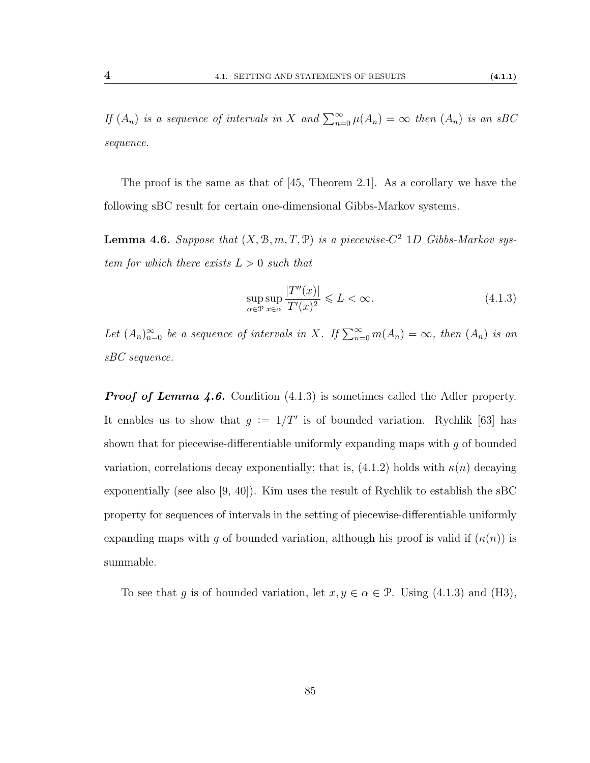<span id="page-92-1"></span>

If  $(A_n)$  is a sequence of intervals in X and  $\sum_{n=0}^{\infty} \mu(A_n) = \infty$  then  $(A_n)$  is an sBC sequence.

The proof is the same as that of [\[45,](#page-115-1) Theorem 2.1]. As a corollary we have the following sBC result for certain one-dimensional Gibbs-Markov systems.

<span id="page-92-0"></span>**Lemma 4.6.** Suppose that  $(X, \mathcal{B}, m, T, \mathcal{P})$  is a piecewise- $C^2$  1D Gibbs-Markov system for which there exists  $L > 0$  such that

$$
\sup_{\alpha \in \mathcal{P}} \sup_{x \in \overline{\alpha}} \frac{|T''(x)|}{T'(x)^2} \leqslant L < \infty. \tag{4.1.3}
$$

Let  $(A_n)_{n=0}^{\infty}$  be a sequence of intervals in X. If  $\sum_{n=0}^{\infty} m(A_n) = \infty$ , then  $(A_n)$  is an sBC sequence.

**Proof of Lemma [4.6.](#page-92-0)** Condition  $(4.1.3)$  is sometimes called the Adler property. It enables us to show that  $g := 1/T'$  is of bounded variation. Rychlik [\[63\]](#page-116-2) has shown that for piecewise-differentiable uniformly expanding maps with  $q$  of bounded variation, correlations decay exponentially; that is,  $(4.1.2)$  holds with  $\kappa(n)$  decaying exponentially (see also [\[9,](#page-112-0) [40\]](#page-115-2)). Kim uses the result of Rychlik to establish the sBC property for sequences of intervals in the setting of piecewise-differentiable uniformly expanding maps with q of bounded variation, although his proof is valid if  $(\kappa(n))$  is summable.

To see that g is of bounded variation, let  $x, y \in \alpha \in \mathcal{P}$ . Using [\(4.1.3\)](#page-92-1) and [\(H3\)](#page-90-1),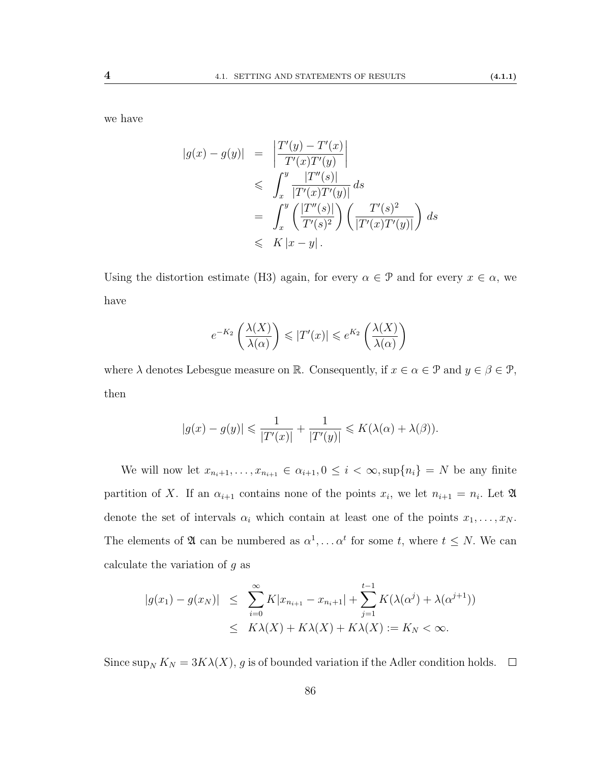we have

$$
|g(x) - g(y)| = \left| \frac{T'(y) - T'(x)}{T'(x)T'(y)} \right|
$$
  
\n
$$
\leq \int_x^y \frac{|T''(s)|}{|T'(x)T'(y)|} ds
$$
  
\n
$$
= \int_x^y \left( \frac{|T''(s)|}{T'(s)^2} \right) \left( \frac{T'(s)^2}{|T'(x)T'(y)|} \right) ds
$$
  
\n
$$
\leq K |x - y|.
$$

Using the distortion estimate [\(H3\)](#page-90-1) again, for every  $\alpha \in \mathcal{P}$  and for every  $x \in \alpha$ , we have

$$
e^{-K_2}\left(\frac{\lambda(X)}{\lambda(\alpha)}\right) \leqslant |T'(x)| \leqslant e^{K_2}\left(\frac{\lambda(X)}{\lambda(\alpha)}\right)
$$

where  $\lambda$  denotes Lebesgue measure on R. Consequently, if  $x \in \alpha \in \mathcal{P}$  and  $y \in \beta \in \mathcal{P}$ , then

$$
|g(x) - g(y)| \leq \frac{1}{|T'(x)|} + \frac{1}{|T'(y)|} \leq K(\lambda(\alpha) + \lambda(\beta)).
$$

We will now let  $x_{n_i+1}, \ldots, x_{n_{i+1}} \in \alpha_{i+1}, 0 \leq i < \infty$ ,  $\sup\{n_i\} = N$  be any finite partition of X. If an  $\alpha_{i+1}$  contains none of the points  $x_i$ , we let  $n_{i+1} = n_i$ . Let  $\mathfrak A$ denote the set of intervals  $\alpha_i$  which contain at least one of the points  $x_1, \ldots, x_N$ . The elements of  $\mathfrak A$  can be numbered as  $\alpha^1, \ldots \alpha^t$  for some t, where  $t \leq N$ . We can calculate the variation of  $g$  as

$$
|g(x_1) - g(x_N)| \leq \sum_{i=0}^{\infty} K |x_{n_{i+1}} - x_{n_i+1}| + \sum_{j=1}^{t-1} K(\lambda(\alpha^j) + \lambda(\alpha^{j+1}))
$$
  

$$
\leq K\lambda(X) + K\lambda(X) + K\lambda(X) := K_N < \infty.
$$

Since  $\sup_N K_N = 3K\lambda(X)$ , g is of bounded variation if the Adler condition holds.  $\square$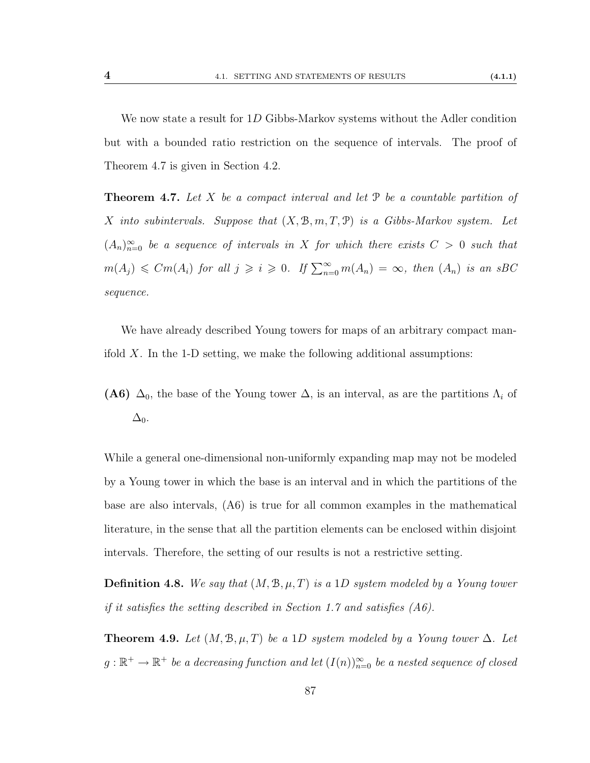We now state a result for 1D Gibbs-Markov systems without the Adler condition but with a bounded ratio restriction on the sequence of intervals. The proof of Theorem [4.7](#page-94-0) is given in Section [4.2.](#page-97-0)

<span id="page-94-0"></span>**Theorem 4.7.** Let X be a compact interval and let  $\mathcal{P}$  be a countable partition of X into subintervals. Suppose that  $(X, \mathcal{B}, m, T, \mathcal{P})$  is a Gibbs-Markov system. Let  $(A_n)_{n=0}^{\infty}$  be a sequence of intervals in X for which there exists  $C > 0$  such that  $m(A_j) \leqslant Cm(A_i)$  for all  $j \geqslant i \geqslant 0$ . If  $\sum_{n=0}^{\infty} m(A_n) = \infty$ , then  $(A_n)$  is an sBC sequence.

We have already described Young towers for maps of an arbitrary compact manifold  $X$ . In the 1-D setting, we make the following additional assumptions:

<span id="page-94-2"></span>(A6)  $\Delta_0$ , the base of the Young tower  $\Delta$ , is an interval, as are the partitions  $\Lambda_i$  of  $\Delta_0$ .

While a general one-dimensional non-uniformly expanding map may not be modeled by a Young tower in which the base is an interval and in which the partitions of the base are also intervals, [\(A6\)](#page-94-2) is true for all common examples in the mathematical literature, in the sense that all the partition elements can be enclosed within disjoint intervals. Therefore, the setting of our results is not a restrictive setting.

**Definition 4.8.** We say that  $(M, \mathcal{B}, \mu, T)$  is a 1D system modeled by a Young tower if it satisfies the setting described in Section [1.7](#page-36-0) and satisfies [\(A6\)](#page-94-2).

<span id="page-94-1"></span>**Theorem 4.9.** Let  $(M, \mathcal{B}, \mu, T)$  be a 1D system modeled by a Young tower  $\Delta$ . Let  $g:\mathbb{R}^+\rightarrow\mathbb{R}^+$  be a decreasing function and let  $(I(n))_{n=0}^\infty$  be a nested sequence of closed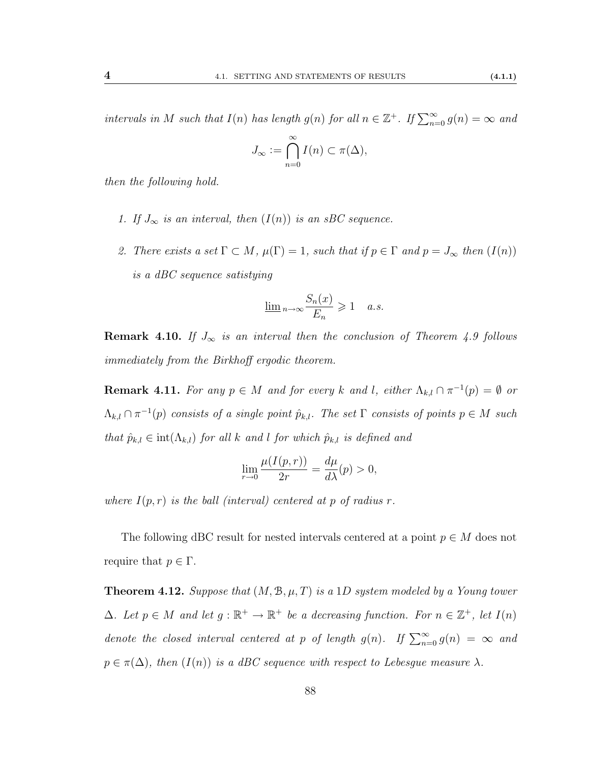intervals in M such that  $I(n)$  has length  $g(n)$  for all  $n \in \mathbb{Z}^+$ . If  $\sum_{n=0}^{\infty} g(n) = \infty$  and

$$
J_{\infty} := \bigcap_{n=0}^{\infty} I(n) \subset \pi(\Delta),
$$

then the following hold.

- 1. If  $J_{\infty}$  is an interval, then  $(I(n))$  is an sBC sequence.
- 2. There exists a set  $\Gamma \subset M$ ,  $\mu(\Gamma) = 1$ , such that if  $p \in \Gamma$  and  $p = J_{\infty}$  then  $(I(n))$ is a dBC sequence satistying

$$
\underline{\lim}_{n \to \infty} \frac{S_n(x)}{E_n} \geq 1 \quad a.s.
$$

**Remark 4.10.** If  $J_{\infty}$  is an interval then the conclusion of Theorem [4.9](#page-94-1) follows immediately from the Birkhoff ergodic theorem.

**Remark 4.11.** For any  $p \in M$  and for every k and l, either  $\Lambda_{k,l} \cap \pi^{-1}(p) = \emptyset$  or  $\Lambda_{k,l}\cap\pi^{-1}(p)$  consists of a single point  $\hat{p}_{k,l}$ . The set  $\Gamma$  consists of points  $p\in M$  such that  $\hat{p}_{k,l} \in \text{int}(\Lambda_{k,l})$  for all k and l for which  $\hat{p}_{k,l}$  is defined and

$$
\lim_{r \to 0} \frac{\mu(I(p,r))}{2r} = \frac{d\mu}{d\lambda}(p) > 0,
$$

where  $I(p,r)$  is the ball (interval) centered at p of radius r.

The following dBC result for nested intervals centered at a point  $p \in M$  does not require that  $p \in \Gamma$ .

<span id="page-95-0"></span>**Theorem 4.12.** Suppose that  $(M, \mathcal{B}, \mu, T)$  is a 1D system modeled by a Young tower  $\Delta$ . Let  $p \in M$  and let  $g : \mathbb{R}^+ \to \mathbb{R}^+$  be a decreasing function. For  $n \in \mathbb{Z}^+$ , let  $I(n)$ denote the closed interval centered at p of length  $g(n)$ . If  $\sum_{n=0}^{\infty} g(n) = \infty$  and  $p \in \pi(\Delta)$ , then  $(I(n))$  is a dBC sequence with respect to Lebesgue measure  $\lambda$ .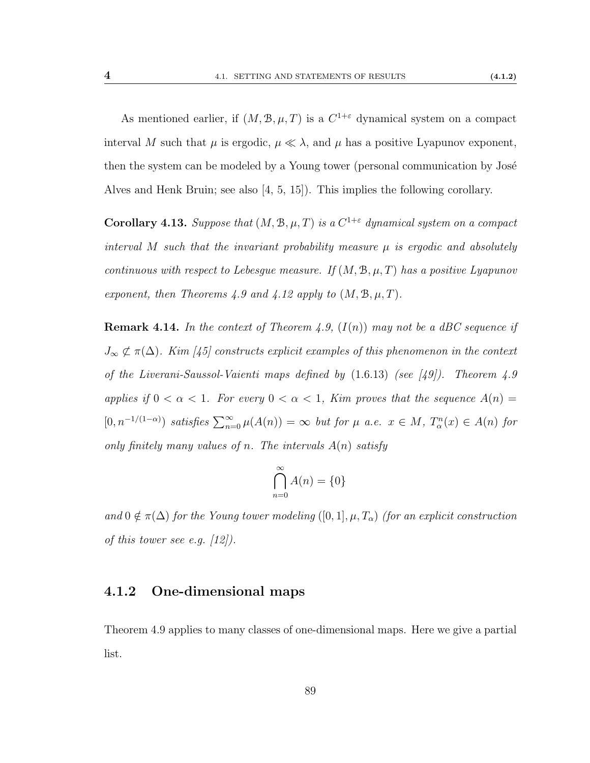As mentioned earlier, if  $(M, \mathcal{B}, \mu, T)$  is a  $C^{1+\epsilon}$  dynamical system on a compact interval M such that  $\mu$  is ergodic,  $\mu \ll \lambda$ , and  $\mu$  has a positive Lyapunov exponent, then the system can be modeled by a Young tower (personal communication by José Alves and Henk Bruin; see also [\[4,](#page-112-1) [5,](#page-112-2) [15\]](#page-113-4)). This implies the following corollary.

**Corollary 4.13.** Suppose that  $(M, \mathcal{B}, \mu, T)$  is a  $C^{1+\varepsilon}$  dynamical system on a compact interval M such that the invariant probability measure  $\mu$  is ergodic and absolutely continuous with respect to Lebesque measure. If  $(M, \mathcal{B}, \mu, T)$  has a positive Lyapunov exponent, then Theorems [4.9](#page-94-1) and [4.12](#page-95-0) apply to  $(M, \mathcal{B}, \mu, T)$ .

**Remark 4.14.** In the context of Theorem [4.9,](#page-94-1)  $(I(n))$  may not be a dBC sequence if  $J_{\infty} \not\subset \pi(\Delta)$ . Kim [\[45\]](#page-115-1) constructs explicit examples of this phenomenon in the context of the Liverani-Saussol-Vaienti maps defined by [\(1.6.13\)](#page-35-0) (see [\[49\]](#page-115-3)). Theorem [4.9](#page-94-1) applies if  $0 < \alpha < 1$ . For every  $0 < \alpha < 1$ , Kim proves that the sequence  $A(n) =$  $[0, n^{-1/(1-\alpha)})$  satisfies  $\sum_{n=0}^{\infty} \mu(A(n)) = \infty$  but for  $\mu$  a.e.  $x \in M$ ,  $T_{\alpha}^{n}(x) \in A(n)$  for only finitely many values of n. The intervals  $A(n)$  satisfy

$$
\bigcap_{n=0}^{\infty} A(n) = \{0\}
$$

and  $0 \notin \pi(\Delta)$  for the Young tower modeling  $([0, 1], \mu, T_\alpha)$  (for an explicit construction of this tower see e.g.  $\langle 12 \rangle$ .

#### 4.1.2 One-dimensional maps

Theorem [4.9](#page-94-1) applies to many classes of one-dimensional maps. Here we give a partial list.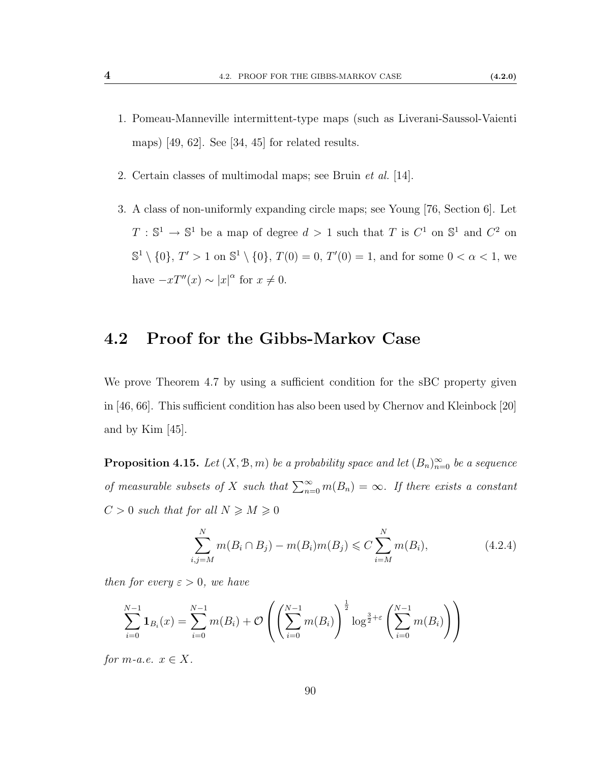- 1. Pomeau-Manneville intermittent-type maps (such as Liverani-Saussol-Vaienti maps) [\[49,](#page-115-3) [62\]](#page-116-3). See [\[34,](#page-114-0) [45\]](#page-115-1) for related results.
- 2. Certain classes of multimodal maps; see Bruin et al. [\[14\]](#page-113-6).
- 3. A class of non-uniformly expanding circle maps; see Young [\[76,](#page-117-2) Section 6]. Let  $T : \mathbb{S}^1 \to \mathbb{S}^1$  be a map of degree  $d > 1$  such that T is  $C^1$  on  $\mathbb{S}^1$  and  $C^2$  on  $\mathbb{S}^1 \setminus \{0\}, T' > 1$  on  $\mathbb{S}^1 \setminus \{0\}, T(0) = 0, T'(0) = 1$ , and for some  $0 < \alpha < 1$ , we have  $-xT''(x) \sim |x|^{\alpha}$  for  $x \neq 0$ .

### <span id="page-97-0"></span>4.2 Proof for the Gibbs-Markov Case

We prove Theorem [4.7](#page-94-0) by using a sufficient condition for the sBC property given in [\[46,](#page-115-4) [66\]](#page-117-3). This sufficient condition has also been used by Chernov and Kleinbock [\[20\]](#page-113-7) and by Kim [\[45\]](#page-115-1).

**Proposition 4.15.** Let  $(X, \mathcal{B}, m)$  be a probability space and let  $(B_n)_{n=0}^{\infty}$  be a sequence of measurable subsets of X such that  $\sum_{n=0}^{\infty} m(B_n) = \infty$ . If there exists a constant  $C > 0$  such that for all  $N \geqslant M \geqslant 0$ 

<span id="page-97-1"></span>
$$
\sum_{i,j=M}^{N} m(B_i \cap B_j) - m(B_i)m(B_j) \leq C \sum_{i=M}^{N} m(B_i), \qquad (4.2.4)
$$

then for every  $\varepsilon > 0$ , we have

$$
\sum_{i=0}^{N-1} \mathbf{1}_{B_i}(x) = \sum_{i=0}^{N-1} m(B_i) + \mathcal{O}\left(\left(\sum_{i=0}^{N-1} m(B_i)\right)^{\frac{1}{2}} \log^{\frac{3}{2}+\varepsilon}\left(\sum_{i=0}^{N-1} m(B_i)\right)\right)
$$

for m-a.e.  $x \in X$ .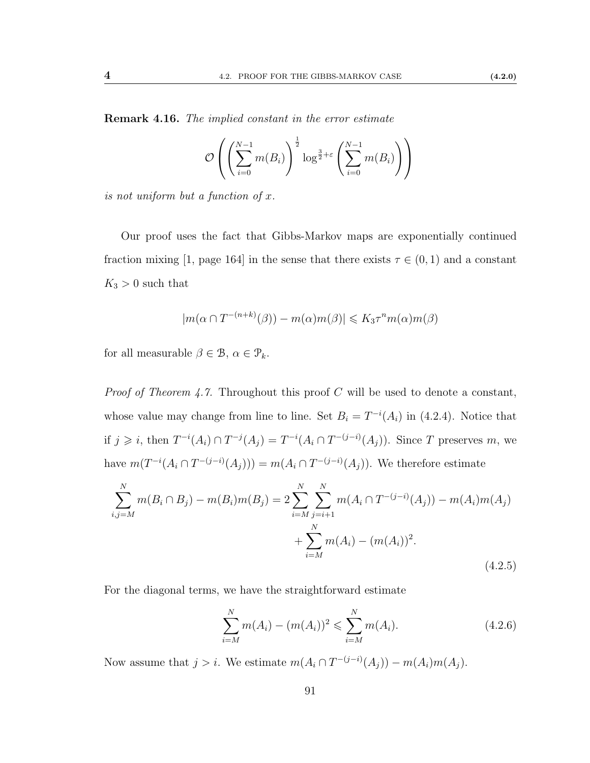**Remark 4.16.** The implied constant in the error estimate

$$
\mathcal{O}\left(\left(\sum_{i=0}^{N-1} m(B_i)\right)^{\frac{1}{2}} \log^{\frac{3}{2}+\varepsilon}\left(\sum_{i=0}^{N-1} m(B_i)\right)\right)
$$

is not uniform but a function of x.

Our proof uses the fact that Gibbs-Markov maps are exponentially continued fraction mixing [\[1,](#page-112-3) page 164] in the sense that there exists  $\tau \in (0,1)$  and a constant  $K_3 > 0$  such that

$$
|m(\alpha \cap T^{-(n+k)}(\beta)) - m(\alpha)m(\beta)| \leq K_3 \tau^n m(\alpha)m(\beta)
$$

for all measurable  $\beta \in \mathcal{B}$ ,  $\alpha \in \mathcal{P}_k$ .

*Proof of Theorem [4.7.](#page-94-0)* Throughout this proof C will be used to denote a constant, whose value may change from line to line. Set  $B_i = T^{-i}(A_i)$  in [\(4.2.4\)](#page-97-1). Notice that if  $j \geq i$ , then  $T^{-i}(A_i) \cap T^{-j}(A_j) = T^{-i}(A_i \cap T^{-(j-i)}(A_j))$ . Since T preserves m, we have  $m(T^{-i}(A_i \cap T^{-(j-i)}(A_j))) = m(A_i \cap T^{-(j-i)}(A_j))$ . We therefore estimate

$$
\sum_{i,j=M}^{N} m(B_i \cap B_j) - m(B_i)m(B_j) = 2 \sum_{i=M}^{N} \sum_{j=i+1}^{N} m(A_i \cap T^{-(j-i)}(A_j)) - m(A_i)m(A_j)
$$
  
 
$$
+ \sum_{i=M}^{N} m(A_i) - (m(A_i))^2.
$$
 (4.2.5)

For the diagonal terms, we have the straightforward estimate

$$
\sum_{i=M}^{N} m(A_i) - (m(A_i))^2 \leq \sum_{i=M}^{N} m(A_i). \tag{4.2.6}
$$

Now assume that  $j > i$ . We estimate  $m(A_i \cap T^{-(j-i)}(A_j)) - m(A_i)m(A_j)$ .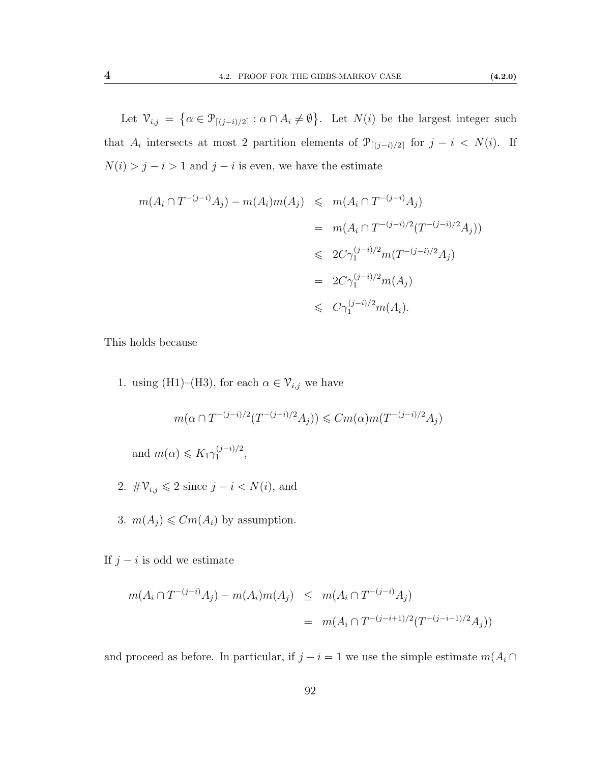Let  $\mathcal{V}_{i,j} = \{ \alpha \in \mathcal{P}_{[(j-i)/2]} : \alpha \cap A_i \neq \emptyset \}.$  Let  $N(i)$  be the largest integer such that  $A_i$  intersects at most 2 partition elements of  $\mathcal{P}_{[(j-i)/2]}$  for  $j-i < N(i)$ . If  $N(i) > j - i > 1$  and  $j - i$  is even, we have the estimate

$$
m(A_i \cap T^{-(j-i)}A_j) - m(A_i)m(A_j) \leq m(A_i \cap T^{-(j-i)}A_j)
$$
  
= 
$$
m(A_i \cap T^{-(j-i)/2}(T^{-(j-i)/2}A_j))
$$
  

$$
\leq 2C\gamma_1^{(j-i)/2}m(T^{-(j-i)/2}A_j)
$$
  
= 
$$
2C\gamma_1^{(j-i)/2}m(A_j)
$$
  

$$
\leq C\gamma_1^{(j-i)/2}m(A_i).
$$

This holds because

1. using [\(H1\)](#page-90-2)–[\(H3\)](#page-90-1), for each  $\alpha \in \mathcal{V}_{i,j}$  we have

$$
m(\alpha \cap T^{-(j-i)/2}(T^{-(j-i)/2}A_j)) \leq Cm(\alpha)m(T^{-(j-i)/2}A_j)
$$
  
and 
$$
m(\alpha) \leq K_1\gamma_1^{(j-i)/2},
$$

- 2.  $\#\mathcal{V}_{i,j} \leqslant 2$  since  $j i < N(i)$ , and
- 3.  $m(A_j) \leq Cm(A_i)$  by assumption.

If  $j - i$  is odd we estimate

$$
m(A_i \cap T^{-(j-i)}A_j) - m(A_i)m(A_j) \leq m(A_i \cap T^{-(j-i)}A_j)
$$
  
= 
$$
m(A_i \cap T^{-(j-i+1)/2}(T^{-(j-i-1)/2}A_j))
$$

and proceed as before. In particular, if  $j - i = 1$  we use the simple estimate  $m(A_i \cap$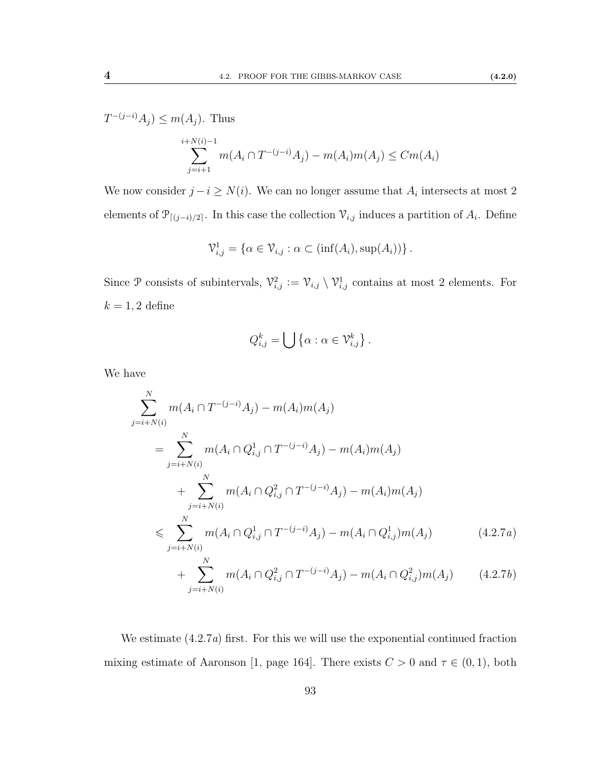$T^{-(j-i)}A_j \leq m(A_j)$ . Thus

$$
\sum_{j=i+1}^{i+N(i)-1} m(A_i \cap T^{-(j-i)}A_j) - m(A_i)m(A_j) \leq Cm(A_i)
$$

We now consider  $j - i \geq N(i)$ . We can no longer assume that  $A_i$  intersects at most 2 elements of  $\mathcal{P}_{[(j-i)/2]}$ . In this case the collection  $\mathcal{V}_{i,j}$  induces a partition of  $A_i$ . Define

$$
\mathcal{V}_{i,j}^1 = \{ \alpha \in \mathcal{V}_{i,j} : \alpha \subset (\inf(A_i), \sup(A_i)) \}.
$$

Since P consists of subintervals,  $\mathcal{V}_{i,j}^2 := \mathcal{V}_{i,j} \setminus \mathcal{V}_{i,j}^1$  contains at most 2 elements. For  $k = 1, 2$  define

<span id="page-100-0"></span>
$$
Q_{i,j}^k = \bigcup \left\{ \alpha : \alpha \in \mathcal{V}_{i,j}^k \right\}.
$$

We have

$$
\sum_{j=i+N(i)}^{N} m(A_i \cap T^{-(j-i)}A_j) - m(A_i)m(A_j)
$$
\n
$$
= \sum_{j=i+N(i)}^{N} m(A_i \cap Q_{i,j}^1 \cap T^{-(j-i)}A_j) - m(A_i)m(A_j)
$$
\n
$$
+ \sum_{j=i+N(i)}^{N} m(A_i \cap Q_{i,j}^2 \cap T^{-(j-i)}A_j) - m(A_i)m(A_j)
$$
\n
$$
\leqslant \sum_{j=i+N(i)}^{N} m(A_i \cap Q_{i,j}^1 \cap T^{-(j-i)}A_j) - m(A_i \cap Q_{i,j}^1)m(A_j)
$$
\n
$$
+ \sum_{j=i+N(i)}^{N} m(A_i \cap Q_{i,j}^2 \cap T^{-(j-i)}A_j) - m(A_i \cap Q_{i,j}^2)m(A_j)
$$
\n(4.2.7*b*)

We estimate  $(4.2.7a)$  first. For this we will use the exponential continued fraction mixing estimate of Aaronson [\[1,](#page-112-3) page 164]. There exists  $C > 0$  and  $\tau \in (0, 1)$ , both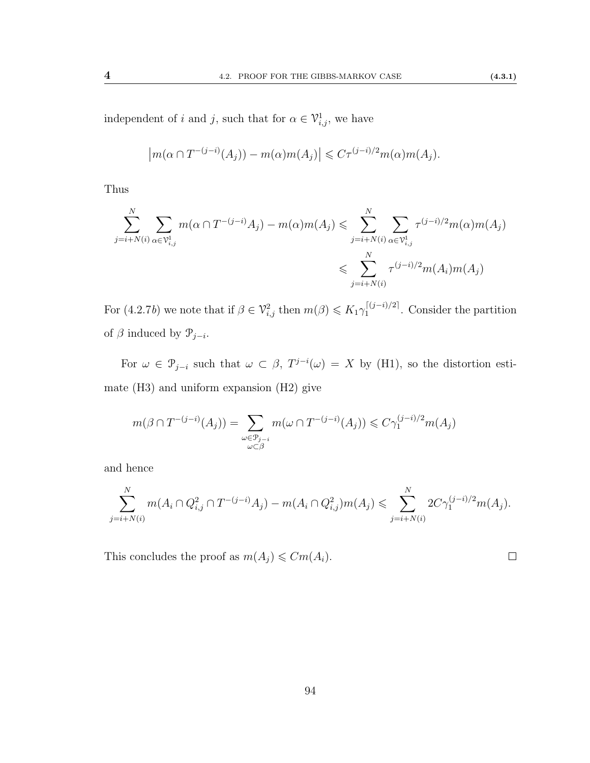independent of i and j, such that for  $\alpha \in \mathcal{V}_{i,j}^1$ , we have

$$
\left| m(\alpha \cap T^{-(j-i)}(A_j)) - m(\alpha)m(A_j) \right| \leq C\tau^{(j-i)/2}m(\alpha)m(A_j).
$$

Thus

$$
\sum_{j=i+N(i)}^{N} \sum_{\alpha \in \mathcal{V}_{i,j}^1} m(\alpha \cap T^{-(j-i)}A_j) - m(\alpha)m(A_j) \leqslant \sum_{j=i+N(i)}^{N} \sum_{\alpha \in \mathcal{V}_{i,j}^1} \tau^{(j-i)/2} m(\alpha)m(A_j)
$$
  

$$
\leqslant \sum_{j=i+N(i)}^{N} \tau^{(j-i)/2} m(A_i)m(A_j)
$$

For  $(4.2.7b)$  we note that if  $\beta \in \mathcal{V}_{i,j}^2$  then  $m(\beta) \leqslant K_1 \gamma_1^{\lceil (j-i)/2 \rceil}$  $1^{(|(j-i)/2|)}$ . Consider the partition of  $\beta$  induced by  $\mathcal{P}_{j-i}$ .

For  $\omega \in \mathcal{P}_{j-i}$  such that  $\omega \subset \beta$ ,  $T^{j-i}(\omega) = X$  by [\(H1\)](#page-90-2), so the distortion estimate [\(H3\)](#page-90-1) and uniform expansion [\(H2\)](#page-90-3) give

$$
m(\beta \cap T^{-(j-i)}(A_j)) = \sum_{\substack{\omega \in \mathcal{P}_{j-i} \\ \omega \subset \beta}} m(\omega \cap T^{-(j-i)}(A_j)) \leq C\gamma_1^{(j-i)/2}m(A_j)
$$

and hence

$$
\sum_{j=i+N(i)}^{N} m(A_i \cap Q_{i,j}^2 \cap T^{-(j-i)}A_j) - m(A_i \cap Q_{i,j}^2)m(A_j) \leq \sum_{j=i+N(i)}^{N} 2C\gamma_1^{(j-i)/2}m(A_j).
$$

This concludes the proof as  $m(A_j) \leq Cm(A_i)$ .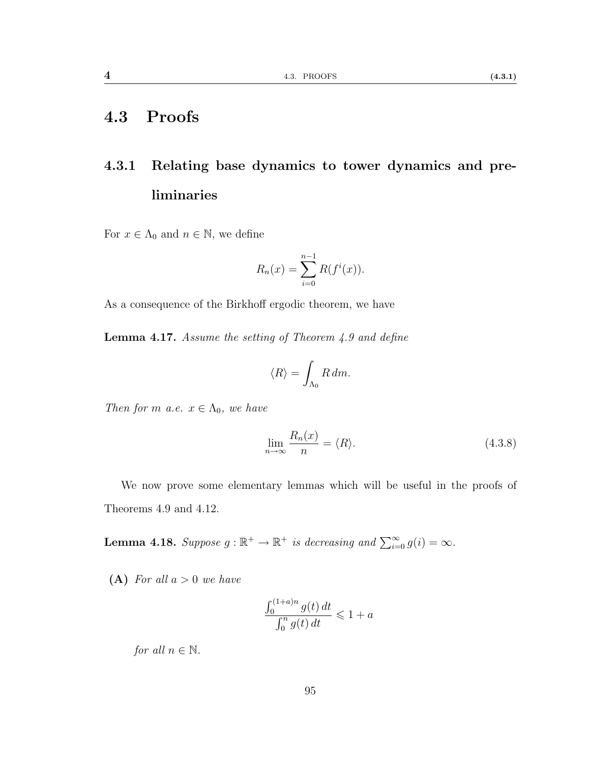### 4.3 Proofs

## 4.3.1 Relating base dynamics to tower dynamics and preliminaries

For  $x \in \Lambda_0$  and  $n \in \mathbb{N}$ , we define

$$
R_n(x) = \sum_{i=0}^{n-1} R(f^i(x)).
$$

As a consequence of the Birkhoff ergodic theorem, we have

Lemma 4.17. Assume the setting of Theorem [4.9](#page-94-1) and define

$$
\langle R \rangle = \int_{\Lambda_0} R \, dm.
$$

Then for m a.e.  $x \in \Lambda_0$ , we have

<span id="page-102-2"></span>
$$
\lim_{n \to \infty} \frac{R_n(x)}{n} = \langle R \rangle.
$$
\n(4.3.8)

We now prove some elementary lemmas which will be useful in the proofs of Theorems [4.9](#page-94-1) and [4.12.](#page-95-0)

<span id="page-102-0"></span>**Lemma 4.18.** Suppose  $g : \mathbb{R}^+ \to \mathbb{R}^+$  is decreasing and  $\sum_{i=0}^{\infty} g(i) = \infty$ .

<span id="page-102-1"></span>(A) For all  $a > 0$  we have

$$
\frac{\int_0^{(1+a)n} g(t) dt}{\int_0^n g(t) dt} \leq 1 + a
$$

for all  $n \in \mathbb{N}$ .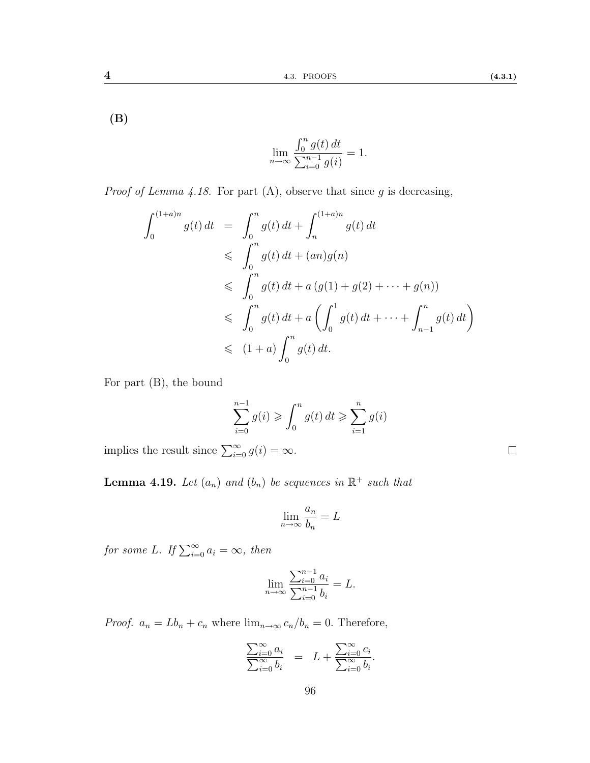<span id="page-103-0"></span>(B)

$$
\lim_{n \to \infty} \frac{\int_0^n g(t) \, dt}{\sum_{i=0}^{n-1} g(i)} = 1.
$$

*Proof of Lemma [4.18.](#page-102-0)* For part  $(A)$ , observe that since g is decreasing,

$$
\int_{0}^{(1+a)n} g(t) dt = \int_{0}^{n} g(t) dt + \int_{n}^{(1+a)n} g(t) dt
$$
  
\n
$$
\leqslant \int_{0}^{n} g(t) dt + (an)g(n)
$$
  
\n
$$
\leqslant \int_{0}^{n} g(t) dt + a (g(1) + g(2) + \dots + g(n))
$$
  
\n
$$
\leqslant \int_{0}^{n} g(t) dt + a \left( \int_{0}^{1} g(t) dt + \dots + \int_{n-1}^{n} g(t) dt \right)
$$
  
\n
$$
\leqslant (1+a) \int_{0}^{n} g(t) dt.
$$

For part [\(B\)](#page-103-0), the bound

$$
\sum_{i=0}^{n-1} g(i) \geq \int_0^n g(t) dt \geq \sum_{i=1}^n g(i)
$$

implies the result since  $\sum_{i=0}^{\infty} g(i) = \infty$ .

**Lemma 4.19.** Let  $(a_n)$  and  $(b_n)$  be sequences in  $\mathbb{R}^+$  such that

$$
\lim_{n \to \infty} \frac{a_n}{b_n} = L
$$

for some L. If  $\sum_{i=0}^{\infty} a_i = \infty$ , then

$$
\lim_{n \to \infty} \frac{\sum_{i=0}^{n-1} a_i}{\sum_{i=0}^{n-1} b_i} = L.
$$

*Proof.*  $a_n = Lb_n + c_n$  where  $\lim_{n \to \infty} c_n/b_n = 0$ . Therefore,

$$
\frac{\sum_{i=0}^{\infty} a_i}{\sum_{i=0}^{\infty} b_i} = L + \frac{\sum_{i=0}^{\infty} c_i}{\sum_{i=0}^{\infty} b_i}.
$$

 $\Box$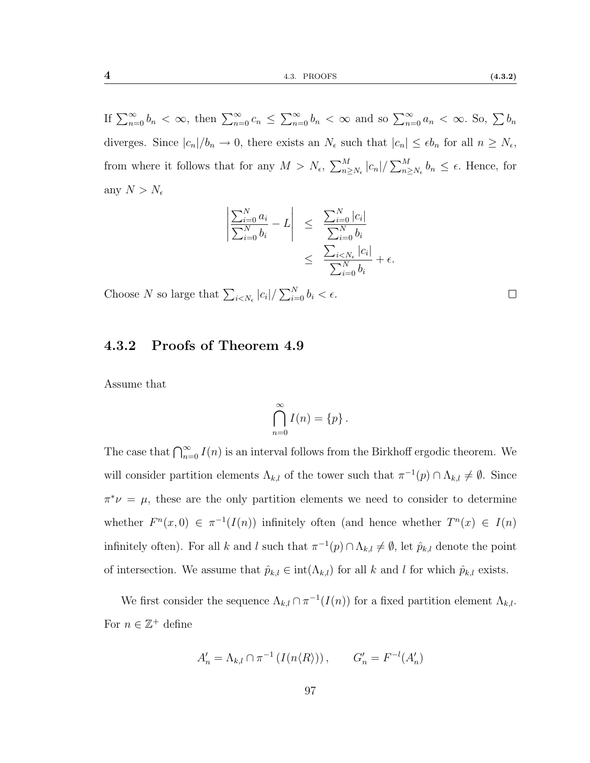If  $\sum_{n=0}^{\infty} b_n < \infty$ , then  $\sum_{n=0}^{\infty} c_n \le \sum_{n=0}^{\infty} b_n < \infty$  and so  $\sum_{n=0}^{\infty} a_n < \infty$ . So,  $\sum b_n$ diverges. Since  $|c_n|/b_n \to 0$ , there exists an  $N_{\epsilon}$  such that  $|c_n| \leq \epsilon b_n$  for all  $n \geq N_{\epsilon}$ , from where it follows that for any  $M > N_{\epsilon}$ ,  $\sum_{n \geq N_{\epsilon}}^{M} |c_n| / \sum_{n \geq N_{\epsilon}}^{M} b_n \leq \epsilon$ . Hence, for any  $N > N_{\epsilon}$ 

$$
\left| \frac{\sum_{i=0}^{N} a_i}{\sum_{i=0}^{N} b_i} - L \right| \leq \frac{\sum_{i=0}^{N} |c_i|}{\sum_{i=0}^{N} b_i} \leq \frac{\sum_{i
$$

Choose N so large that  $\sum_{i \le N_{\epsilon}} |c_i| / \sum_{i=0}^{N} b_i < \epsilon$ .

#### 4.3.2 Proofs of Theorem [4.9](#page-94-1)

Assume that

$$
\bigcap_{n=0}^{\infty} I(n) = \{p\}.
$$

The case that  $\bigcap_{n=0}^{\infty} I(n)$  is an interval follows from the Birkhoff ergodic theorem. We will consider partition elements  $\Lambda_{k,l}$  of the tower such that  $\pi^{-1}(p) \cap \Lambda_{k,l} \neq \emptyset$ . Since  $\pi^*\nu = \mu$ , these are the only partition elements we need to consider to determine whether  $F^{n}(x,0) \in \pi^{-1}(I(n))$  infinitely often (and hence whether  $T^{n}(x) \in I(n)$ infinitely often). For all k and l such that  $\pi^{-1}(p) \cap \Lambda_{k,l} \neq \emptyset$ , let  $\hat{p}_{k,l}$  denote the point of intersection. We assume that  $\hat{p}_{k,l} \in \text{int}(\Lambda_{k,l})$  for all k and l for which  $\hat{p}_{k,l}$  exists.

We first consider the sequence  $\Lambda_{k,l} \cap \pi^{-1}(I(n))$  for a fixed partition element  $\Lambda_{k,l}$ . For  $n \in \mathbb{Z}^+$  define

$$
A'_n = \Lambda_{k,l} \cap \pi^{-1} \left( I(n \langle R \rangle) \right), \qquad G'_n = F^{-l}(A'_n)
$$

 $\Box$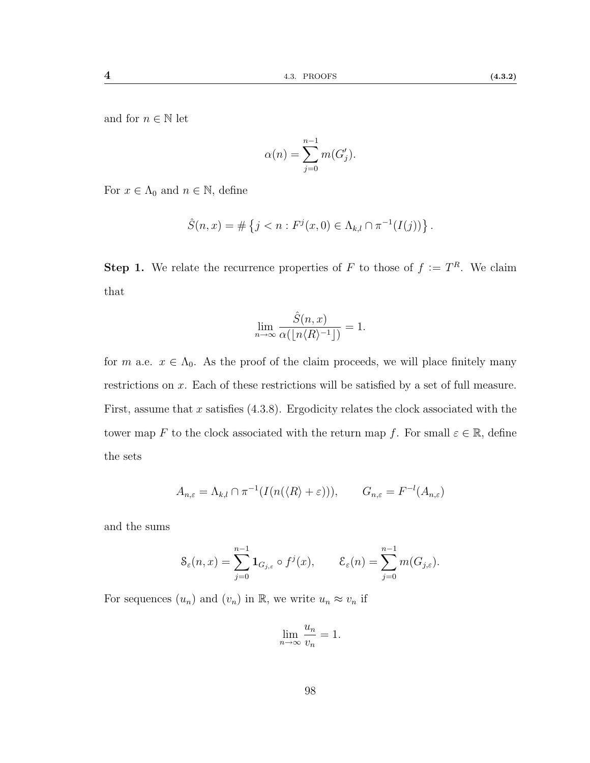and for  $n \in \mathbb{N}$  let

$$
\alpha(n) = \sum_{j=0}^{n-1} m(G'_j).
$$

For  $x \in \Lambda_0$  and  $n \in \mathbb{N}$ , define

$$
\hat{S}(n,x) = \# \left\{ j < n : F^j(x,0) \in \Lambda_{k,l} \cap \pi^{-1}(I(j)) \right\}.
$$

<span id="page-105-0"></span>**Step 1.** We relate the recurrence properties of F to those of  $f := T<sup>R</sup>$ . We claim that

$$
\lim_{n \to \infty} \frac{\hat{S}(n,x)}{\alpha(\lfloor n \langle R \rangle^{-1} \rfloor)} = 1.
$$

for m a.e.  $x \in \Lambda_0$ . As the proof of the claim proceeds, we will place finitely many restrictions on x. Each of these restrictions will be satisfied by a set of full measure. First, assume that x satisfies  $(4.3.8)$ . Ergodicity relates the clock associated with the tower map F to the clock associated with the return map f. For small  $\varepsilon \in \mathbb{R}$ , define the sets

$$
A_{n,\varepsilon} = \Lambda_{k,l} \cap \pi^{-1}(I(n(\langle R \rangle + \varepsilon))), \qquad G_{n,\varepsilon} = F^{-l}(A_{n,\varepsilon})
$$

and the sums

$$
\mathcal{S}_{\varepsilon}(n,x) = \sum_{j=0}^{n-1} \mathbf{1}_{G_{j,\varepsilon}} \circ f^j(x), \qquad \mathcal{E}_{\varepsilon}(n) = \sum_{j=0}^{n-1} m(G_{j,\varepsilon}).
$$

For sequences  $(u_n)$  and  $(v_n)$  in  $\mathbb{R}$ , we write  $u_n \approx v_n$  if

$$
\lim_{n \to \infty} \frac{u_n}{v_n} = 1.
$$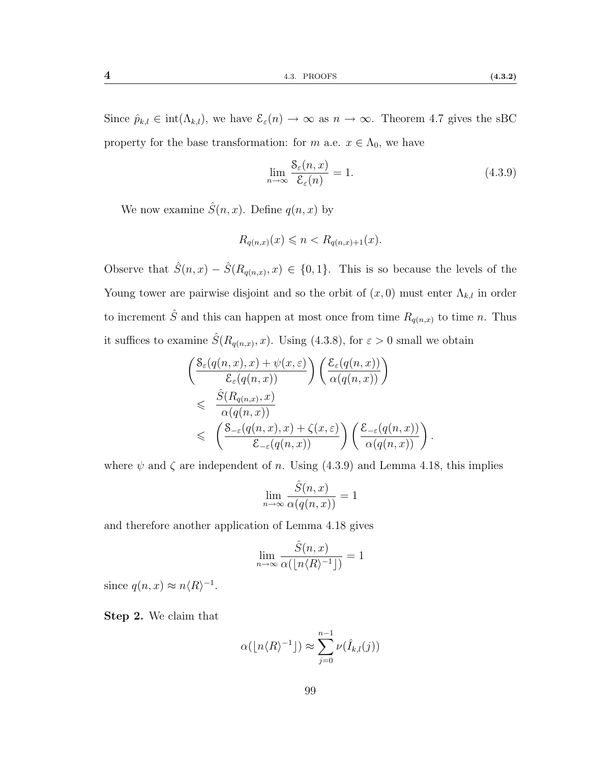Since  $\hat{p}_{k,l} \in \text{int}(\Lambda_{k,l})$ , we have  $\mathcal{E}_{\varepsilon}(n) \to \infty$  as  $n \to \infty$ . Theorem [4.7](#page-94-0) gives the sBC property for the base transformation: for m a.e.  $x \in \Lambda_0$ , we have

<span id="page-106-0"></span>
$$
\lim_{n \to \infty} \frac{\mathcal{S}_{\varepsilon}(n, x)}{\mathcal{E}_{\varepsilon}(n)} = 1.
$$
\n(4.3.9)

.

We now examine  $\hat{S}(n, x)$ . Define  $q(n, x)$  by

$$
R_{q(n,x)}(x) \leqslant n < R_{q(n,x)+1}(x).
$$

Observe that  $\hat{S}(n,x) - \hat{S}(R_{q(n,x)},x) \in \{0,1\}$ . This is so because the levels of the Young tower are pairwise disjoint and so the orbit of  $(x, 0)$  must enter  $\Lambda_{k,l}$  in order to increment  $\hat{S}$  and this can happen at most once from time  $R_{q(n,x)}$  to time n. Thus it suffices to examine  $\hat{S}(R_{q(n,x)}, x)$ . Using [\(4.3.8\)](#page-102-2), for  $\varepsilon > 0$  small we obtain

$$
\begin{aligned}\n&\left(\frac{\mathcal{S}_{\varepsilon}(q(n,x),x)+\psi(x,\varepsilon)}{\mathcal{E}_{\varepsilon}(q(n,x))}\right)\left(\frac{\mathcal{E}_{\varepsilon}(q(n,x))}{\alpha(q(n,x))}\right) \\
&\leqslant \frac{\hat{S}(R_{q(n,x)},x)}{\alpha(q(n,x))} \\
&\leqslant \left(\frac{\mathcal{S}_{-\varepsilon}(q(n,x),x)+\zeta(x,\varepsilon)}{\mathcal{E}_{-\varepsilon}(q(n,x))}\right)\left(\frac{\mathcal{E}_{-\varepsilon}(q(n,x))}{\alpha(q(n,x))}\right)\n\end{aligned}
$$

where  $\psi$  and  $\zeta$  are independent of n. Using [\(4.3.9\)](#page-106-0) and Lemma [4.18,](#page-102-0) this implies

$$
\lim_{n \to \infty} \frac{\hat{S}(n, x)}{\alpha(q(n, x))} = 1
$$

and therefore another application of Lemma [4.18](#page-102-0) gives

$$
\lim_{n\to\infty}\frac{\hat{S}(n,x)}{\alpha(\lfloor n\langle R\rangle^{-1}\rfloor)}=1
$$

<span id="page-106-1"></span>since  $q(n, x) \approx n \langle R \rangle^{-1}$ .

Step 2. We claim that

$$
\alpha(\lfloor n\langle R\rangle^{-1}\rfloor) \approx \sum_{j=0}^{n-1} \nu(\hat{I}_{k,l}(j))
$$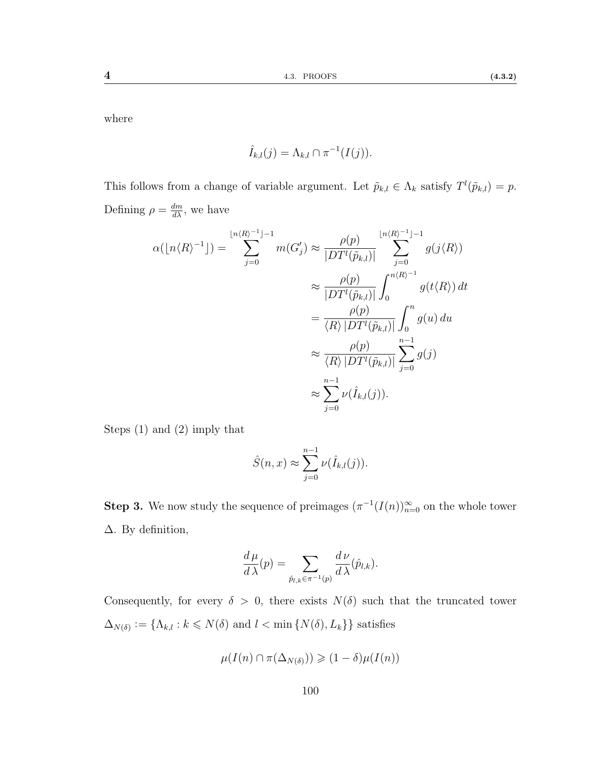where

$$
\hat{I}_{k,l}(j) = \Lambda_{k,l} \cap \pi^{-1}(I(j)).
$$

This follows from a change of variable argument. Let  $\tilde{p}_{k,l} \in \Lambda_k$  satisfy  $T^l(\tilde{p}_{k,l}) = p$ . Defining  $\rho = \frac{dm}{d\lambda}$ , we have

$$
\alpha(\lfloor n\langle R\rangle^{-1}]\rfloor) = \sum_{j=0}^{\lfloor n\langle R\rangle^{-1}\rfloor-1} m(G'_j) \approx \frac{\rho(p)}{|DT^l(\tilde{p}_{k,l})|} \sum_{j=0}^{\lfloor n\langle R\rangle^{-1}\rfloor-1} g(j\langle R\rangle)
$$

$$
\approx \frac{\rho(p)}{|DT^l(\tilde{p}_{k,l})|} \int_0^{n\langle R\rangle^{-1}} g(t\langle R\rangle) dt
$$

$$
= \frac{\rho(p)}{\langle R\rangle |DT^l(\tilde{p}_{k,l})|} \int_0^n g(u) du
$$

$$
\approx \frac{\rho(p)}{\langle R\rangle |DT^l(\tilde{p}_{k,l})|} \sum_{j=0}^{n-1} g(j)
$$

$$
\approx \sum_{j=0}^{n-1} \nu(\hat{I}_{k,l}(j)).
$$

Steps [\(1\)](#page-105-0) and [\(2\)](#page-106-1) imply that

$$
\hat{S}(n,x) \approx \sum_{j=0}^{n-1} \nu(\hat{I}_{k,l}(j)).
$$

**Step 3.** We now study the sequence of preimages  $(\pi^{-1}(I(n))_{n=0}^{\infty}$  on the whole tower ∆. By definition,

$$
\frac{d\,\mu}{d\,\lambda}(p) = \sum_{\hat{p}_{l,k}\in\pi^{-1}(p)} \frac{d\,\nu}{d\,\lambda}(\hat{p}_{l,k}).
$$

Consequently, for every  $\delta > 0$ , there exists  $N(\delta)$  such that the truncated tower  $\Delta_{N(\delta)} := \{\Lambda_{k,l} : k \leq N(\delta) \text{ and } l < \min\{N(\delta), L_k\}\}\$  satisfies

$$
\mu(I(n) \cap \pi(\Delta_{N(\delta)})) \geq (1 - \delta)\mu(I(n))
$$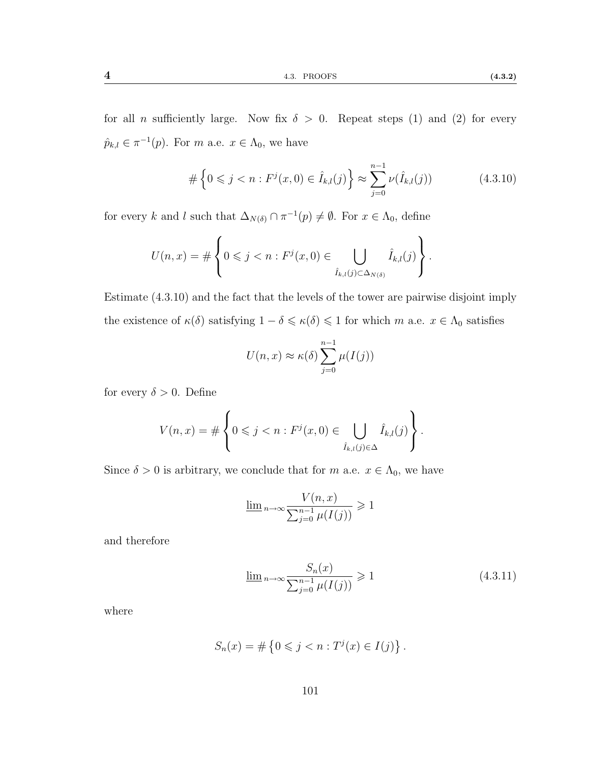for all *n* sufficiently large. Now fix  $\delta > 0$ . Repeat steps [\(1\)](#page-105-0) and [\(2\)](#page-106-0) for every  $\hat{p}_{k,l} \in \pi^{-1}(p)$ . For m a.e.  $x \in \Lambda_0$ , we have

<span id="page-108-0"></span>
$$
\#\left\{0 \leqslant j < n : F^j(x,0) \in \hat{I}_{k,l}(j)\right\} \approx \sum_{j=0}^{n-1} \nu(\hat{I}_{k,l}(j)) \tag{4.3.10}
$$

for every k and l such that  $\Delta_{N(\delta)} \cap \pi^{-1}(p) \neq \emptyset$ . For  $x \in \Lambda_0$ , define

$$
U(n,x) = \#\left\{0 \leqslant j < n : F^j(x,0) \in \bigcup_{\hat{I}_{k,l}(j) \subset \Delta_{N(\delta)}} \hat{I}_{k,l}(j)\right\}.
$$

Estimate [\(4.3.10\)](#page-108-0) and the fact that the levels of the tower are pairwise disjoint imply the existence of  $\kappa(\delta)$  satisfying  $1 - \delta \leq \kappa(\delta) \leq 1$  for which m a.e.  $x \in \Lambda_0$  satisfies

$$
U(n,x) \approx \kappa(\delta) \sum_{j=0}^{n-1} \mu(I(j))
$$

for every  $\delta > 0$ . Define

$$
V(n,x) = \#\left\{0 \leqslant j < n : F^j(x,0) \in \bigcup_{\hat{I}_{k,l}(j) \in \Delta} \hat{I}_{k,l}(j)\right\}.
$$

Since  $\delta > 0$  is arbitrary, we conclude that for m a.e.  $x \in \Lambda_0$ , we have

$$
\underline{\lim}_{n \to \infty} \frac{V(n, x)}{\sum_{j=0}^{n-1} \mu(I(j))} \geq 1
$$

and therefore

<span id="page-108-1"></span>
$$
\lim_{n \to \infty} \frac{S_n(x)}{\sum_{j=0}^{n-1} \mu(I(j))} \geq 1
$$
\n(4.3.11)

where

$$
S_n(x) = \# \left\{ 0 \leq j < n : T^j(x) \in I(j) \right\}.
$$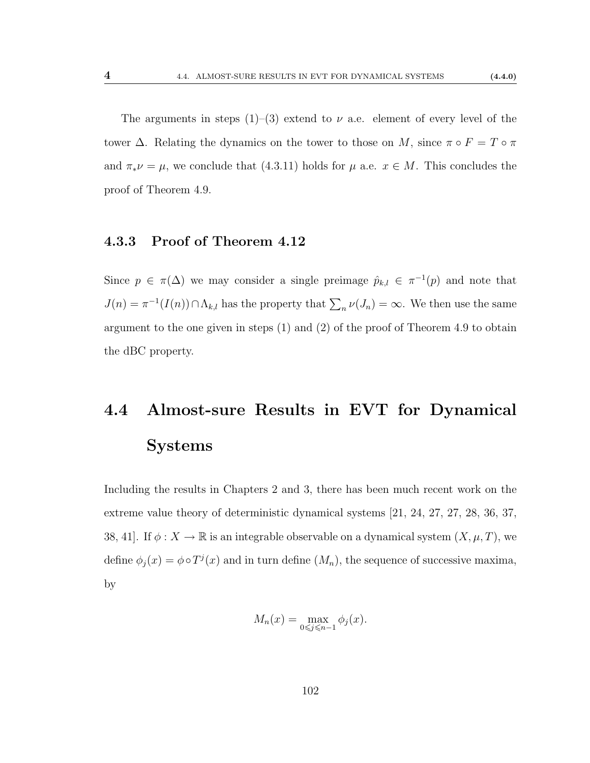The arguments in steps  $(1)$ – $(3)$  extend to  $\nu$  a.e. element of every level of the tower  $\Delta$ . Relating the dynamics on the tower to those on M, since  $\pi \circ F = T \circ \pi$ and  $\pi_* \nu = \mu$ , we conclude that [\(4.3.11\)](#page-108-1) holds for  $\mu$  a.e.  $x \in M$ . This concludes the proof of Theorem [4.9.](#page-94-0)

## 4.3.3 Proof of Theorem [4.12](#page-95-0)

Since  $p \in \pi(\Delta)$  we may consider a single preimage  $\hat{p}_{k,l} \in \pi^{-1}(p)$  and note that  $J(n) = \pi^{-1}(I(n)) \cap \Lambda_{k,l}$  has the property that  $\sum_n \nu(J_n) = \infty$ . We then use the same argument to the one given in steps [\(1\)](#page-105-0) and [\(2\)](#page-106-0) of the proof of Theorem [4.9](#page-94-0) to obtain the dBC property.

## 4.4 Almost-sure Results in EVT for Dynamical Systems

Including the results in Chapters [2](#page-41-0) and [3,](#page-61-0) there has been much recent work on the extreme value theory of deterministic dynamical systems [\[21,](#page-113-0) [24,](#page-114-0) [27,](#page-114-1) [27,](#page-114-1) [28,](#page-114-2) [36,](#page-114-3) [37,](#page-114-4) [38,](#page-115-0) [41\]](#page-115-1). If  $\phi: X \to \mathbb{R}$  is an integrable observable on a dynamical system  $(X, \mu, T)$ , we define  $\phi_j(x) = \phi \circ T^j(x)$  and in turn define  $(M_n)$ , the sequence of successive maxima, by

$$
M_n(x) = \max_{0 \le j \le n-1} \phi_j(x).
$$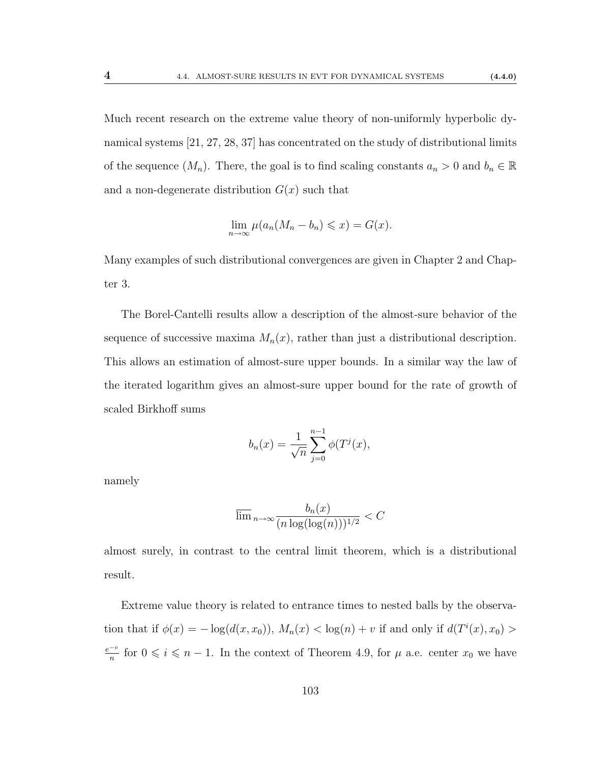Much recent research on the extreme value theory of non-uniformly hyperbolic dynamical systems [\[21,](#page-113-0) [27,](#page-114-1) [28,](#page-114-2) [37\]](#page-114-4) has concentrated on the study of distributional limits of the sequence  $(M_n)$ . There, the goal is to find scaling constants  $a_n > 0$  and  $b_n \in \mathbb{R}$ and a non-degenerate distribution  $G(x)$  such that

$$
\lim_{n \to \infty} \mu(a_n(M_n - b_n) \leqslant x) = G(x).
$$

Many examples of such distributional convergences are given in Chapter [2](#page-41-0) and Chapter [3.](#page-61-0)

The Borel-Cantelli results allow a description of the almost-sure behavior of the sequence of successive maxima  $M_n(x)$ , rather than just a distributional description. This allows an estimation of almost-sure upper bounds. In a similar way the law of the iterated logarithm gives an almost-sure upper bound for the rate of growth of scaled Birkhoff sums

$$
b_n(x) = \frac{1}{\sqrt{n}} \sum_{j=0}^{n-1} \phi(T^j(x),
$$

namely

$$
\overline{\lim}_{n \to \infty} \frac{b_n(x)}{(n \log(\log(n)))^{1/2}} < C
$$

almost surely, in contrast to the central limit theorem, which is a distributional result.

Extreme value theory is related to entrance times to nested balls by the observation that if  $\phi(x) = -\log(d(x, x_0)), M_n(x) < \log(n) + v$  if and only if  $d(T^i(x), x_0) >$ e−<sup>v</sup>  $\frac{-v}{n}$  for 0 ≤ *i* ≤ *n* − 1. In the context of Theorem [4.9,](#page-94-0) for  $\mu$  a.e. center  $x_0$  we have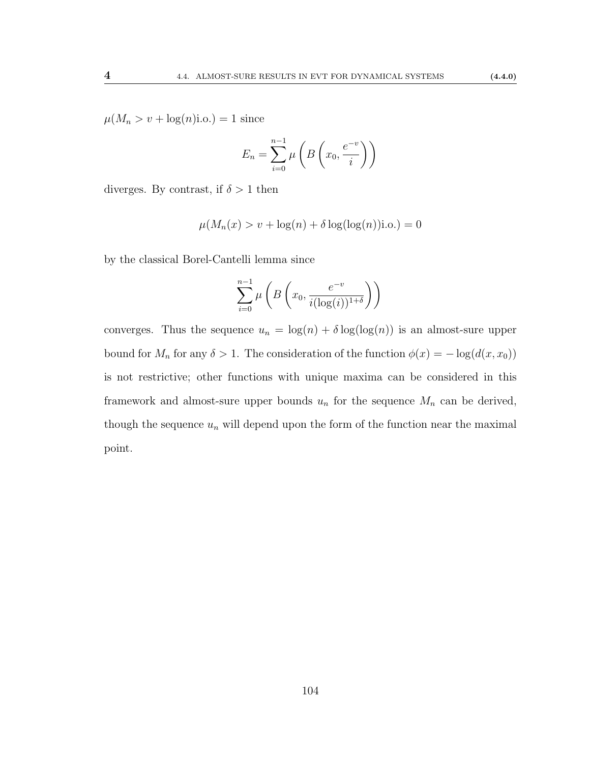$\mu(M_n > v + \log(n)i.o.) = 1$  since

$$
E_n = \sum_{i=0}^{n-1} \mu\left(B\left(x_0, \frac{e^{-v}}{i}\right)\right)
$$

diverges. By contrast, if  $\delta > 1$  then

$$
\mu(M_n(x) > v + \log(n) + \delta \log(\log(n))\text{i.o.}) = 0
$$

by the classical Borel-Cantelli lemma since

$$
\sum_{i=0}^{n-1} \mu\left(B\left(x_0, \frac{e^{-v}}{i(\log(i))^{1+\delta}}\right)\right)
$$

converges. Thus the sequence  $u_n = \log(n) + \delta \log(\log(n))$  is an almost-sure upper bound for  $M_n$  for any  $\delta > 1$ . The consideration of the function  $\phi(x) = -\log(d(x, x_0))$ is not restrictive; other functions with unique maxima can be considered in this framework and almost-sure upper bounds  $u_n$  for the sequence  $M_n$  can be derived, though the sequence  $u_n$  will depend upon the form of the function near the maximal point.

104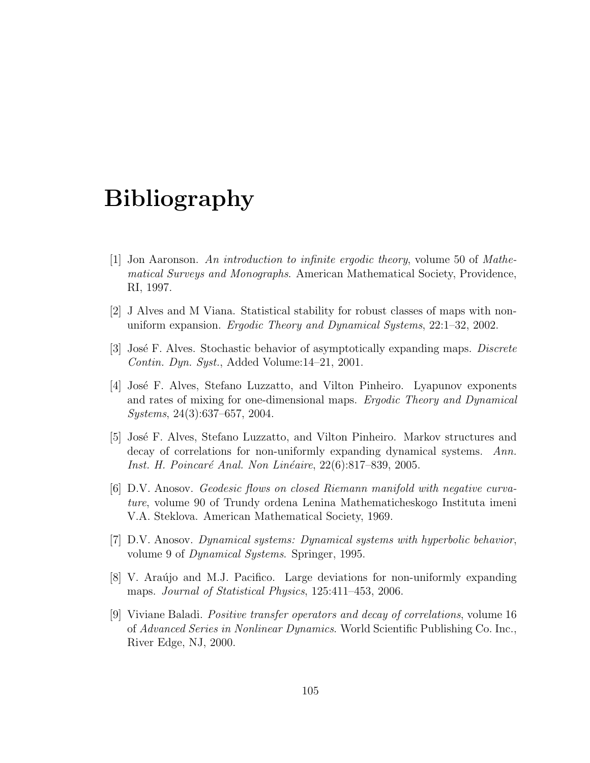## Bibliography

- [1] Jon Aaronson. An introduction to infinite ergodic theory, volume 50 of Mathematical Surveys and Monographs. American Mathematical Society, Providence, RI, 1997.
- [2] J Alves and M Viana. Statistical stability for robust classes of maps with nonuniform expansion. Ergodic Theory and Dynamical Systems, 22:1–32, 2002.
- [3] José F. Alves. Stochastic behavior of asymptotically expanding maps. Discrete Contin. Dyn. Syst., Added Volume:14–21, 2001.
- [4] Jos´e F. Alves, Stefano Luzzatto, and Vilton Pinheiro. Lyapunov exponents and rates of mixing for one-dimensional maps. Ergodic Theory and Dynamical Systems, 24(3):637–657, 2004.
- [5] Jos´e F. Alves, Stefano Luzzatto, and Vilton Pinheiro. Markov structures and decay of correlations for non-uniformly expanding dynamical systems. Ann. Inst. H. Poincaré Anal. Non Linéaire, 22(6):817–839, 2005.
- [6] D.V. Anosov. Geodesic flows on closed Riemann manifold with negative curvature, volume 90 of Trundy ordena Lenina Mathematicheskogo Instituta imeni V.A. Steklova. American Mathematical Society, 1969.
- [7] D.V. Anosov. Dynamical systems: Dynamical systems with hyperbolic behavior, volume 9 of Dynamical Systems. Springer, 1995.
- [8] V. Araújo and M.J. Pacifico. Large deviations for non-uniformly expanding maps. Journal of Statistical Physics, 125:411–453, 2006.
- [9] Viviane Baladi. Positive transfer operators and decay of correlations, volume 16 of Advanced Series in Nonlinear Dynamics. World Scientific Publishing Co. Inc., River Edge, NJ, 2000.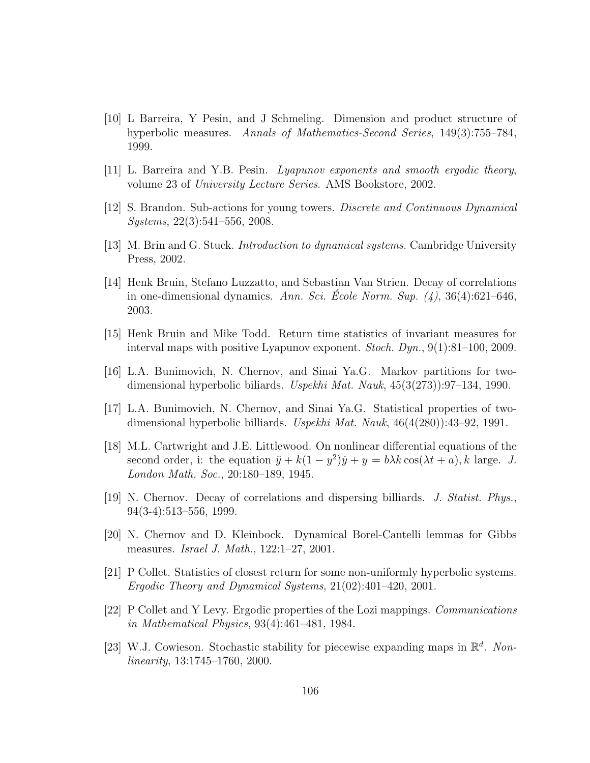- [10] L Barreira, Y Pesin, and J Schmeling. Dimension and product structure of hyperbolic measures. Annals of Mathematics-Second Series, 149(3):755–784, 1999.
- [11] L. Barreira and Y.B. Pesin. Lyapunov exponents and smooth ergodic theory, volume 23 of University Lecture Series. AMS Bookstore, 2002.
- [12] S. Brandon. Sub-actions for young towers. Discrete and Continuous Dynamical Systems, 22(3):541–556, 2008.
- [13] M. Brin and G. Stuck. Introduction to dynamical systems. Cambridge University Press, 2002.
- [14] Henk Bruin, Stefano Luzzatto, and Sebastian Van Strien. Decay of correlations in one-dimensional dynamics. Ann. Sci. École Norm. Sup.  $(4)$ , 36(4):621–646, 2003.
- [15] Henk Bruin and Mike Todd. Return time statistics of invariant measures for interval maps with positive Lyapunov exponent. Stoch. Dyn., 9(1):81–100, 2009.
- [16] L.A. Bunimovich, N. Chernov, and Sinai Ya.G. Markov partitions for twodimensional hyperbolic biliards. Uspekhi Mat. Nauk, 45(3(273)):97–134, 1990.
- [17] L.A. Bunimovich, N. Chernov, and Sinai Ya.G. Statistical properties of twodimensional hyperbolic billiards. Uspekhi Mat. Nauk, 46(4(280)):43–92, 1991.
- [18] M.L. Cartwright and J.E. Littlewood. On nonlinear differential equations of the second order, i: the equation  $\ddot{y} + k(1 - y^2)\dot{y} + y = b\lambda k \cos(\lambda t + a)$ , k large. J. London Math. Soc., 20:180–189, 1945.
- [19] N. Chernov. Decay of correlations and dispersing billiards. J. Statist. Phys., 94(3-4):513–556, 1999.
- [20] N. Chernov and D. Kleinbock. Dynamical Borel-Cantelli lemmas for Gibbs measures. Israel J. Math., 122:1–27, 2001.
- <span id="page-113-0"></span>[21] P Collet. Statistics of closest return for some non-uniformly hyperbolic systems. Ergodic Theory and Dynamical Systems, 21(02):401–420, 2001.
- [22] P Collet and Y Levy. Ergodic properties of the Lozi mappings. Communications in Mathematical Physics, 93(4):461–481, 1984.
- [23] W.J. Cowieson. Stochastic stability for piecewise expanding maps in  $\mathbb{R}^d$ . Nonlinearity, 13:1745–1760, 2000.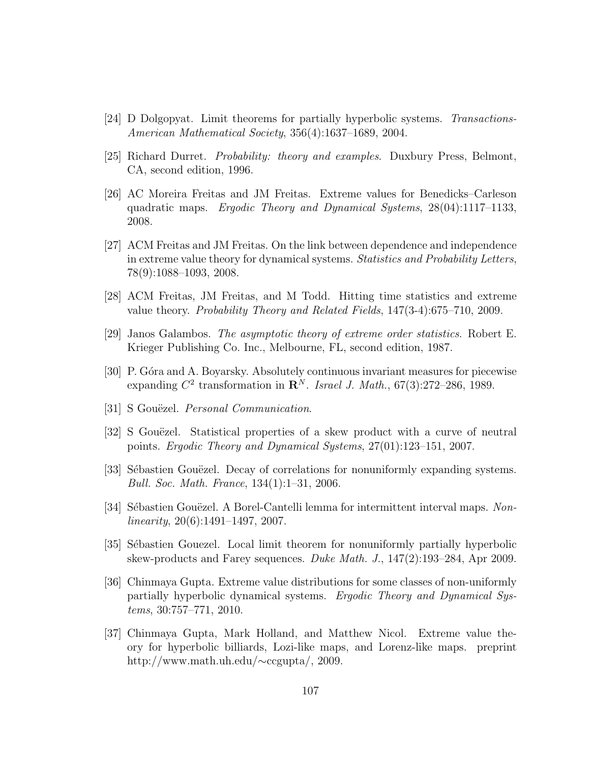- <span id="page-114-0"></span>[24] D Dolgopyat. Limit theorems for partially hyperbolic systems. Transactions-American Mathematical Society, 356(4):1637–1689, 2004.
- [25] Richard Durret. Probability: theory and examples. Duxbury Press, Belmont, CA, second edition, 1996.
- [26] AC Moreira Freitas and JM Freitas. Extreme values for Benedicks–Carleson quadratic maps. Ergodic Theory and Dynamical Systems, 28(04):1117–1133, 2008.
- <span id="page-114-1"></span>[27] ACM Freitas and JM Freitas. On the link between dependence and independence in extreme value theory for dynamical systems. Statistics and Probability Letters, 78(9):1088–1093, 2008.
- <span id="page-114-2"></span>[28] ACM Freitas, JM Freitas, and M Todd. Hitting time statistics and extreme value theory. Probability Theory and Related Fields, 147(3-4):675–710, 2009.
- [29] Janos Galambos. The asymptotic theory of extreme order statistics. Robert E. Krieger Publishing Co. Inc., Melbourne, FL, second edition, 1987.
- [30] P. Góra and A. Boyarsky. Absolutely continuous invariant measures for piecewise expanding  $C^2$  transformation in  $\mathbb{R}^N$ . Israel J. Math., 67(3):272-286, 1989.
- [31] S Gouëzel. *Personal Communication.*
- [32] S Gouëzel. Statistical properties of a skew product with a curve of neutral points. Ergodic Theory and Dynamical Systems, 27(01):123–151, 2007.
- [33] Sébastien Gouëzel. Decay of correlations for nonuniformly expanding systems. Bull. Soc. Math. France, 134(1):1–31, 2006.
- [34] Sébastien Gouëzel. A Borel-Cantelli lemma for intermittent interval maps. Non $linearity, 20(6):1491-1497, 2007.$
- [35] Sébastien Gouezel. Local limit theorem for nonuniformly partially hyperbolic skew-products and Farey sequences. Duke Math. J., 147(2):193–284, Apr 2009.
- <span id="page-114-3"></span>[36] Chinmaya Gupta. Extreme value distributions for some classes of non-uniformly partially hyperbolic dynamical systems. Ergodic Theory and Dynamical Systems, 30:757–771, 2010.
- <span id="page-114-4"></span>[37] Chinmaya Gupta, Mark Holland, and Matthew Nicol. Extreme value theory for hyperbolic billiards, Lozi-like maps, and Lorenz-like maps. preprint http://www.math.uh.edu/∼ccgupta/, 2009.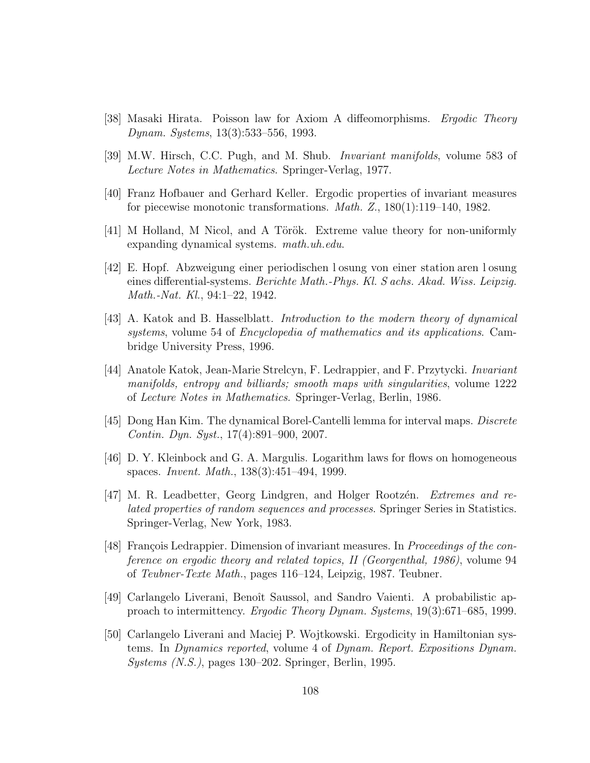- <span id="page-115-0"></span>[38] Masaki Hirata. Poisson law for Axiom A diffeomorphisms. Ergodic Theory Dynam. Systems, 13(3):533–556, 1993.
- [39] M.W. Hirsch, C.C. Pugh, and M. Shub. Invariant manifolds, volume 583 of Lecture Notes in Mathematics. Springer-Verlag, 1977.
- [40] Franz Hofbauer and Gerhard Keller. Ergodic properties of invariant measures for piecewise monotonic transformations. *Math. Z.*,  $180(1):119-140$ ,  $1982$ .
- <span id="page-115-1"></span>[41] M Holland, M Nicol, and A Török. Extreme value theory for non-uniformly expanding dynamical systems. math.uh.edu.
- [42] E. Hopf. Abzweigung einer periodischen l osung von einer station aren l osung eines differential-systems. Berichte Math.-Phys. Kl. S achs. Akad. Wiss. Leipzig. Math.-Nat. Kl., 94:1–22, 1942.
- [43] A. Katok and B. Hasselblatt. Introduction to the modern theory of dynamical systems, volume 54 of *Encyclopedia of mathematics and its applications*. Cambridge University Press, 1996.
- [44] Anatole Katok, Jean-Marie Strelcyn, F. Ledrappier, and F. Przytycki. Invariant manifolds, entropy and billiards; smooth maps with singularities, volume 1222 of Lecture Notes in Mathematics. Springer-Verlag, Berlin, 1986.
- [45] Dong Han Kim. The dynamical Borel-Cantelli lemma for interval maps. Discrete Contin. Dyn. Syst., 17(4):891–900, 2007.
- [46] D. Y. Kleinbock and G. A. Margulis. Logarithm laws for flows on homogeneous spaces. Invent. Math., 138(3):451–494, 1999.
- [47] M. R. Leadbetter, Georg Lindgren, and Holger Rootzén. Extremes and related properties of random sequences and processes. Springer Series in Statistics. Springer-Verlag, New York, 1983.
- [48] François Ledrappier. Dimension of invariant measures. In *Proceedings of the con*ference on ergodic theory and related topics, II (Georgenthal, 1986), volume 94 of Teubner-Texte Math., pages 116–124, Leipzig, 1987. Teubner.
- [49] Carlangelo Liverani, Benoˆıt Saussol, and Sandro Vaienti. A probabilistic approach to intermittency. Ergodic Theory Dynam. Systems, 19(3):671–685, 1999.
- [50] Carlangelo Liverani and Maciej P. Wojtkowski. Ergodicity in Hamiltonian systems. In Dynamics reported, volume 4 of Dynam. Report. Expositions Dynam. Systems (N.S.), pages 130–202. Springer, Berlin, 1995.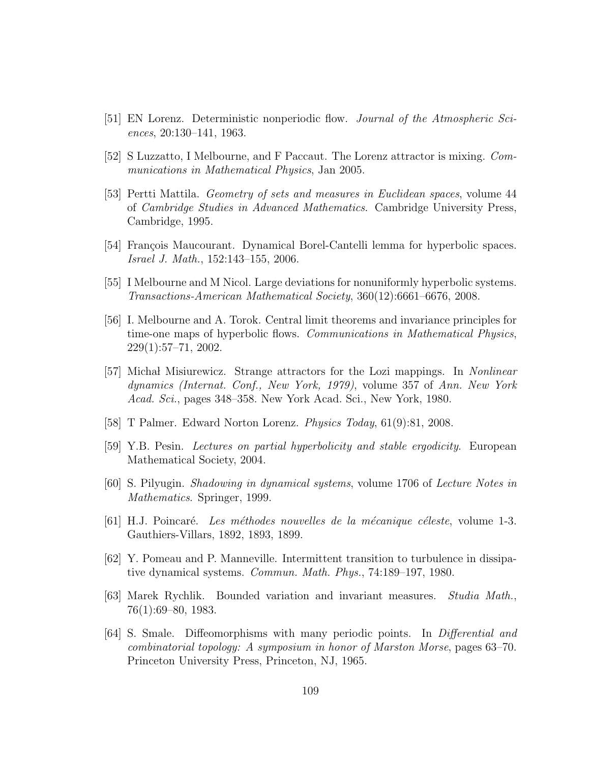- [51] EN Lorenz. Deterministic nonperiodic flow. Journal of the Atmospheric Sciences, 20:130–141, 1963.
- [52] S Luzzatto, I Melbourne, and F Paccaut. The Lorenz attractor is mixing. Communications in Mathematical Physics, Jan 2005.
- [53] Pertti Mattila. Geometry of sets and measures in Euclidean spaces, volume 44 of Cambridge Studies in Advanced Mathematics. Cambridge University Press, Cambridge, 1995.
- [54] François Maucourant. Dynamical Borel-Cantelli lemma for hyperbolic spaces. Israel J. Math., 152:143–155, 2006.
- [55] I Melbourne and M Nicol. Large deviations for nonuniformly hyperbolic systems. Transactions-American Mathematical Society, 360(12):6661–6676, 2008.
- [56] I. Melbourne and A. Torok. Central limit theorems and invariance principles for time-one maps of hyperbolic flows. *Communications in Mathematical Physics*, 229(1):57–71, 2002.
- [57] Michal Misiurewicz. Strange attractors for the Lozi mappings. In *Nonlinear* dynamics (Internat. Conf., New York, 1979), volume 357 of Ann. New York Acad. Sci., pages 348–358. New York Acad. Sci., New York, 1980.
- [58] T Palmer. Edward Norton Lorenz. Physics Today, 61(9):81, 2008.
- [59] Y.B. Pesin. Lectures on partial hyperbolicity and stable ergodicity. European Mathematical Society, 2004.
- [60] S. Pilyugin. Shadowing in dynamical systems, volume 1706 of Lecture Notes in Mathematics. Springer, 1999.
- $[61]$  H.J. Poincaré. Les méthodes nouvelles de la mécanique céleste, volume 1-3. Gauthiers-Villars, 1892, 1893, 1899.
- [62] Y. Pomeau and P. Manneville. Intermittent transition to turbulence in dissipative dynamical systems. Commun. Math. Phys., 74:189–197, 1980.
- [63] Marek Rychlik. Bounded variation and invariant measures. Studia Math., 76(1):69–80, 1983.
- [64] S. Smale. Diffeomorphisms with many periodic points. In Differential and combinatorial topology: A symposium in honor of Marston Morse, pages 63–70. Princeton University Press, Princeton, NJ, 1965.